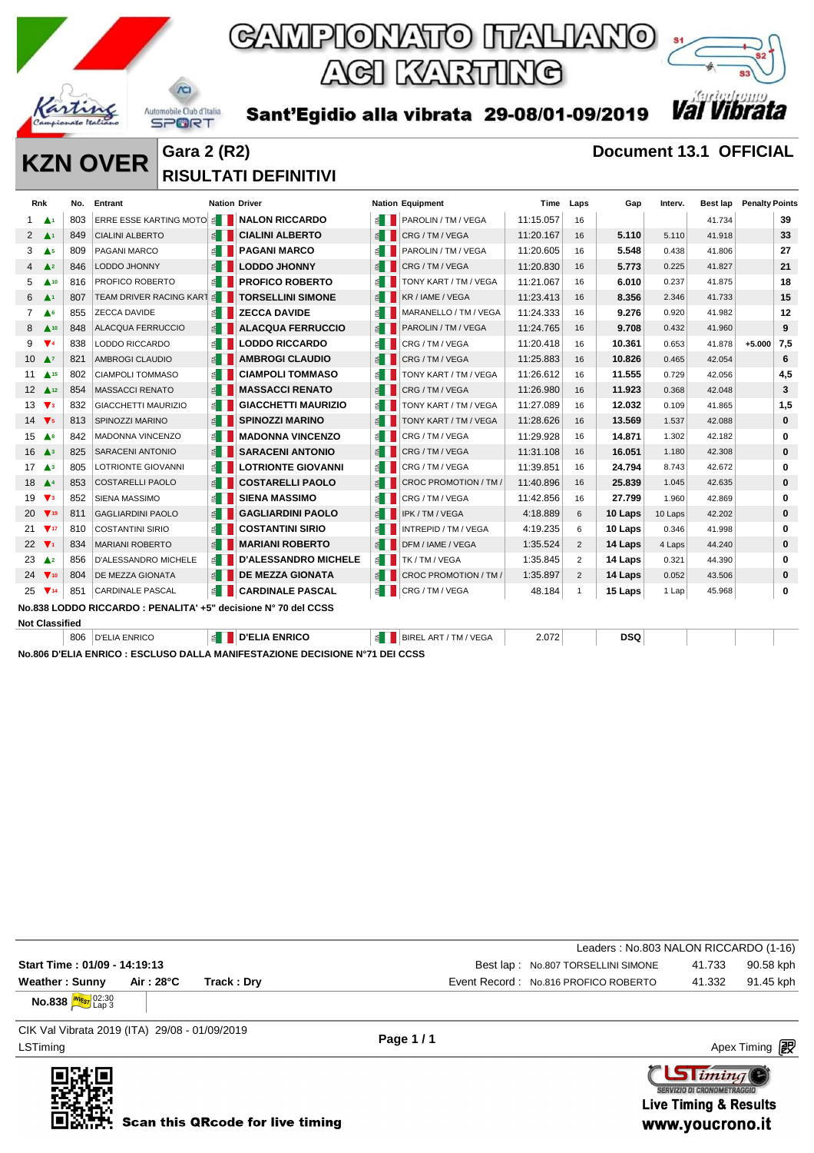

Sant'Egidio alla vibrata 29-08/01-09/2019



**KZN OVER** Gara 2 (R2) **Document 13.1 OFFICIAL RISULTATI DEFINITIVI** 

| <b>Rnk</b>                     |                               | No. | Entrant                                                        | <b>Nation Driver</b>  |                             |              | <b>Nation Equipment</b> | Time      | Laps           | Gap        | Interv. | Best lap | <b>Penalty Points</b> |          |
|--------------------------------|-------------------------------|-----|----------------------------------------------------------------|-----------------------|-----------------------------|--------------|-------------------------|-----------|----------------|------------|---------|----------|-----------------------|----------|
| 1.                             | - Anti                        | 803 | ERRE ESSE KARTING MOTO                                         |                       | <b>SEPTINALON RICCARDO</b>  |              | PAROLIN / TM / VEGA     | 11:15.057 | 16             |            |         | 41.734   |                       | 39       |
|                                | $2 \Delta$                    | 849 | <b>CIALINI ALBERTO</b>                                         | $\leq$ $\blacksquare$ | <b>CIALINI ALBERTO</b>      | 图            | CRG/TM/VEGA             | 11:20.167 | 16             | 5.110      | 5.110   | 41.918   |                       | 33       |
| 3                              | $\triangle$ <sub>5</sub>      | 809 | PAGANI MARCO                                                   | $\leq$ $\Box$         | <b>PAGANI MARCO</b>         |              | PAROLIN / TM / VEGA     | 11:20.605 | 16             | 5.548      | 0.438   | 41.806   |                       | 27       |
| $\overline{4}$                 | $\triangle^2$                 | 846 | <b>LODDO JHONNY</b>                                            | $\leq$                | <b>LODDO JHONNY</b>         | 图            | CRG / TM / VEGA         | 11:20.830 | 16             | 5.773      | 0.225   | 41.827   |                       | 21       |
| 5                              | $\triangle$ 10                | 816 | PROFICO ROBERTO                                                | ≝ II                  | <b>PROFICO ROBERTO</b>      | $\leq$       | TONY KART / TM / VEGA   | 11:21.067 | 16             | 6.010      | 0.237   | 41.875   |                       | 18       |
| 6                              | $\blacktriangle$ <sup>1</sup> | 807 | TEAM DRIVER RACING KART                                        | $\leq$ $\blacksquare$ | <b>TORSELLINI SIMONE</b>    | 图            | KR / IAME / VEGA        | 11:23.413 | 16             | 8.356      | 2.346   | 41.733   |                       | 15       |
| $\overline{7}$                 | $\triangle$ <sup>6</sup>      | 855 | <b>ZECCA DAVIDE</b>                                            | $\leq$ $\blacksquare$ | <b>ZECCA DAVIDE</b>         | ≊∎           | MARANELLO / TM / VEGA   | 11:24.333 | 16             | 9.276      | 0.920   | 41.982   |                       | 12       |
| 8                              | $\triangle$ 10                | 848 | <b>ALACQUA FERRUCCIO</b>                                       |                       | <b>ALACQUA FERRUCCIO</b>    | 1≦           | PAROLIN / TM / VEGA     | 11:24.765 | 16             | 9.708      | 0.432   | 41.960   |                       | 9        |
| 9                              | $\Psi$ 4                      | 838 | LODDO RICCARDO                                                 | ≝ II                  | <b>LODDO RICCARDO</b>       | 图            | CRG / TM / VEGA         | 11:20.418 | 16             | 10.361     | 0.653   | 41.878   | $+5.000$              | 7,5      |
| $10 \Delta$                    |                               | 821 | AMBROGI CLAUDIO                                                |                       | <b>AMBROGI CLAUDIO</b>      | $\mathbb{E}$ | CRG / TM / VEGA         | 11:25.883 | 16             | 10.826     | 0.465   | 42.054   |                       | 6        |
| 11                             | A15                           | 802 | <b>CIAMPOLI TOMMASO</b>                                        | $\leq$                | <b>CIAMPOLI TOMMASO</b>     | ੬∎           | TONY KART / TM / VEGA   | 11:26.612 | 16             | 11.555     | 0.729   | 42.056   |                       | 4,5      |
|                                | $12 \triangle 12$             | 854 | <b>MASSACCI RENATO</b>                                         |                       | <b>MASSACCI RENATO</b>      | €            | CRG/TM/VEGA             | 11:26.980 | 16             | 11.923     | 0.368   | 42.048   |                       | 3        |
| 13 <sup>7</sup>                | $\mathbf{V}$ <sub>3</sub>     | 832 | GIACCHETTI MAURIZIO                                            | $\mathbb{Z}$          | <b>GIACCHETTI MAURIZIO</b>  | €∎           | TONY KART / TM / VEGA   | 11:27.089 | 16             | 12.032     | 0.109   | 41.865   |                       | 1,5      |
| 14 $\overline{V}$ <sub>5</sub> |                               | 813 | <b>SPINOZZI MARINO</b>                                         | $\leq$                | <b>SPINOZZI MARINO</b>      |              | TONY KART / TM / VEGA   | 11:28.626 | 16             | 13.569     | 1.537   | 42.088   |                       | $\bf{0}$ |
| $15 \text{ A}$ <sup>8</sup>    |                               | 842 | <b>MADONNA VINCENZO</b>                                        | ≝ II                  | <b>MADONNA VINCENZO</b>     | 图            | CRG / TM / VEGA         | 11:29.928 | 16             | 14.871     | 1.302   | 42.182   |                       | 0        |
| $16 \triangle 3$               |                               | 825 | <b>SARACENI ANTONIO</b>                                        | $\leq$ $\blacksquare$ | <b>SARACENI ANTONIO</b>     | E            | CRG / TM / VEGA         | 11:31.108 | 16             | 16.051     | 1.180   | 42.308   |                       | 0        |
|                                | $17 \triangle 3$              | 805 | LOTRIONTE GIOVANNI                                             | $\leq$ 1              | <b>LOTRIONTE GIOVANNI</b>   | ਬ∎           | CRG/TM/VEGA             | 11:39.851 | 16             | 24.794     | 8.743   | 42.672   |                       | 0        |
| 18 $\triangle$ 4               |                               | 853 | <b>COSTARELLI PAOLO</b>                                        | $\leq$                | <b>COSTARELLI PAOLO</b>     |              | CROC PROMOTION / TM /   | 11:40.896 | 16             | 25.839     | 1.045   | 42.635   |                       | 0        |
| 19                             | $\mathbf{V}$ <sub>3</sub>     | 852 | <b>SIENA MASSIMO</b>                                           | ≦ II                  | <b>SIENA MASSIMO</b>        | ≝∎           | CRG / TM / VEGA         | 11:42.856 | 16             | 27.799     | 1.960   | 42.869   |                       | 0        |
|                                | 20 ▼19                        | 811 | <b>GAGLIARDINI PAOLO</b>                                       |                       | <b>GAGLIARDINI PAOLO</b>    | $\leq$       | IPK / TM / VEGA         | 4:18.889  | 6              | 10 Laps    | 10 Laps | 42.202   |                       | $\bf{0}$ |
|                                | $21 \sqrt{17}$                | 810 | <b>COSTANTINI SIRIO</b>                                        | ≦ II                  | <b>COSTANTINI SIRIO</b>     | ≝∎           | INTREPID / TM / VEGA    | 4:19.235  | 6              | 10 Laps    | 0.346   | 41.998   |                       | 0        |
| 22 $\nabla$                    |                               | 834 | <b>MARIANI ROBERTO</b>                                         | $\leq$                | <b>MARIANI ROBERTO</b>      | 图            | DFM / IAME / VEGA       | 1:35.524  | $\overline{2}$ | 14 Laps    | 4 Laps  | 44.240   |                       | 0        |
| 23                             | $\triangle$ <sup>2</sup>      | 856 | <b>D'ALESSANDRO MICHELE</b>                                    | ≦ II                  | <b>D'ALESSANDRO MICHELE</b> | E I          | TK / TM / VEGA          | 1:35.845  | $\overline{2}$ | 14 Laps    | 0.321   | 44.390   |                       | 0        |
| 24                             | $\Psi$ <sub>10</sub>          | 804 | <b>DE MEZZA GIONATA</b>                                        | $\leq$                | <b>DE MEZZA GIONATA</b>     | 图            | CROC PROMOTION / TM /   | 1:35.897  | $\overline{2}$ | 14 Laps    | 0.052   | 43.506   |                       | 0        |
| 25                             | $\Psi$ <sub>14</sub>          | 851 | <b>CARDINALE PASCAL</b>                                        | ≝ ।                   | <b>CARDINALE PASCAL</b>     | 图            | CRG / TM / VEGA         | 48.184    | $\overline{1}$ | 15 Laps    | 1 Lap   | 45.968   |                       | 0        |
|                                |                               |     | No.838 LODDO RICCARDO : PENALITA' +5" decisione N° 70 del CCSS |                       |                             |              |                         |           |                |            |         |          |                       |          |
|                                | <b>Not Classified</b>         |     |                                                                |                       |                             |              |                         |           |                |            |         |          |                       |          |
|                                |                               | 806 | <b>D'ELIA ENRICO</b>                                           | é I                   | <b>D'ELIA ENRICO</b>        | 1≦           | BIREL ART / TM / VEGA   | 2.072     |                | <b>DSQ</b> |         |          |                       |          |

**No.806 D'ELIA ENRICO : ESCLUSO DALLA MANIFESTAZIONE DECISIONE N°71 DEI CCSS**

|                                                                  |                                               |                                      | Leaders: No.803 NALON RICCARDO (1-16) |
|------------------------------------------------------------------|-----------------------------------------------|--------------------------------------|---------------------------------------|
| Start Time: 01/09 - 14:19:13                                     |                                               | Best lap: No.807 TORSELLINI SIMONE   | 90.58 kph<br>41.733                   |
| Weather: Sunny                                                   | Air : 28°C<br>Track : Drv                     | Event Record: No.816 PROFICO ROBERTO | 91.45 kph<br>41.332                   |
| <b>No.838</b> <i><u><b>MVEST</b></u></i> $_{\text{Lap}}^{02:30}$ |                                               |                                      |                                       |
|                                                                  | CIK Val Vibrata 2019 (ITA) 29/08 - 01/09/2019 | .<br>$\sim$                          |                                       |

LSTiming Apex Timing Apex Timing Apex Timing Apex Timing Apex Timing Apex Timing Apex Timing

**Page 1 / 1**

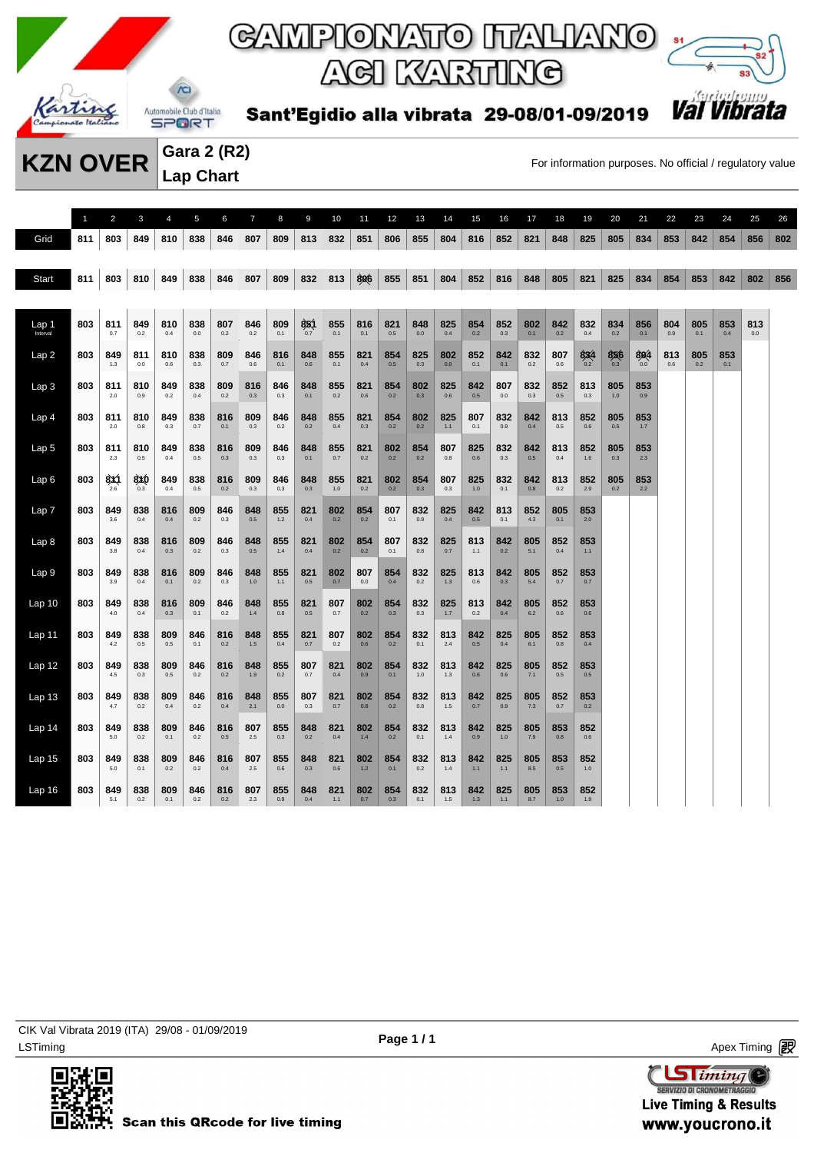



Sant'Egidio alla vibrata 29-08/01-09/2019

**Gara 2 (R2) Lap Chart** 

**KZN OVER** Gara 2 (KZ)<br>For information purposes. No official / regulatory value

|                   | $\mathbf{1}$ | $\overline{2}$ | 3          | 4          | 5              | 6          | $\overline{7}$ | 8            | 9          | 10         | 11         | 12         | 13         | 14           | 15             | 16         | 17           | 18         | 19         | 20         | 21         | 22         | 23         | 24         | 25         | 26  |
|-------------------|--------------|----------------|------------|------------|----------------|------------|----------------|--------------|------------|------------|------------|------------|------------|--------------|----------------|------------|--------------|------------|------------|------------|------------|------------|------------|------------|------------|-----|
| Grid              | 811          | 803            | 849        | 810        | 838            | 846        | 807            | 809          | 813        | 832        | 851        | 806        | 855        | 804          | 816            | 852        | 821          | 848        | 825        | 805        | 834        | 853        | 842        | 854        | 856        | 802 |
|                   |              |                |            |            |                |            |                |              |            |            |            |            |            |              |                |            |              |            |            |            |            |            |            |            |            |     |
| Start             | 811          | 803            | 810        | 849        | 838            | 846        | 807            | 809          | 832        | 813        | 806        | 855        | 851        | 804          | 852            | 816        | 848          | 805        | 821        | 825        | 834        | 854        | 853        | 842        | 802        | 856 |
|                   |              |                |            |            |                |            |                |              |            |            |            |            |            |              |                |            |              |            |            |            |            |            |            |            |            |     |
| Lap 1<br>Interval | 803          | 811<br>0.7     | 849<br>0.2 | 810<br>0.4 | 838<br>$0.0\,$ | 807<br>0.2 | 846<br>0.2     | 809<br>0.1   | 851<br>0.7 | 855<br>0.1 | 816<br>0.1 | 821<br>0.5 | 848<br>0.0 | 825<br>0.4   | 854<br>0.2     | 852<br>0.3 | 802<br>0.1   | 842<br>0.2 | 832<br>0.4 | 834<br>0.2 | 856<br>0.1 | 804<br>0.9 | 805<br>0.1 | 853<br>0.4 | 813<br>0.0 |     |
| Lap2              | 803          | 849            | 811        | 810        | 838            | 809        | 846            | 816          | 848        | 855        | 821        | 854        | 825        | 802          | 852            | 842        | 832          | 807        | 834        | 856        | 804        | 813        | 805        | 853        |            |     |
|                   |              | 1.3            | 0.0        | 0.6        | 0.3            | 0.7        | 0.6            | 0.1          | 0.6        | 0.1        | 0.4        | 0.5        | 0.3        | 0.0          | 0.1            | 0.1        | 0.2          | 0.6        | 0.2        | 0.3        | 0.0        | 0.6        | 0.2        | 0.1        |            |     |
| Lap <sub>3</sub>  | 803          | 811<br>2.0     | 810<br>0.9 | 849<br>0.2 | 838<br>0.4     | 809<br>0.2 | 816<br>0.3     | 846<br>0.3   | 848<br>0.1 | 855<br>0.2 | 821<br>0.6 | 854<br>0.2 | 802<br>0.3 | 825<br>0.6   | 842<br>0.5     | 807<br>0.0 | 832<br>0.3   | 852<br>0.5 | 813<br>0.3 | 805<br>1.0 | 853<br>0.9 |            |            |            |            |     |
| Lap <sub>4</sub>  | 803          | 811<br>2.0     | 810<br>0.8 | 849<br>0.3 | 838<br>0.7     | 816<br>0.1 | 809<br>0.3     | 846<br>0.2   | 848<br>0.2 | 855<br>0.4 | 821<br>0.3 | 854<br>0.2 | 802<br>0.2 | 825<br>1.1   | 807<br>0.1     | 832<br>0.9 | 842<br>0.4   | 813<br>0.5 | 852<br>0.6 | 805<br>0.5 | 853<br>1.7 |            |            |            |            |     |
| Lap <sub>5</sub>  | 803          | 811            | 810        | 849        | 838            | 816        | 809            | 846          | 848        | 855        | 821        | 802        | 854        | 807          | 825            | 832        | 842          | 813        | 852        | 805        | 853        |            |            |            |            |     |
|                   |              | 2.3            | 0.5        | 0.4        | 0.5            | 0.3        | 0.3            | 0.3          | 0.1        | 0.7        | 0.2        | 0.2        | 0.2        | 0.8          | 0.6            | 0.3        | 0.5          | 0.4        | 1.6        | 0.3        | 2.3        |            |            |            |            |     |
| Lap 6             | 803          | 8X1<br>26      | 8XO<br>0.3 | 849<br>0.4 | 838<br>0.5     | 816<br>0.2 | 809<br>0.3     | 846<br>0.3   | 848<br>0.3 | 855<br>1.0 | 821<br>0.2 | 802<br>0.2 | 854<br>0.3 | 807<br>0.3   | 825<br>1.0     | 832<br>0.1 | 842<br>0.8   | 813<br>0.2 | 852<br>2.9 | 805<br>0.2 | 853<br>22  |            |            |            |            |     |
| Lap <sub>7</sub>  | 803          | 849            | 838        | 816        | 809            | 846        | 848            | 855          | 821        | 802        | 854        | 807        | 832        | 825          | 842            | 813        | 852          | 805        | 853        |            |            |            |            |            |            |     |
|                   |              | 3.6            | 0.4        | 0.4        | 0.2            | 0.3        | 0.5            | $1.2$        | 0.4        | 0.2        | 0.2        | 0.1        | 0.9        | 0.4          | 0.5            | 0.1        | 4.3          | 0.1        | 2.0        |            |            |            |            |            |            |     |
| Lap <sub>8</sub>  | 803          | 849<br>3.8     | 838<br>0.4 | 816<br>0.3 | 809<br>$0.2\,$ | 846<br>0.3 | 848<br>0.5     | 855<br>$1.4$ | 821<br>0.4 | 802<br>0.2 | 854<br>0.2 | 807<br>0.1 | 832<br>0.8 | 825<br>0.7   | 813<br>1.1     | 842<br>0.2 | 805<br>5.1   | 852<br>0.4 | 853<br>1.1 |            |            |            |            |            |            |     |
| Lap <sub>9</sub>  | 803          | 849<br>3.9     | 838<br>0.4 | 816<br>0.1 | 809<br>0.2     | 846<br>0.3 | 848<br>1.0     | 855<br>$1.1$ | 821<br>0.5 | 802<br>0.7 | 807<br>0.0 | 854<br>0.4 | 832<br>0.2 | 825<br>1.3   | 813<br>$0.6\,$ | 842<br>0.3 | 805<br>$5.4$ | 852<br>0.7 | 853<br>0.7 |            |            |            |            |            |            |     |
| Lap <sub>10</sub> | 803          | 849            | 838        | 816        | 809            | 846        | 848            | 855          | 821        | 807        | 802        | 854        | 832        | 825          | 813            | 842        | 805          | 852        | 853        |            |            |            |            |            |            |     |
|                   |              | 4.0            | 0.4        | 0.3        | 0.1            | 0.2        | 1.4            | 0.8          | 0.5        | 0.7        | 0.2        | 0.3        | 0.3        | 1.7          | 0.2            | 0.4        | 6.2          | 0.6        | 0.6        |            |            |            |            |            |            |     |
| Lap 11            | 803          | 849<br>4.2     | 838<br>0.5 | 809<br>0.5 | 846<br>0.1     | 816<br>0.2 | 848<br>1.5     | 855<br>0.4   | 821<br>0.7 | 807<br>0.2 | 802<br>0.6 | 854<br>0.2 | 832<br>0.1 | 813<br>2.4   | 842<br>0.5     | 825<br>0.4 | 805<br>6.1   | 852<br>0.8 | 853<br>0.4 |            |            |            |            |            |            |     |
| Lap <sub>12</sub> | 803          | 849            | 838        | 809        | 846            | 816        | 848            | 855          | 807        | 821        | 802        | 854        | 832        | 813          | 842            | 825        | 805          | 852        | 853        |            |            |            |            |            |            |     |
|                   |              | 4.5            | 0.3        | 0.5        | 0.2            | 0.2        | 1.9            | 0.2          | 0.7        | 0.4        | 0.9        | 0.1        | 1.0        | 1.3          | 0.6            | 0.6        | 7.1          | 0.5        | 0.5        |            |            |            |            |            |            |     |
| Lap <sub>13</sub> | 803          | 849<br>4.7     | 838<br>0.2 | 809<br>0.4 | 846<br>0.2     | 816<br>0.4 | 848<br>2.1     | 855<br>0.0   | 807<br>0.3 | 821<br>0.7 | 802<br>0.8 | 854<br>0.2 | 832<br>0.8 | 813<br>1.5   | 842<br>0.7     | 825<br>0.9 | 805<br>7.3   | 852<br>0.7 | 853<br>0.2 |            |            |            |            |            |            |     |
| Lap 14            | 803          | 849            | 838        | 809        | 846            | 816        | 807            | 855          | 848        | 821        | 802        | 854        | 832        | 813          | 842            | 825        | 805          | 853        | 852        |            |            |            |            |            |            |     |
|                   |              | 5.0            | 0.2        | 0.1        | 0.2            | 0.5        | 2.5            | 0.3          | 0.2        | 0.4        | 1.4        | 0.2        | 0.1        | 1.4          | 0.9            | 1.0        | 7.9          | 0.8        | 0.6        |            |            |            |            |            |            |     |
| Lap <sub>15</sub> | 803          | 849<br>5.0     | 838<br>0.1 | 809<br>0.2 | 846<br>0.2     | 816<br>0.4 | 807<br>2.5     | 855<br>0.6   | 848<br>0.3 | 821<br>0.6 | 802<br>1.2 | 854<br>0.1 | 832<br>0.2 | 813<br>1.4   | 842<br>1.1     | 825<br>1.1 | 805<br>8.5   | 853<br>0.5 | 852<br>1.0 |            |            |            |            |            |            |     |
| Lap 16            | 803          | 849<br>5.1     | 838<br>0.2 | 809<br>0.1 | 846<br>0.2     | 816<br>0.2 | 807<br>2.3     | 855<br>0.9   | 848<br>0.4 | 821<br>1.1 | 802<br>0.7 | 854<br>0.3 | 832<br>0.1 | 813<br>$1.5$ | 842<br>1.3     | 825<br>1.1 | 805<br>8.7   | 853<br>1.0 | 852<br>1.9 |            |            |            |            |            |            |     |
|                   |              |                |            |            |                |            |                |              |            |            |            |            |            |              |                |            |              |            |            |            |            |            |            |            |            |     |

LSTiming Apex Timing Apex Timing Apex Timing Apex Timing Apex Timing Apex Timing Apex Timing CIK Val Vibrata 2019 (ITA) 29/08 - 01/09/2019



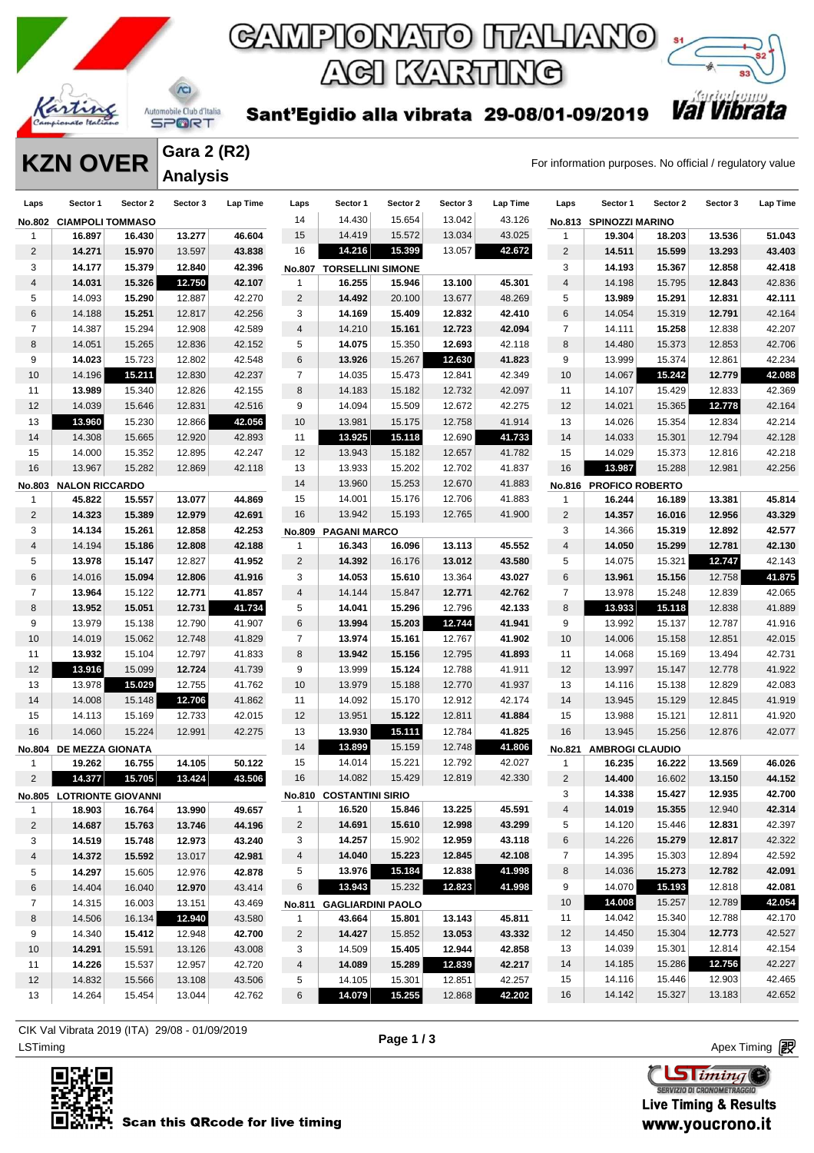

Sant'Egidio alla vibrata 29-08/01-09/2019

**KZN OVER** Gara 2 (KZ)

*Val Vibra* 

| <b>Gara 2 (R2)</b> |  |
|--------------------|--|
| <b>Analysis</b>    |  |

| Laps            | Sector 1                  | Sector 2 | Sector 3 | Lap Time | Laps           | Sector 1                       | Sector 2 | Sector 3 | Lap Time | Laps           | Sector 1               | Sector 2 | Sector 3 | <b>Lap Time</b> |
|-----------------|---------------------------|----------|----------|----------|----------------|--------------------------------|----------|----------|----------|----------------|------------------------|----------|----------|-----------------|
|                 | No.802 CIAMPOLI TOMMASO   |          |          |          | 14             | 14.430                         | 15.654   | 13.042   | 43.126   |                | No.813 SPINOZZI MARINO |          |          |                 |
| $\mathbf{1}$    | 16.897                    | 16.430   | 13.277   | 46.604   | 15             | 14.419                         | 15.572   | 13.034   | 43.025   | $\mathbf{1}$   | 19.304                 | 18.203   | 13.536   | 51.043          |
| $\overline{2}$  | 14.271                    | 15.970   | 13.597   | 43.838   | 16             | 14.216                         | 15.399   | 13.057   | 42.672   | $\overline{c}$ | 14.511                 | 15.599   | 13.293   | 43.403          |
| 3               | 14.177                    | 15.379   | 12.840   | 42.396   | <b>No.807</b>  | <b>TORSELLINI SIMONE</b>       |          |          |          | 3              | 14.193                 | 15.367   | 12.858   | 42.418          |
| 4               | 14.031                    | 15.326   | 12.750   | 42.107   | $\mathbf{1}$   | 16.255                         | 15.946   | 13.100   | 45.301   | 4              | 14.198                 | 15.795   | 12.843   | 42.836          |
| 5               | 14.093                    | 15.290   | 12.887   | 42.270   | $\sqrt{2}$     | 14.492                         | 20.100   | 13.677   | 48.269   | 5              | 13.989                 | 15.291   | 12.831   | 42.111          |
| 6               | 14.188                    | 15.251   | 12.817   | 42.256   | 3              | 14.169                         | 15.409   | 12.832   | 42.410   | 6              | 14.054                 | 15.319   | 12.791   | 42.164          |
| $\overline{7}$  | 14.387                    | 15.294   | 12.908   | 42.589   | 4              | 14.210                         | 15.161   | 12.723   | 42.094   | 7              | 14.111                 | 15.258   | 12.838   | 42.207          |
| 8               | 14.051                    | 15.265   | 12.836   | 42.152   | 5              | 14.075                         | 15.350   | 12.693   | 42.118   | 8              | 14.480                 | 15.373   | 12.853   | 42.706          |
| 9               | 14.023                    | 15.723   | 12.802   | 42.548   | 6              | 13.926                         | 15.267   | 12.630   | 41.823   | 9              | 13.999                 | 15.374   | 12.861   | 42.234          |
| 10              | 14.196                    | 15.211   | 12.830   | 42.237   | $\overline{7}$ | 14.035                         | 15.473   | 12.841   | 42.349   | 10             | 14.067                 | 15.242   | 12.779   | 42.088          |
| 11              | 13.989                    | 15.340   | 12.826   | 42.155   | 8              | 14.183                         | 15.182   | 12.732   | 42.097   | 11             | 14.107                 | 15.429   | 12.833   | 42.369          |
| 12              | 14.039                    | 15.646   | 12.831   | 42.516   | 9              | 14.094                         | 15.509   | 12.672   | 42.275   | 12             | 14.021                 | 15.365   | 12.778   | 42.164          |
| 13              | 13.960                    | 15.230   | 12.866   | 42.056   | 10             | 13.981                         | 15.175   | 12.758   | 41.914   | 13             | 14.026                 | 15.354   | 12.834   | 42.214          |
| 14              | 14.308                    | 15.665   | 12.920   | 42.893   | 11             | 13.925                         | 15.118   | 12.690   | 41.733   | 14             | 14.033                 | 15.301   | 12.794   | 42.128          |
| 15              | 14.000                    | 15.352   | 12.895   | 42.247   | 12             | 13.943                         | 15.182   | 12.657   | 41.782   | 15             | 14.029                 | 15.373   | 12.816   | 42.218          |
| 16              | 13.967                    | 15.282   | 12.869   | 42.118   | 13             | 13.933                         | 15.202   | 12.702   | 41.837   | 16             | 13.987                 | 15.288   | 12.981   | 42.256          |
| No.803          | <b>NALON RICCARDO</b>     |          |          |          | 14             | 13.960                         | 15.253   | 12.670   | 41.883   |                | No.816 PROFICO ROBERTO |          |          |                 |
| $\mathbf{1}$    | 45.822                    | 15.557   | 13.077   | 44.869   | 15             | 14.001                         | 15.176   | 12.706   | 41.883   | $\overline{1}$ | 16.244                 | 16.189   | 13.381   | 45.814          |
| $\overline{2}$  | 14.323                    | 15.389   | 12.979   | 42.691   | 16             | 13.942                         | 15.193   | 12.765   | 41.900   | $\sqrt{2}$     | 14.357                 | 16.016   | 12.956   | 43.329          |
| 3               | 14.134                    | 15.261   | 12.858   | 42.253   | <b>No.809</b>  | <b>PAGANI MARCO</b>            |          |          |          | 3              | 14.366                 | 15.319   | 12.892   | 42.577          |
| 4               | 14.194                    | 15.186   | 12.808   | 42.188   | $\mathbf{1}$   | 16.343                         | 16.096   | 13.113   | 45.552   | 4              | 14.050                 | 15.299   | 12.781   | 42.130          |
| 5               | 13.978                    | 15.147   | 12.827   | 41.952   | $\overline{c}$ | 14.392                         | 16.176   | 13.012   | 43.580   | 5              | 14.075                 | 15.321   | 12.747   | 42.143          |
| 6               | 14.016                    | 15.094   | 12.806   | 41.916   | 3              | 14.053                         | 15.610   | 13.364   | 43.027   | 6              | 13.961                 | 15.156   | 12.758   | 41.875          |
| $\overline{7}$  | 13.964                    | 15.122   | 12.771   | 41.857   | 4              | 14.144                         | 15.847   | 12.771   | 42.762   | 7              | 13.978                 | 15.248   | 12.839   | 42.065          |
| 8               | 13.952                    | 15.051   | 12.731   | 41.734   | 5              | 14.041                         | 15.296   | 12.796   | 42.133   | 8              | 13.933                 | 15.118   | 12.838   | 41.889          |
| 9               | 13.979                    | 15.138   | 12.790   | 41.907   | 6              | 13.994                         | 15.203   | 12.744   | 41.941   | 9              | 13.992                 | 15.137   | 12.787   | 41.916          |
| 10              | 14.019                    | 15.062   | 12.748   | 41.829   | $\overline{7}$ | 13.974                         | 15.161   | 12.767   | 41.902   | 10             | 14.006                 | 15.158   | 12.851   | 42.015          |
| 11              | 13.932                    | 15.104   | 12.797   | 41.833   | 8              | 13.942                         | 15.156   | 12.795   | 41.893   | 11             | 14.068                 | 15.169   | 13.494   | 42.731          |
| 12              | 13.916                    | 15.099   | 12.724   | 41.739   | 9              | 13.999                         | 15.124   | 12.788   | 41.911   | 12             | 13.997                 | 15.147   | 12.778   | 41.922          |
| 13              | 13.978                    | 15.029   | 12.755   | 41.762   | 10             | 13.979                         | 15.188   | 12.770   | 41.937   | 13             | 14.116                 | 15.138   | 12.829   | 42.083          |
| 14              | 14.008                    | 15.148   | 12.706   | 41.862   | 11             | 14.092                         | 15.170   | 12.912   | 42.174   | 14             | 13.945                 | 15.129   | 12.845   | 41.919          |
| 15              | 14.113                    | 15.169   | 12.733   | 42.015   | 12             | 13.951                         | 15.122   | 12.811   | 41.884   | 15             | 13.988                 | 15.121   | 12.811   | 41.920          |
| 16              | 14.060                    | 15.224   | 12.991   | 42.275   | 13             | 13.930                         | 15.111   | 12.784   | 41.825   | 16             | 13.945                 | 15.256   | 12.876   | 42.077          |
|                 | No.804 DE MEZZA GIONATA   |          |          |          | 14             | 13.899                         | 15.159   | 12.748   | 41.806   | No.821         | <b>AMBROGI CLAUDIO</b> |          |          |                 |
| $\mathbf{1}$    | 19.262                    | 16.755   | 14.105   | 50.122   | 15             | 14.014                         | 15.221   | 12.792   | 42.027   | $\mathbf{1}$   | 16.235                 | 16.222   | 13.569   | 46.026          |
| $\overline{c}$  | 14.377                    | 15.705   | 13.424   | 43.506   | 16             | 14.082                         | 15.429   | 12.819   | 42.330   | $\overline{c}$ | 14.400                 | 16.602   | 13.150   | 44.152          |
|                 | No.805 LOTRIONTE GIOVANNI |          |          |          |                | <b>No.810 COSTANTINI SIRIO</b> |          |          |          | 3              | 14.338                 | 15.427   | 12.935   | 42.700          |
| 1               | 18.903                    | 16.764   | 13.990   | 49.657   | $\mathbf{1}$   | 16.520                         | 15.846   | 13.225   | 45.591   | $\overline{4}$ | 14.019                 | 15.355   | 12.940   | 42.314          |
| $\overline{2}$  | 14.687                    | 15.763   | 13.746   | 44.196   | 2              | 14.691                         | 15.610   | 12.998   | 43.299   | 5              | 14.120                 | 15.446   | 12.831   | 42.397          |
| 3               | 14.519                    | 15.748   | 12.973   | 43.240   | 3              | 14.257                         | 15.902   | 12.959   | 43.118   | 6              | 14.226                 | 15.279   | 12.817   | 42.322          |
| 4               | 14.372                    | 15.592   | 13.017   | 42.981   | 4              | 14.040                         | 15.223   | 12.845   | 42.108   | $\overline{7}$ | 14.395                 | 15.303   | 12.894   | 42.592          |
| 5               | 14.297                    | 15.605   | 12.976   | 42.878   | 5              | 13.976                         | 15.184   | 12.838   | 41.998   | 8              | 14.036                 | 15.273   | 12.782   | 42.091          |
| 6               | 14.404                    | 16.040   | 12.970   | 43.414   | 6              | 13.943                         | 15.232   | 12.823   | 41.998   | 9              | 14.070                 | 15.193   | 12.818   | 42.081          |
| $\overline{7}$  | 14.315                    | 16.003   | 13.151   | 43.469   |                | No.811 GAGLIARDINI PAOLO       |          |          |          | 10             | 14.008                 | 15.257   | 12.789   | 42.054          |
| 8               | 14.506                    | 16.134   | 12.940   | 43.580   | $\mathbf{1}$   | 43.664                         | 15.801   | 13.143   | 45.811   | 11             | 14.042                 | 15.340   | 12.788   | 42.170          |
| 9               | 14.340                    | 15.412   | 12.948   | 42.700   | $\overline{2}$ | 14.427                         | 15.852   | 13.053   | 43.332   | 12             | 14.450                 | 15.304   | 12.773   | 42.527          |
| 10              | 14.291                    | 15.591   | 13.126   | 43.008   | 3              | 14.509                         | 15.405   | 12.944   | 42.858   | 13             | 14.039                 | 15.301   | 12.814   | 42.154          |
| 11              | 14.226                    | 15.537   | 12.957   | 42.720   | 4              | 14.089                         | 15.289   | 12.839   | 42.217   | 14             | 14.185                 | 15.286   | 12.756   | 42.227          |
| 12 <sup>2</sup> | 14.832                    | 15.566   | 13.108   | 43.506   | 5              | 14.105                         | 15.301   | 12.851   | 42.257   | 15             | 14.116                 | 15.446   | 12.903   | 42.465          |
| 13              | 14.264                    | 15.454   | 13.044   | 42.762   | 6              | 14.079                         | 15.255   | 12.868   | 42.202   | 16             | 14.142                 | 15.327   | 13.183   | 42.652          |
|                 |                           |          |          |          |                |                                |          |          |          |                |                        |          |          |                 |

ex Timing Apex Timing Apex Timing Apex Timing Apex Timing Apex Timing Apex Timing Apex Timing Apex Timing Apex Timing CIK Val Vibrata 2019 (ITA) 29/08 - 01/09/2019





**Live Timing & Results** www.youcrono.it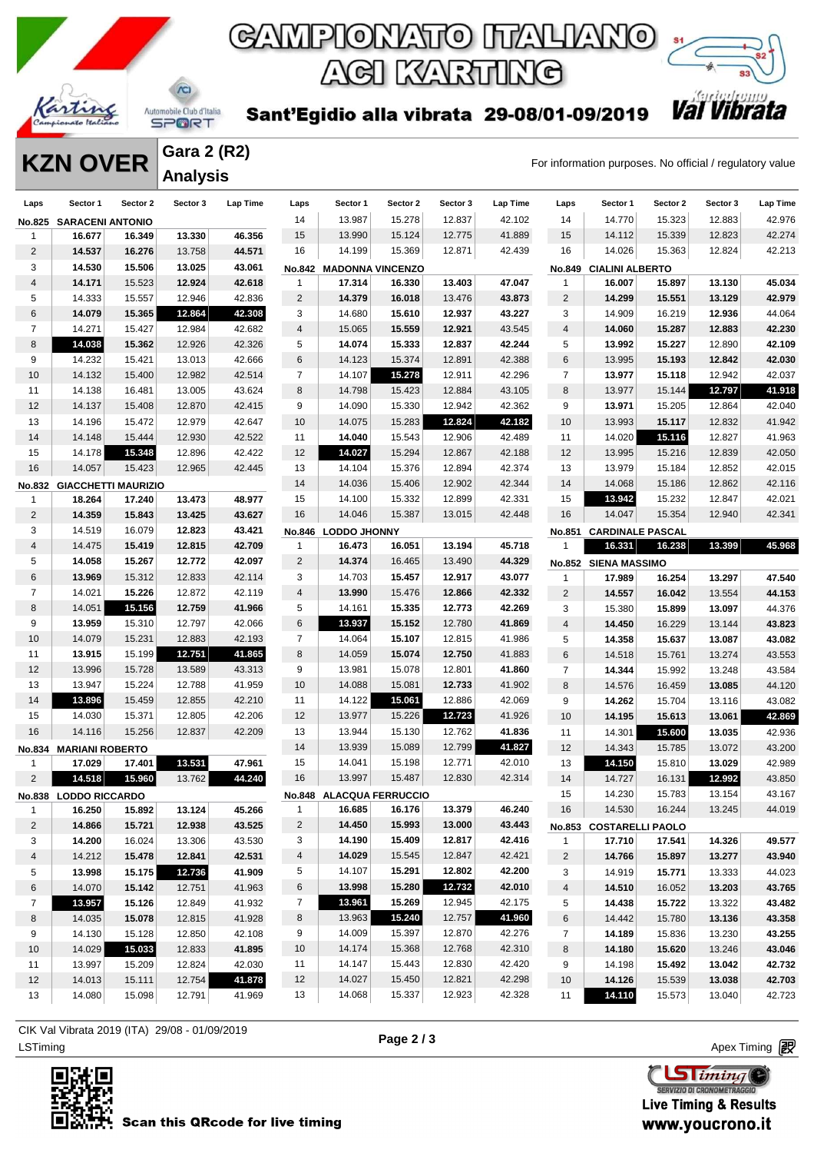

### Automobile Club d'Italia **SPORT**

Sant'Egidio alla vibrata 29-08/01-09/2019

ACI KARTING



**Gara 2 (R2) Analysis** 

**KZN OVER** Gara 2 (KZ)<br>For information purposes. No official / regulatory value

| Laps                   | Sector 1                   | Sector 2 | Sector 3 | Lap Time | Laps                          | Sector 1                      | Sector 2 | Sector 3 | Lap Time | Laps           | Sector 1                          | Sector 2 | Sector 3 | Lap Time |
|------------------------|----------------------------|----------|----------|----------|-------------------------------|-------------------------------|----------|----------|----------|----------------|-----------------------------------|----------|----------|----------|
| No.825                 | <b>SARACENI ANTONIO</b>    |          |          |          | 14                            | 13.987                        | 15.278   | 12.837   | 42.102   | 14             | 14.770                            | 15.323   | 12.883   | 42.976   |
| $\mathbf{1}$           | 16.677                     | 16.349   | 13.330   | 46.356   | 15                            | 13.990                        | 15.124   | 12.775   | 41.889   | 15             | 14.112                            | 15.339   | 12.823   | 42.274   |
| $\overline{2}$         | 14.537                     | 16.276   | 13.758   | 44.571   | 16                            | 14.199                        | 15.369   | 12.871   | 42.439   | 16             | 14.026                            | 15.363   | 12.824   | 42.213   |
| 3                      | 14.530                     | 15.506   | 13.025   | 43.061   |                               | No.842 MADONNA VINCENZO       |          |          |          | <b>No.849</b>  | <b>CIALINI ALBERTO</b>            |          |          |          |
| 4                      | 14.171                     | 15.523   | 12.924   | 42.618   | 1                             | 17.314                        | 16.330   | 13.403   | 47.047   | $\mathbf{1}$   | 16.007                            | 15.897   | 13.130   | 45.034   |
| 5                      | 14.333                     | 15.557   | 12.946   | 42.836   | $\overline{c}$                | 14.379                        | 16.018   | 13.476   | 43.873   | $\overline{c}$ | 14.299                            | 15.551   | 13.129   | 42.979   |
| 6                      | 14.079                     | 15.365   | 12.864   | 42.308   | 3                             | 14.680                        | 15.610   | 12.937   | 43.227   | 3              | 14.909                            | 16.219   | 12.936   | 44.064   |
| $\overline{7}$         | 14.271                     | 15.427   | 12.984   | 42.682   | $\overline{4}$                | 15.065                        | 15.559   | 12.921   | 43.545   | 4              | 14.060                            | 15.287   | 12.883   | 42.230   |
| 8                      | 14.038                     | 15.362   | 12.926   | 42.326   | 5                             | 14.074                        | 15.333   | 12.837   | 42.244   | 5              | 13.992                            | 15.227   | 12.890   | 42.109   |
| 9                      | 14.232                     | 15.421   | 13.013   | 42.666   | 6                             | 14.123                        | 15.374   | 12.891   | 42.388   | 6              | 13.995                            | 15.193   | 12.842   | 42.030   |
| 10                     | 14.132                     | 15.400   | 12.982   | 42.514   | $\overline{7}$                | 14.107                        | 15.278   | 12.911   | 42.296   | $\overline{7}$ | 13.977                            | 15.118   | 12.942   | 42.037   |
| 11                     | 14.138                     | 16.481   | 13.005   | 43.624   | 8                             | 14.798                        | 15.423   | 12.884   | 43.105   | 8              | 13.977                            | 15.144   | 12.797   | 41.918   |
| 12                     | 14.137                     | 15.408   | 12.870   | 42.415   | 9                             | 14.090                        | 15.330   | 12.942   | 42.362   | 9              | 13.971                            | 15.205   | 12.864   | 42.040   |
| 13                     | 14.196                     | 15.472   | 12.979   | 42.647   | 10                            | 14.075                        | 15.283   | 12.824   | 42.182   | 10             | 13.993                            | 15.117   | 12.832   | 41.942   |
| 14                     | 14.148                     | 15.444   | 12.930   | 42.522   | 11                            | 14.040                        | 15.543   | 12.906   | 42.489   | 11             | 14.020                            | 15.116   | 12.827   | 41.963   |
| 15                     | 14.178                     | 15.348   | 12.896   | 42.422   | 12                            | 14.027                        | 15.294   | 12.867   | 42.188   | 12             | 13.995                            | 15.216   | 12.839   | 42.050   |
| 16                     | 14.057                     | 15.423   | 12.965   | 42.445   | 13                            | 14.104                        | 15.376   | 12.894   | 42.374   | 13             | 13.979                            | 15.184   | 12.852   | 42.015   |
|                        | <b>GIACCHETTI MAURIZIO</b> |          |          |          | 14                            | 14.036                        | 15.406   | 12.902   | 42.344   | 14             | 14.068                            | 15.186   | 12.862   | 42.116   |
| No.832<br>$\mathbf{1}$ | 18.264                     | 17.240   | 13.473   | 48.977   | 15                            | 14.100                        | 15.332   | 12.899   | 42.331   | 15             | 13.942                            | 15.232   | 12.847   | 42.021   |
| $\overline{2}$         | 14.359                     | 15.843   | 13.425   | 43.627   | 16                            | 14.046                        | 15.387   | 13.015   | 42.448   | 16             | 14.047                            | 15.354   | 12.940   | 42.341   |
| 3                      | 14.519                     | 16.079   | 12.823   | 43.421   |                               |                               |          |          |          |                |                                   |          |          |          |
| 4                      | 14.475                     | 15.419   | 12.815   | 42.709   | <b>No.846</b><br>$\mathbf{1}$ | <b>LODDO JHONNY</b><br>16.473 | 16.051   | 13.194   | 45.718   | 1              | No.851 CARDINALE PASCAL<br>16.331 | 16.238   | 13.399   | 45.968   |
| 5                      | 14.058                     | 15.267   |          | 42.097   | $\overline{c}$                | 14.374                        | 16.465   | 13.490   |          |                |                                   |          |          |          |
|                        |                            |          | 12.772   |          |                               |                               |          |          | 44.329   |                | No.852 SIENA MASSIMO              |          |          |          |
| 6<br>$\overline{7}$    | 13.969                     | 15.312   | 12.833   | 42.114   | 3                             | 14.703                        | 15.457   | 12.917   | 43.077   | $\mathbf{1}$   | 17.989                            | 16.254   | 13.297   | 47.540   |
|                        | 14.021                     | 15.226   | 12.872   | 42.119   | $\overline{4}$                | 13.990                        | 15.476   | 12.866   | 42.332   | $\overline{c}$ | 14.557                            | 16.042   | 13.554   | 44.153   |
| 8                      | 14.051                     | 15.156   | 12.759   | 41.966   | 5                             | 14.161                        | 15.335   | 12.773   | 42.269   | 3              | 15.380                            | 15.899   | 13.097   | 44.376   |
| 9                      | 13.959                     | 15.310   | 12.797   | 42.066   | 6                             | 13.937                        | 15.152   | 12.780   | 41.869   | 4              | 14.450                            | 16.229   | 13.144   | 43.823   |
| 10                     | 14.079                     | 15.231   | 12.883   | 42.193   | $\overline{7}$                | 14.064                        | 15.107   | 12.815   | 41.986   | 5              | 14.358                            | 15.637   | 13.087   | 43.082   |
| 11                     | 13.915                     | 15.199   | 12.751   | 41.865   | 8                             | 14.059                        | 15.074   | 12.750   | 41.883   | 6              | 14.518                            | 15.761   | 13.274   | 43.553   |
| 12                     | 13.996                     | 15.728   | 13.589   | 43.313   | 9                             | 13.981                        | 15.078   | 12.801   | 41.860   | $\overline{7}$ | 14.344                            | 15.992   | 13.248   | 43.584   |
| 13                     | 13.947                     | 15.224   | 12.788   | 41.959   | 10                            | 14.088                        | 15.081   | 12.733   | 41.902   | 8              | 14.576                            | 16.459   | 13.085   | 44.120   |
| 14                     | 13.896                     | 15.459   | 12.855   | 42.210   | 11                            | 14.122                        | 15.061   | 12.886   | 42.069   | 9              | 14.262                            | 15.704   | 13.116   | 43.082   |
| 15                     | 14.030                     | 15.371   | 12.805   | 42.206   | 12                            | 13.977                        | 15.226   | 12.723   | 41.926   | 10             | 14.195                            | 15.613   | 13.061   | 42.869   |
| 16                     | 14.116                     | 15.256   | 12.837   | 42.209   | 13                            | 13.944                        | 15.130   | 12.762   | 41.836   | 11             | 14.301                            | 15.600   | 13.035   | 42.936   |
|                        | No.834 MARIANI ROBERTO     |          |          |          | 14                            | 13.939                        | 15.089   | 12.799   | 41.827   | 12             | 14.343                            | 15.785   | 13.072   | 43.200   |
| $\mathbf{1}$           | 17.029                     | 17.401   | 13.531   | 47.961   | 15                            | 14.041                        | 15.198   | 12.771   | 42.010   | 13             | 14.150                            | 15.810   | 13.029   | 42.989   |
| $\overline{2}$         | 14.518                     | 15.960   | 13.762   | 44.240   | 16                            | 13.997                        | 15.487   | 12.830   | 42.314   | 14             | 14.727                            | 16.131   | 12.992   | 43.850   |
|                        | No.838 LODDO RICCARDO      |          |          |          |                               | No.848 ALACQUA FERRUCCIO      |          |          |          | 15             | 14.230                            | 15.783   | 13.154   | 43.167   |
| -1                     | 16.250                     | 15.892   | 13.124   | 45.266   | 1                             | 16.685                        | 16.176   | 13.379   | 46.240   | 16             | 14.530                            | 16.244   | 13.245   | 44.019   |
| $\overline{2}$         | 14.866                     | 15.721   | 12.938   | 43.525   | $\overline{2}$                | 14.450                        | 15.993   | 13.000   | 43.443   |                | No.853 COSTARELLI PAOLO           |          |          |          |
| 3                      | 14.200                     | 16.024   | 13.306   | 43.530   | 3                             | 14.190                        | 15.409   | 12.817   | 42.416   | $\mathbf{1}$   | 17.710                            | 17.541   | 14.326   | 49.577   |
| 4                      | 14.212                     | 15.478   | 12.841   | 42.531   | 4                             | 14.029                        | 15.545   | 12.847   | 42.421   | $\overline{2}$ | 14.766                            | 15.897   | 13.277   | 43.940   |
| 5                      | 13.998                     | 15.175   | 12.736   | 41.909   | 5                             | 14.107                        | 15.291   | 12.802   | 42.200   | 3              | 14.919                            | 15.771   | 13.333   | 44.023   |
| 6                      | 14.070                     | 15.142   | 12.751   | 41.963   | 6                             | 13.998                        | 15.280   | 12.732   | 42.010   | 4              | 14.510                            | 16.052   | 13.203   | 43.765   |
| $\overline{7}$         | 13.957                     | 15.126   | 12.849   | 41.932   | 7                             | 13.961                        | 15.269   | 12.945   | 42.175   | 5              | 14.438                            | 15.722   | 13.322   | 43.482   |
| 8                      | 14.035                     | 15.078   | 12.815   | 41.928   | 8                             | 13.963                        | 15.240   | 12.757   | 41.960   | 6              | 14.442                            | 15.780   | 13.136   | 43.358   |
| 9                      | 14.130                     | 15.128   | 12.850   | 42.108   | 9                             | 14.009                        | 15.397   | 12.870   | 42.276   | $\overline{7}$ | 14.189                            | 15.836   | 13.230   | 43.255   |
| 10 <sup>°</sup>        | 14.029                     | 15.033   | 12.833   | 41.895   | 10                            | 14.174                        | 15.368   | 12.768   | 42.310   | 8              | 14.180                            | 15.620   | 13.246   | 43.046   |
| 11                     | 13.997                     | 15.209   | 12.824   | 42.030   | 11                            | 14.147                        | 15.443   | 12.830   | 42.420   | 9              | 14.198                            | 15.492   | 13.042   | 42.732   |
| 12                     | 14.013                     | 15.111   | 12.754   | 41.878   | 12                            | 14.027                        | 15.450   | 12.821   | 42.298   | 10             | 14.126                            | 15.539   | 13.038   | 42.703   |
| 13                     | 14.080                     | 15.098   | 12.791   | 41.969   | 13                            | 14.068                        | 15.337   | 12.923   | 42.328   | 11             | 14.110                            | 15.573   | 13.040   | 42.723   |

ex Timing Apex Timing Apex Timing Apex Timing Apex Timing Apex Timing Apex Timing CIK Val Vibrata 2019 (ITA) 29/08 - 01/09/2019



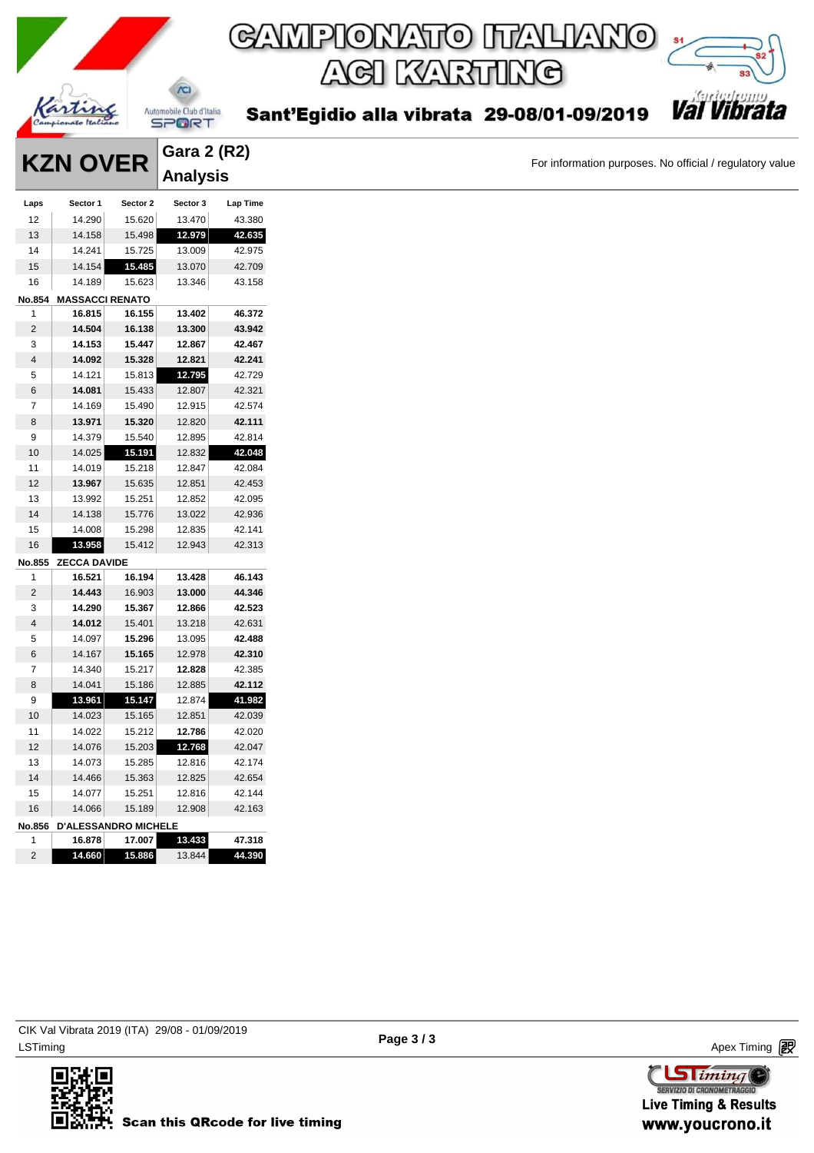

For information purposes. No official / regulatory value

|        | <b>KZN OVER</b>             |          | Gara 2 (R2) |          |
|--------|-----------------------------|----------|-------------|----------|
|        |                             |          | Analysis    |          |
| Laps   | Sector 1                    | Sector 2 | Sector 3    | Lap Time |
| 12     | 14.290                      | 15.620   | 13.470      | 43.380   |
| 13     | 14.158                      | 15.498   | 12.979      | 42.635   |
| 14     | 14.241                      | 15.725   | 13.009      | 42.975   |
| 15     | 14.154                      | 15.485   | 13.070      | 42.709   |
| 16     | 14.189                      | 15.623   | 13.346      | 43.158   |
| No.854 | <b>MASSACCI RENATO</b>      |          |             |          |
| 1      | 16.815                      | 16.155   | 13.402      | 46.372   |
| 2      | 14.504                      | 16.138   | 13.300      | 43.942   |
| 3      | 14.153                      | 15.447   | 12.867      | 42.467   |
| 4      | 14.092                      | 15.328   | 12.821      | 42.241   |
| 5      | 14.121                      | 15.813   | 12.795      | 42.729   |
| 6      | 14.081                      | 15.433   | 12.807      | 42.321   |
| 7      | 14.169                      | 15.490   | 12.915      | 42.574   |
| 8      | 13.971                      | 15.320   | 12.820      | 42.111   |
| 9      | 14.379                      | 15.540   | 12.895      | 42.814   |
| 10     | 14.025                      | 15.191   | 12.832      | 42.048   |
| 11     | 14.019                      | 15.218   | 12.847      | 42.084   |
| 12     | 13.967                      | 15.635   | 12.851      | 42.453   |
| 13     | 13.992                      | 15.251   | 12.852      | 42.095   |
| 14     | 14.138                      | 15.776   | 13.022      | 42.936   |
| 15     | 14.008                      | 15.298   | 12.835      | 42.141   |
| 16     | 13.958                      | 15.412   | 12.943      | 42.313   |
| No.855 | <b>ZECCA DAVIDE</b>         |          |             |          |
| 1      | 16.521                      | 16.194   | 13.428      | 46.143   |
| 2      | 14.443                      | 16.903   | 13.000      | 44.346   |
| 3      | 14.290                      | 15.367   | 12.866      | 42.523   |
| 4      | 14.012                      | 15.401   | 13.218      | 42.631   |
| 5      | 14.097                      | 15.296   | 13.095      | 42.488   |
| 6      | 14.167                      | 15.165   | 12.978      | 42.310   |
| 7      | 14.340                      | 15.217   | 12.828      | 42.385   |
| 8      | 14.041                      | 15.186   | 12.885      | 42.112   |
| 9      | 13.961                      | 15.147   | 12.874      | 41.982   |
| 10     | 14.023                      | 15.165   | 12.851      | 42.039   |
| 11     | 14.022                      | 15.212   | 12.786      | 42.020   |
| 12     | 14.076                      | 15.203   | 12.768      | 42.047   |
| 13     | 14.073                      | 15.285   | 12.816      | 42.174   |
| 14     | 14.466                      | 15.363   | 12.825      | 42.654   |
| 15     | 14.077                      | 15.251   | 12.816      | 42.144   |
| 16     | 14.066                      | 15.189   | 12.908      | 42.163   |
| No.856 | <b>D'ALESSANDRO MICHELE</b> |          |             |          |
| 1      | 16.878                      | 17.007   | 13.433      | 47.318   |
| 2      | 14.660                      | 15.886   | 13.844      | 44.390   |
|        |                             |          |             |          |



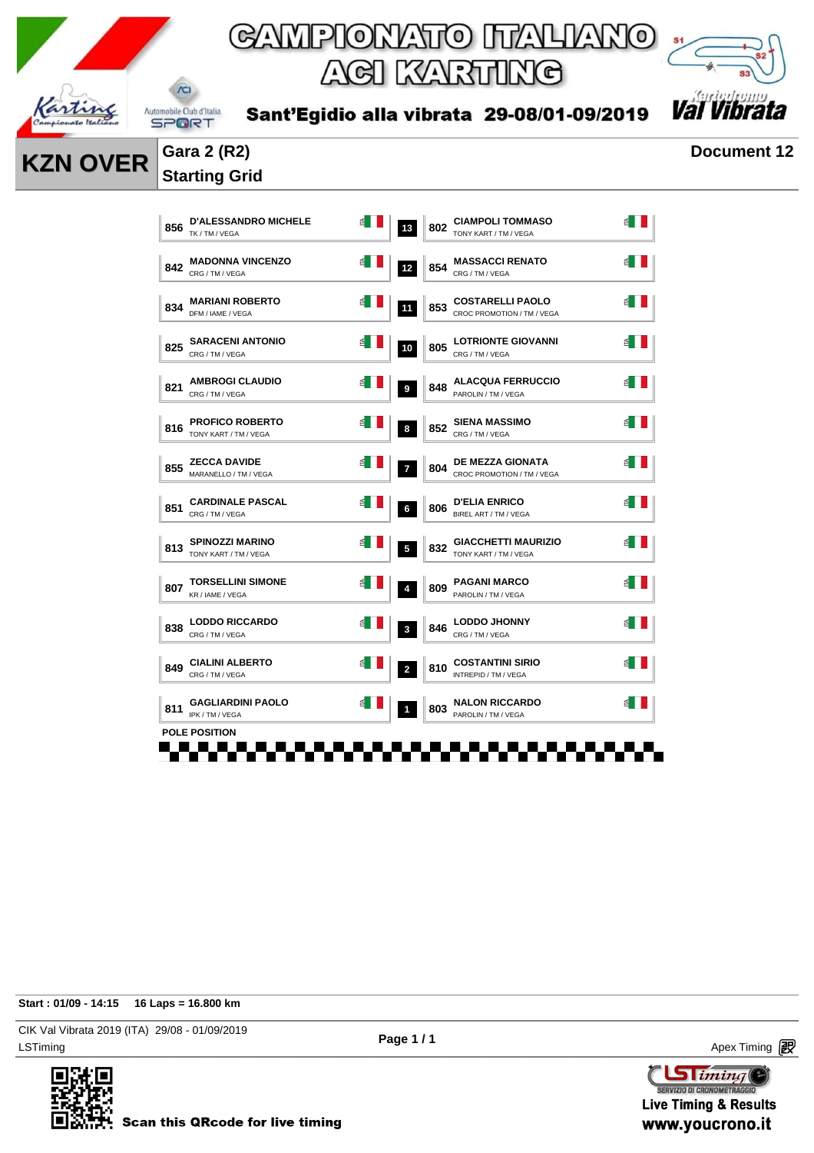

Sant'Egidio alla vibrata 29-08/01-09/2019



**KZN OVER** Gara 2 (R2) **Document 12** 

### **Starting Grid**

| 856 | <b>D'ALESSANDRO MICHELE</b><br>TK / TM / VEGA   | 녝 | 13                      | 802 | <b>CIAMPOLI TOMMASO</b><br>TONY KART / TM / VEGA      | ₫  |
|-----|-------------------------------------------------|---|-------------------------|-----|-------------------------------------------------------|----|
| 842 | <b>MADONNA VINCENZO</b><br>CRG / TM / VEGA      |   | 12                      | 854 | <b>MASSACCI RENATO</b><br>CRG / TM / VEGA             |    |
| 834 | <b>MARIANI ROBERTO</b><br>DFM / IAME / VEGA     | € | 11                      | 853 | <b>COSTARELLI PAOLO</b><br>CROC PROMOTION / TM / VEGA | ₫  |
| 825 | <b>SARACENI ANTONIO</b><br>CRG / TM / VEGA      | ₫ | 10                      | 805 | <b>LOTRIONTE GIOVANNI</b><br>CRG / TM / VEGA          |    |
| 821 | <b>AMBROGI CLAUDIO</b><br>CRG / TM / VEGA       | 舀 | 9                       | 848 | <b>ALACQUA FERRUCCIO</b><br>PAROLIN / TM / VEGA       |    |
| 816 | <b>PROFICO ROBERTO</b><br>TONY KART / TM / VEGA |   | 8                       | 852 | <b>SIENA MASSIMO</b><br>CRG / TM / VEGA               |    |
| 855 | <b>ZECCA DAVIDE</b><br>MARANELLO / TM / VEGA    | 뎹 | $\overline{ }$          | 804 | <b>DE MEZZA GIONATA</b><br>CROC PROMOTION / TM / VEGA | 18 |
| 851 | <b>CARDINALE PASCAL</b><br>CRG / TM / VEGA      | ₿ | 6                       | 806 | <b>D'ELIA ENRICO</b><br>BIREL ART / TM / VEGA         |    |
| 813 | <b>SPINOZZI MARINO</b><br>TONY KART / TM / VEGA | 욉 | $\overline{\mathbf{5}}$ | 832 | <b>GIACCHETTI MAURIZIO</b><br>TONY KART / TM / VEGA   |    |
| 807 | <b>TORSELLINI SIMONE</b><br>KR / IAME / VEGA    |   | $\overline{4}$          | 809 | <b>PAGANI MARCO</b><br>PAROLIN / TM / VEGA            |    |
| 838 | <b>LODDO RICCARDO</b><br>CRG / TM / VEGA        | ₫ | 3                       | 846 | <b>LODDO JHONNY</b><br>CRG / TM / VEGA                |    |
| 849 | <b>CIALINI ALBERTO</b><br>CRG / TM / VEGA       |   | $\overline{2}$          | 810 | <b>COSTANTINI SIRIO</b><br>INTREPID / TM / VEGA       |    |
| 811 | <b>GAGLIARDINI PAOLO</b><br>IPK / TM / VEGA     | ఆ | $\mathbf{1}$            | 803 | <b>NALON RICCARDO</b><br>PAROLIN / TM / VEGA          |    |
|     | <b>POLE POSITION</b>                            |   |                         |     |                                                       |    |

**Start : 01/09 - 14:15 16 Laps = 16.800 km**

LSTiming Apex Timing Apex Timing Apex Timing Apex Timing Apex Timing Apex Timing Apex Timing CIK Val Vibrata 2019 (ITA) 29/08 - 01/09/2019



**Page 1 / 1**

**Sliming** SERVIZIO DI CRONOMETRAGG **Live Timing & Results** www.youcrono.it

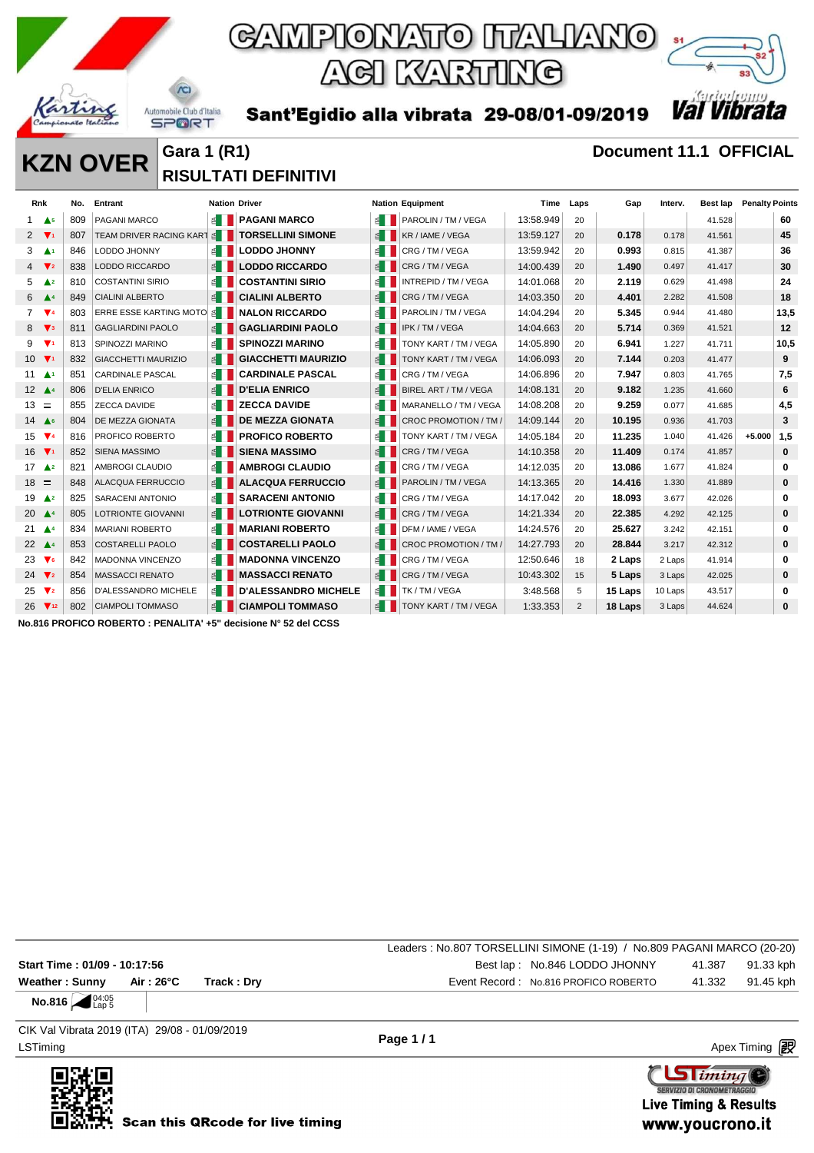

*Val Vib* Sant'Egidio alla vibrata 29-08/01-09/2019

**KZN OVER** Gara 1 (R1) **COVER GARA 1 (R1) Document 11.1 OFFICIAL RISULTATI DEFINITIVI** 

|                 | Rnk                           | No. | <b>Entrant</b>              |                       | <b>Nation Driver</b>        |                        | <b>Nation Equipment</b> | Time      | Laps | Gap     | Interv. | Best lap | <b>Penalty Points</b> |          |
|-----------------|-------------------------------|-----|-----------------------------|-----------------------|-----------------------------|------------------------|-------------------------|-----------|------|---------|---------|----------|-----------------------|----------|
|                 | A <sub>5</sub>                | 809 | <b>PAGANI MARCO</b>         | $\leq$ $\blacksquare$ | <b>PAGANI MARCO</b>         |                        | E   PAROLIN / TM / VEGA | 13:58.949 | 20   |         |         | 41.528   |                       | 60       |
| 2               | $\mathbf{V}$                  | 807 | TEAM DRIVER RACING KART     | $\leq$ $\blacksquare$ | <b>TORSELLINI SIMONE</b>    |                        | KR / IAME / VEGA        | 13:59.127 | 20   | 0.178   | 0.178   | 41.561   |                       | 45       |
| 3               | $\blacktriangle$ 1            | 846 | LODDO JHONNY                | $\leq$ $\blacksquare$ | <b>LODDO JHONNY</b>         |                        | CRG / TM / VEGA         | 13:59.942 | 20   | 0.993   | 0.815   | 41.387   |                       | 36       |
| $\overline{4}$  | $\Psi$ <sub>2</sub>           | 838 | <b>LODDO RICCARDO</b>       |                       | <b>LODDO RICCARDO</b>       |                        | CRG/TM/VEGA             | 14:00.439 | 20   | 1.490   | 0.497   | 41.417   |                       | 30       |
| 5               | $\triangle^2$                 | 810 | <b>COSTANTINI SIRIO</b>     |                       | <b>COSTANTINI SIRIO</b>     |                        | INTREPID / TM / VEGA    | 14:01.068 | 20   | 2.119   | 0.629   | 41.498   |                       | 24       |
| 6               | $\blacktriangle^4$            | 849 | <b>CIALINI ALBERTO</b>      | $\leq$                | <b>CIALINI ALBERTO</b>      |                        | CRG / TM / VEGA         | 14:03.350 | 20   | 4.401   | 2.282   | 41.508   |                       | 18       |
| $7^{\circ}$     | $\Psi$ 4                      | 803 | ERRE ESSE KARTING MOTO      | ≦ II                  | <b>NALON RICCARDO</b>       |                        | PAROLIN / TM / VEGA     | 14:04.294 | 20   | 5.345   | 0.944   | 41.480   |                       | 13,5     |
| 8               | $\mathbf{V}$ <sub>3</sub>     | 811 | <b>GAGLIARDINI PAOLO</b>    |                       | <b>GAGLIARDINI PAOLO</b>    |                        | IPK / TM / VEGA         | 14:04.663 | 20   | 5.714   | 0.369   | 41.521   |                       | 12       |
| 9               | $\Psi$                        | 813 | <b>SPINOZZI MARINO</b>      | ≝ ∐                   | <b>SPINOZZI MARINO</b>      |                        | TONY KART / TM / VEGA   | 14:05.890 | 20   | 6.941   | 1.227   | 41.711   |                       | 10,5     |
| 10 <sup>1</sup> | $\Psi_1$                      | 832 | <b>GIACCHETTI MAURIZIO</b>  | 图                     | <b>GIACCHETTI MAURIZIO</b>  |                        | TONY KART / TM / VEGA   | 14:06.093 | 20   | 7.144   | 0.203   | 41.477   |                       | 9        |
|                 | $11 - 41$                     | 851 | <b>CARDINALE PASCAL</b>     | $\leq$                | <b>CARDINALE PASCAL</b>     | 图                      | CRG/TM/VEGA             | 14:06.896 | 20   | 7.947   | 0.803   | 41.765   |                       | 7,5      |
|                 | 12 $\triangle$ 4              | 806 | <b>D'ELIA ENRICO</b>        |                       | <b>D'ELIA ENRICO</b>        | $\leq$ $\vert$ $\vert$ | BIREL ART / TM / VEGA   | 14:08.131 | 20   | 9.182   | 1.235   | 41.660   |                       | 6        |
| $13 =$          |                               | 855 | <b>ZECCA DAVIDE</b>         |                       | <b>ZECCA DAVIDE</b>         |                        | MARANELLO / TM / VEGA   | 14:08.208 | 20   | 9.259   | 0.077   | 41.685   |                       | 4,5      |
|                 | 14 $\triangle$ 6              | 804 | <b>DE MEZZA GIONATA</b>     |                       | <b>DE MEZZA GIONATA</b>     |                        | CROC PROMOTION / TM /   | 14:09.144 | 20   | 10.195  | 0.936   | 41.703   |                       | 3        |
| 15              | $\Psi$ 4                      | 816 | PROFICO ROBERTO             | 图                     | <b>PROFICO ROBERTO</b>      |                        | TONY KART / TM / VEGA   | 14:05.184 | 20   | 11.235  | 1.040   | 41.426   | $+5.000$              | 1,5      |
|                 | 16 $\Psi$ <sup>1</sup>        | 852 | <b>SIENA MASSIMO</b>        |                       | <b>SIENA MASSIMO</b>        |                        | CRG / TM / VEGA         | 14:10.358 | 20   | 11.409  | 0.174   | 41.857   |                       | 0        |
| 17              | $\triangle^2$                 | 821 | AMBROGI CLAUDIO             | £ II                  | <b>AMBROGI CLAUDIO</b>      | $\leq$ 1               | CRG / TM / VEGA         | 14:12.035 | 20   | 13.086  | 1.677   | 41.824   |                       | $\bf{0}$ |
| $18 =$          |                               | 848 | <b>ALACQUA FERRUCCIO</b>    | $\leq$                | <b>ALACQUA FERRUCCIO</b>    |                        | PAROLIN / TM / VEGA     | 14:13.365 | 20   | 14.416  | 1.330   | 41.889   |                       | 0        |
| 19              | $\triangle^2$                 | 825 | <b>SARACENI ANTONIO</b>     |                       | <b>SARACENI ANTONIO</b>     |                        | CRG / TM / VEGA         | 14:17.042 | 20   | 18.093  | 3.677   | 42.026   |                       | $\bf{0}$ |
| 20              | $\blacktriangle^4$            | 805 | <b>LOTRIONTE GIOVANNI</b>   |                       | <b>LOTRIONTE GIOVANNI</b>   | € II                   | CRG / TM / VEGA         | 14:21.334 | 20   | 22.385  | 4.292   | 42.125   |                       | $\bf{0}$ |
| 21              | $\blacktriangle$ <sup>4</sup> | 834 | <b>MARIANI ROBERTO</b>      |                       | <b>MARIANI ROBERTO</b>      | ≝ ∣                    | DFM / IAME / VEGA       | 14:24.576 | 20   | 25.627  | 3.242   | 42.151   |                       | 0        |
|                 | 22 $\triangle$ 4              | 853 | <b>COSTARELLI PAOLO</b>     | $\leq$                | <b>COSTARELLI PAOLO</b>     |                        | CROC PROMOTION / TM /   | 14:27.793 | 20   | 28.844  | 3.217   | 42.312   |                       | $\bf{0}$ |
| 23              | $\mathbf{V}$ <sub>6</sub>     | 842 | <b>MADONNA VINCENZO</b>     | $\leq$                | <b>MADONNA VINCENZO</b>     | 图                      | CRG/TM/VEGA             | 12:50.646 | 18   | 2 Laps  | 2 Laps  | 41.914   |                       | $\bf{0}$ |
| 24              | $\Psi$ <sub>2</sub>           | 854 | <b>MASSACCI RENATO</b>      | 图                     | <b>MASSACCI RENATO</b>      |                        | CRG / TM / VEGA         | 10:43.302 | 15   | 5 Laps  | 3 Laps  | 42.025   |                       | 0        |
| 25              | $\mathbf{V}$ <sub>2</sub>     | 856 | <b>D'ALESSANDRO MICHELE</b> | ≝ ।                   | <b>D'ALESSANDRO MICHELE</b> | € II                   | TK / TM / VEGA          | 3:48.568  | 5    | 15 Laps | 10 Laps | 43.517   |                       | $\bf{0}$ |
|                 | $26 \sqrt{12}$                | 802 | <b>CIAMPOLI TOMMASO</b>     | $\leq$ $\parallel$    | <b>CIAMPOLI TOMMASO</b>     |                        | TONY KART / TM / VEGA   | 1:33.353  | 2    | 18 Laps | 3 Laps  | 44.624   |                       | 0        |

**No.816 PROFICO ROBERTO : PENALITA' +5" decisione N° 52 del CCSS**

Leaders : No.807 TORSELLINI SIMONE (1-19) / No.809 PAGANI MARCO (20-20) **Start Time : 01/09 - 10:17:56 Best lap : 01/09 - 10:17:56 Best lap : 02:05 CODDO JHONNY** 41.387 91.33 kph **Weather : Sunny Air : 26°C Track : Dry** Event Record : No.816 PROFICO ROBERTO 41.332 91.45 kph

**No.816**  $\bigcup_{\text{Lap 5}} 04:05$ 

LSTiming Apex Timing Apex Timing Apex Timing Apex Timing Apex Timing Apex Timing Apex Timing CIK Val Vibrata 2019 (ITA) 29/08 - 01/09/2019

**Page 1 / 1**

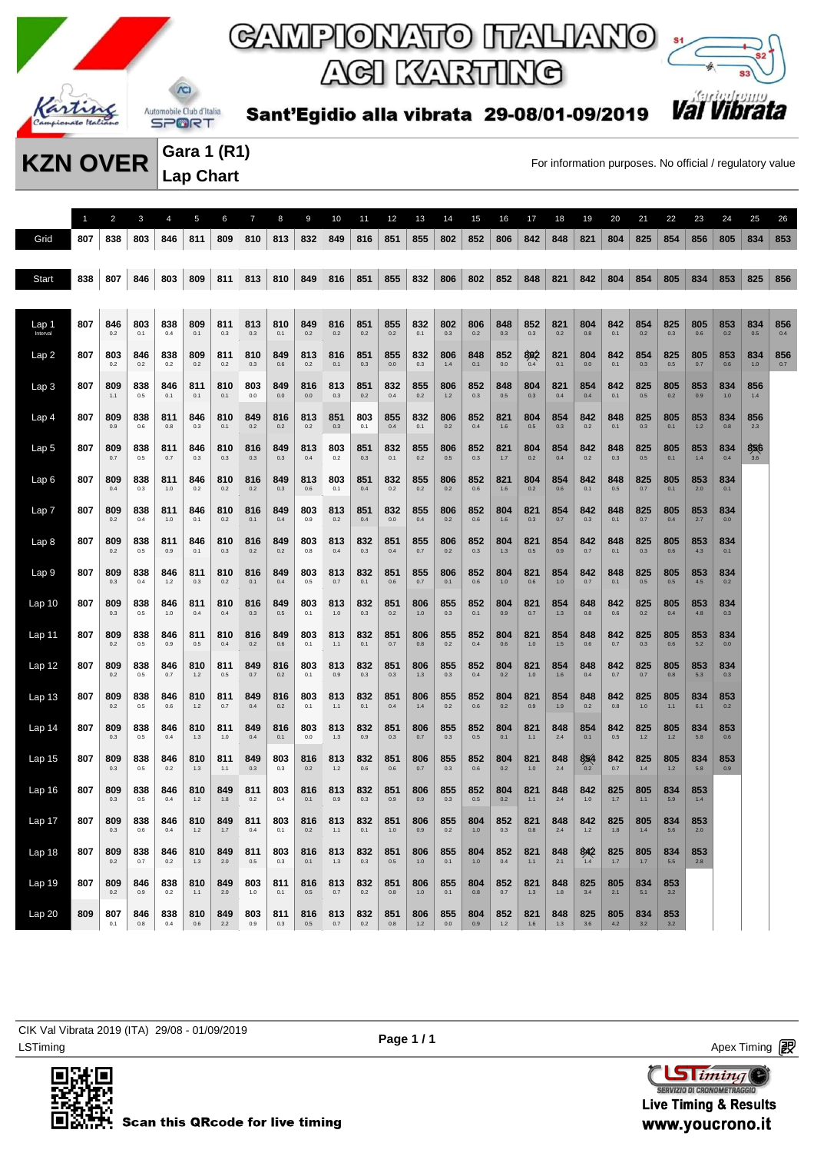



Sant'Egidio alla vibrata 29-08/01-09/2019

**Gara 1 (R1) Lap Chart** 

**KZN OVER** Gara 1 (K1)<br>For information purposes. No official / regulatory value

|                   | $\overline{1}$ | $\overline{2}$ | 3              | $\overline{4}$ | 5              | 6              | $\overline{7}$ | 8          | 9          | 10           | 11             | 12             | 13             | 14             | 15         | 16         | 17             | 18             | 19         | 20         | 21           | 22           | 23           | 24         | 25           | 26         |
|-------------------|----------------|----------------|----------------|----------------|----------------|----------------|----------------|------------|------------|--------------|----------------|----------------|----------------|----------------|------------|------------|----------------|----------------|------------|------------|--------------|--------------|--------------|------------|--------------|------------|
| Grid              | 807            | 838            | 803            | 846            | 811            | 809            | 810            | 813        | 832        | 849          | 816            | 851            | 855            | 802            | 852        | 806        | 842            | 848            | 821        | 804        | 825          | 854          | 856          | 805        | 834          | 853        |
| <b>Start</b>      | 838            | 807            | 846            | 803            | 809            | 811            | 813            | 810        | 849        | 816          | 851            | 855            | 832            | 806            | 802        | 852        | 848            | 821            | 842        | 804        | 854          | 805          | 834          | 853        | 825          | 856        |
|                   |                |                |                |                |                |                |                |            |            |              |                |                |                |                |            |            |                |                |            |            |              |              |              |            |              |            |
| Lap 1<br>Interval | 807            | 846<br>0.2     | 803<br>0.1     | 838<br>0.4     | 809<br>0.1     | 811<br>0.3     | 813<br>0.3     | 810<br>0.1 | 849<br>0.2 | 816<br>0.2   | 851<br>0.2     | 855<br>0.2     | 832<br>0.1     | 802<br>$0.3\,$ | 806<br>0.2 | 848<br>0.3 | 852<br>0.3     | 821<br>0.2     | 804<br>0.8 | 842<br>0.1 | 854<br>0.2   | 825<br>0.3   | 805<br>0.6   | 853<br>0.2 | 834<br>0.5   | 856<br>0.4 |
| Lap2              | 807            | 803<br>0.2     | 846<br>0.2     | 838<br>0.2     | 809<br>0.2     | 811<br>0.2     | 810<br>0.3     | 849<br>0.6 | 813<br>0.2 | 816<br>0.1   | 851<br>0.3     | 855<br>0.0     | 832<br>0.3     | 806<br>1.4     | 848<br>0.1 | 852<br>0.0 | 802<br>0.4     | 821<br>0.1     | 804<br>0.0 | 842<br>0.1 | 854<br>0.3   | 825<br>0.5   | 805<br>0.7   | 853<br>0.6 | 834<br>$1.0$ | 856<br>0.7 |
| Lap <sub>3</sub>  | 807            | 809<br>1.1     | 838<br>0.5     | 846<br>0.1     | 811<br>0.1     | 810<br>0.1     | 803<br>0.0     | 849<br>0.0 | 816<br>0.0 | 813<br>0.3   | 851<br>0.2     | 832<br>0.4     | 855<br>0.2     | 806<br>$1.2$   | 852<br>0.3 | 848<br>0.5 | 804<br>0.3     | 821<br>0.4     | 854<br>0.4 | 842<br>0.1 | 825<br>0.5   | 805<br>0.2   | 853<br>0.9   | 834<br>1.0 | 856<br>1.4   |            |
| Lap <sub>4</sub>  | 807            | 809<br>0.9     | 838<br>0.6     | 811<br>0.8     | 846<br>0.3     | 810<br>0.1     | 849<br>0.2     | 816<br>0.2 | 813<br>0.2 | 851<br>0.3   | 803<br>0.1     | 855<br>0.4     | 832<br>0.1     | 806<br>0.2     | 852<br>0.4 | 821<br>1.6 | 804<br>0.5     | 854<br>$0.3\,$ | 842<br>0.2 | 848<br>0.1 | 825<br>0.3   | 805<br>0.1   | 853<br>1.2   | 834<br>0.8 | 856<br>2.3   |            |
| Lap <sub>5</sub>  | 807            | 809<br>0.7     | 838<br>0.5     | 811<br>0.7     | 846<br>0.3     | 810<br>0.3     | 816<br>0.3     | 849<br>0.3 | 813<br>0.4 | 803<br>0.2   | 851<br>0.3     | 832<br>0.1     | 855<br>0.2     | 806<br>0.5     | 852<br>0.3 | 821<br>1.7 | 804<br>0.2     | 854<br>0.4     | 842<br>0.2 | 848<br>0.3 | 825<br>0.5   | 805<br>0.1   | 853<br>1.4   | 834<br>0.4 | 856<br>3.6   |            |
| Lap6              | 807            | 809<br>0.4     | 838<br>0.3     | 811<br>1.0     | 846<br>0.2     | 810<br>0.2     | 816<br>0.2     | 849<br>0.3 | 813<br>0.6 | 803<br>0.1   | 851<br>0.4     | 832<br>0.2     | 855<br>0.2     | 806<br>0.2     | 852<br>0.6 | 821<br>1.6 | 804<br>0.2     | 854<br>0.6     | 842<br>0.1 | 848<br>0.5 | 825<br>0.7   | 805<br>0.1   | 853<br>2.0   | 834<br>0.1 |              |            |
| Lap 7             | 807            | 809<br>0.2     | 838<br>0.4     | 811<br>1.0     | 846<br>0.1     | 810<br>0.2     | 816<br>0.1     | 849<br>0.4 | 803<br>0.9 | 813<br>0.2   | 851<br>0.4     | 832<br>0.0     | 855<br>0.4     | 806<br>0.2     | 852<br>0.6 | 804<br>1.6 | 821<br>0.3     | 854<br>0.7     | 842<br>0.3 | 848<br>0.1 | 825<br>0.7   | 805<br>0.4   | 853<br>2.7   | 834<br>0.0 |              |            |
| Lap <sub>8</sub>  | 807            | 809            | 838            | 811<br>0.9     | 846            | 810            | 816            | 849        | 803        | 813<br>0.4   | 832            | 851            | 855            | 806            | 852        | 804        | 821<br>0.5     | 854            | 842        | 848        | 825          | 805          | 853          | 834        |              |            |
| Lap <sub>9</sub>  | 807            | 0.2<br>809     | 0.5<br>838     | 846            | 0.1<br>811     | 0.3<br>810     | 0.2<br>816     | 0.2<br>849 | 0.8<br>803 | 813          | 0.3<br>832     | 0.4<br>851     | $0.7\,$<br>855 | 0.2<br>806     | 0.3<br>852 | 1.3<br>804 | 821            | 0.9<br>854     | 0.7<br>842 | 0.1<br>848 | 0.3<br>825   | 0.6<br>805   | 4.3<br>853   | 0.1<br>834 |              |            |
| Lap <sub>10</sub> | 807            | 0.3<br>809     | 0.4<br>838     | $1.2$<br>846   | 0.3<br>811     | 0.2<br>810     | 0.1<br>816     | 0.4<br>849 | 0.5<br>803 | 0.7<br>813   | 0.1<br>832     | 0.6<br>851     | 0.7<br>806     | 0.1<br>855     | 0.6<br>852 | 1.0<br>804 | 0.6<br>821     | $1.0$<br>854   | 0.7<br>848 | 0.1<br>842 | 0.5<br>825   | 0.5<br>805   | 4.5<br>853   | 0.2<br>834 |              |            |
| Lap 11            | 807            | 0.3<br>809     | 0.5<br>838     | $1.0$<br>846   | 0.4<br>811     | 0.4<br>810     | $0.3\,$<br>816 | 0.5<br>849 | 0.1<br>803 | 1.0<br>813   | 0.3<br>832     | 0.2<br>851     | $1.0$<br>806   | $0.3\,$<br>855 | 0.1<br>852 | 0.9<br>804 | $0.7\,$<br>821 | 1.3<br>854     | 0.8<br>848 | 0.6<br>842 | 0.2<br>825   | 0.4<br>805   | 4.8<br>853   | 0.3<br>834 |              |            |
| Lap 12            | 807            | 0.2<br>809     | $0.5\,$<br>838 | 0.9<br>846     | $0.5\,$<br>810 | 0.4<br>811     | 0.2<br>849     | 0.6<br>816 | 0.1<br>803 | 1.1<br>813   | 0.1<br>832     | 0.7<br>851     | $0.8\,$<br>806 | $0.2\,$<br>855 | 0.4<br>852 | 0.6<br>804 | 1.0<br>821     | $1.5$<br>854   | 0.6<br>848 | 0.7<br>842 | 0.3<br>825   | 0.6<br>805   | 5.2<br>853   | 0.0<br>834 |              |            |
| Lap <sub>13</sub> | 807            | 0.2<br>809     | 0.5<br>838     | 0.7<br>846     | $1.2$<br>810   | 0.5<br>811     | 0.7<br>849     | 0.2<br>816 | 0.1<br>803 | 0.9<br>813   | 0.3<br>832     | 0.3<br>851     | $1.3$<br>806   | 0.3<br>855     | 0.4<br>852 | 0.2<br>804 | 1.0<br>821     | 1.6<br>854     | 0.4<br>848 | 0.7<br>842 | 0.7<br>825   | 0.8<br>805   | 5.3<br>834   | 0.3<br>853 |              |            |
|                   |                | 0.2            | 0.5            | 0.6            | $1.2$          | 0.7            | 0.4            | 0.2        | 0.1        | 1.1          | 0.1            | 0.4            | 1.4            | 0.2            | 0.6        | 0.2        | 0.9            | 1.9            | 0.2        | 0.8        | 1.0          | 1.1          | 6.1          | 0.2        |              |            |
| Lap 14            | 807            | 809<br>0.3     | 838<br>0.5     | 846<br>0.4     | 810<br>1.3     | 811<br>1.0     | 849<br>0.4     | 816<br>0.1 | 803<br>0.0 | 813<br>1.3   | 832<br>0.9     | 851<br>0.3     | 806<br>0.7     | 855<br>0.3     | 852<br>0.5 | 804<br>0.1 | 821<br>1.1     | 848<br>2.4     | 854<br>0.1 | 842<br>0.5 | 825<br>$1.2$ | 805<br>$1.2$ | 834<br>5.8   | 853<br>0.6 |              |            |
| Lap <sub>15</sub> | 807            | 809<br>0.3     | 838<br>0.5     | 846<br>0.2     | 810<br>1.3     | 811<br>1.1     | 849<br>$0.3\,$ | 803<br>0.3 | 816<br>0.2 | 813<br>$1.2$ | 832<br>0.6     | 851<br>0.6     | 806<br>0.7     | 855<br>0.3     | 852<br>0.6 | 804<br>0.2 | 821<br>1.0     | 848<br>2.4     | 854<br>0.2 | 842<br>0.7 | 825<br>1.4   | 805<br>1.2   | 834<br>5.8   | 853<br>0.9 |              |            |
| Lap <sub>16</sub> | 807            | 809<br>0.3     | 838<br>0.5     | 846<br>0.4     | 810<br>1.2     | 849<br>1.8     | 811<br>0.2     | 803<br>0.4 | 816<br>0.1 | 813<br>0.9   | 832<br>0.3     | 851<br>0.9     | 806<br>0.9     | 855<br>0.3     | 852<br>0.5 | 804<br>0.2 | 821<br>$1.1$   | 848<br>2.4     | 842<br>1.0 | 825<br>1.7 | 805<br>1.1   | 834<br>5.9   | 853<br>$1.4$ |            |              |            |
| Lap 17            | 807            | 809<br>0.3     | 838<br>0.6     | 846<br>0.4     | 810<br>$1.2$   | 849<br>1.7     | 811<br>0.4     | 803<br>0.1 | 816<br>0.2 | 813<br>1.1   | 832<br>0.1     | 851<br>$1.0$   | 806<br>0.9     | 855<br>$0.2\,$ | 804<br>1.0 | 852<br>0.3 | 821<br>$0.8\,$ | 848<br>$2.4\,$ | 842<br>1.2 | 825<br>1.8 | 805<br>1.4   | 834<br>5.6   | 853<br>2.0   |            |              |            |
| Lap 18            | 807            | 809<br>0.2     | 838<br>0.7     | 846<br>0.2     | 810<br>1.3     | 849<br>$2.0\,$ | 811<br>0.5     | 803<br>0.3 | 816<br>0.1 | 813<br>1.3   | 832<br>0.3     | 851<br>0.5     | 806<br>$1.0$   | 855<br>0.1     | 804<br>1.0 | 852<br>0.4 | 821<br>$1.1$   | 848<br>2.1     | 842        | 825<br>1.7 | 805<br>1.7   | 834<br>5.5   | 853<br>2.8   |            |              |            |
| Lap19             | 807            | 809<br>0.2     | 846<br>0.9     | 838<br>0.2     | 810<br>1.1     | 849<br>2.0     | 803<br>1.0     | 811<br>0.1 | 816<br>0.5 | 813<br>0.7   | 832<br>0.2     | 851<br>0.8     | 806<br>1.0     | 855<br>0.1     | 804<br>0.8 | 852<br>0.7 | 821<br>1.3     | 848<br>1.8     | 825<br>3.4 | 805<br>2.1 | 834<br>5.1   | 853<br>3.2   |              |            |              |            |
| Lap 20            | 809            | 807<br>0.1     | 846<br>0.8     | 838<br>0.4     | 810<br>0.6     | 849<br>$2.2\,$ | 803<br>0.9     | 811<br>0.3 | 816<br>0.5 | 813<br>0.7   | 832<br>$0.2\,$ | 851<br>$0.8\,$ | 806<br>$1.2$   | 855<br>$0.0\,$ | 804<br>0.9 | 852<br>1.2 | 821<br>1.6     | 848<br>$1.3$   | 825<br>3.6 | 805<br>4.2 | 834<br>3.2   | 853<br>3.2   |              |            |              |            |

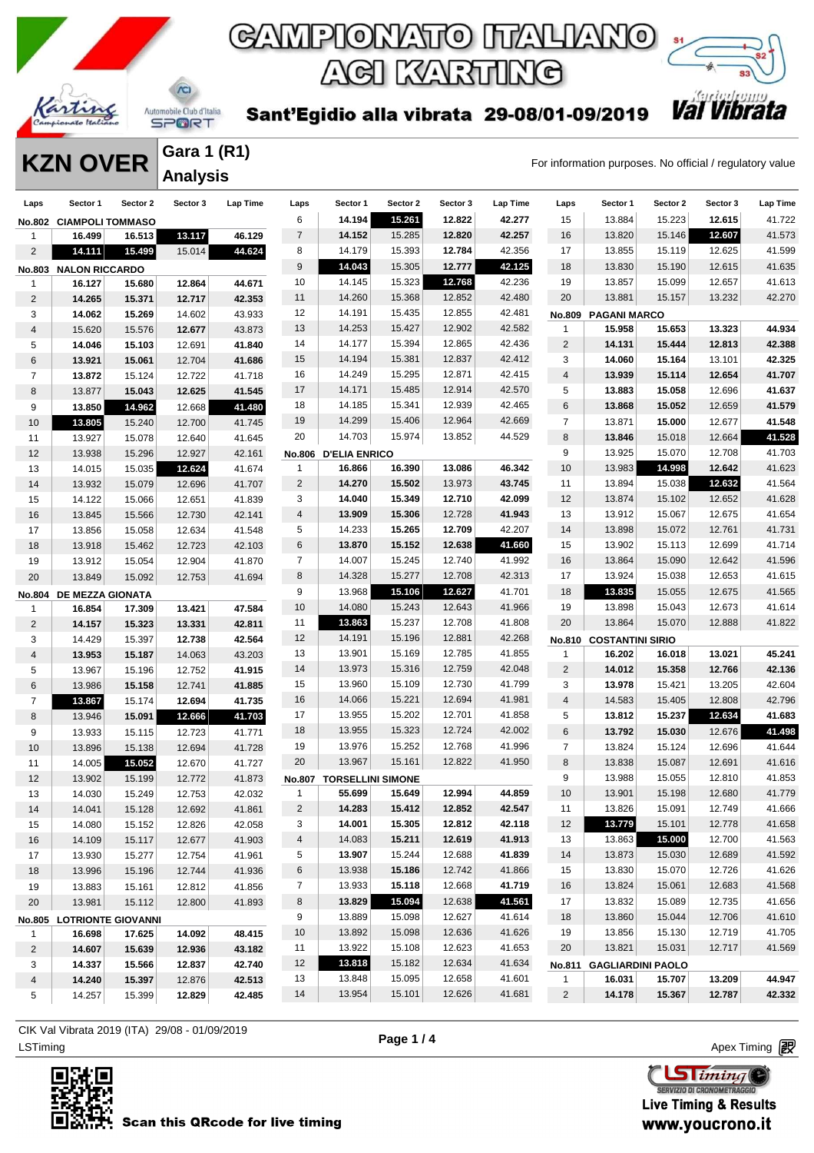

### $\Lambda$ Automobile Club d'Italia **SPORT**

**Gara 1 (R1) Analysis** 

Sant'Egidio alla vibrata 29-08/01-09/2019

AGI KARTING

GAMPIONATO ITALIANO

**KZN OVER** Gara 1 (K1)<br>For information purposes. No official / regulatory value

*Val Vibrata* 

| Laps           | Sector 1                  | Sector 2 | Sector 3 | <b>Lap Time</b> | Laps           | Sector 1                 | Sector 2 | Sector 3 | Lap Time | Laps           | Sector 1                 | Sector 2 | Sector 3 | Lap Time |
|----------------|---------------------------|----------|----------|-----------------|----------------|--------------------------|----------|----------|----------|----------------|--------------------------|----------|----------|----------|
|                | No.802 CIAMPOLI TOMMASO   |          |          |                 | 6              | 14.194                   | 15.261   | 12.822   | 42.277   | 15             | 13.884                   | 15.223   | 12.615   | 41.722   |
| -1             | 16.499                    | 16.513   | 13.117   | 46.129          | $\overline{7}$ | 14.152                   | 15.285   | 12.820   | 42.257   | 16             | 13.820                   | 15.146   | 12.607   | 41.573   |
| 2              | 14.111                    | 15.499   | 15.014   | 44.624          | 8              | 14.179                   | 15.393   | 12.784   | 42.356   | 17             | 13.855                   | 15.119   | 12.625   | 41.599   |
| No.803         | <b>NALON RICCARDO</b>     |          |          |                 | 9              | 14.043                   | 15.305   | 12.777   | 42.125   | 18             | 13.830                   | 15.190   | 12.615   | 41.635   |
| 1              | 16.127                    | 15.680   | 12.864   | 44.671          | 10             | 14.145                   | 15.323   | 12.768   | 42.236   | 19             | 13.857                   | 15.099   | 12.657   | 41.613   |
| 2              | 14.265                    | 15.371   | 12.717   | 42.353          | 11             | 14.260                   | 15.368   | 12.852   | 42.480   | 20             | 13.881                   | 15.157   | 13.232   | 42.270   |
| 3              | 14.062                    | 15.269   | 14.602   | 43.933          | 12             | 14.191                   | 15.435   | 12.855   | 42.481   | <b>No.809</b>  | <b>PAGANI MARCO</b>      |          |          |          |
| 4              | 15.620                    | 15.576   | 12.677   | 43.873          | 13             | 14.253                   | 15.427   | 12.902   | 42.582   | $\mathbf{1}$   | 15.958                   | 15.653   | 13.323   | 44.934   |
| 5              | 14.046                    | 15.103   | 12.691   | 41.840          | 14             | 14.177                   | 15.394   | 12.865   | 42.436   | $\overline{2}$ | 14.131                   | 15.444   | 12.813   | 42.388   |
| 6              | 13.921                    | 15.061   | 12.704   | 41.686          | 15             | 14.194                   | 15.381   | 12.837   | 42.412   | 3              | 14.060                   | 15.164   | 13.101   | 42.325   |
| 7              | 13.872                    | 15.124   | 12.722   | 41.718          | 16             | 14.249                   | 15.295   | 12.871   | 42.415   | 4              | 13.939                   | 15.114   | 12.654   | 41.707   |
| 8              | 13.877                    | 15.043   | 12.625   | 41.545          | 17             | 14.171                   | 15.485   | 12.914   | 42.570   | 5              | 13.883                   | 15.058   | 12.696   | 41.637   |
| 9              | 13.850                    | 14.962   | 12.668   | 41.480          | 18             | 14.185                   | 15.341   | 12.939   | 42.465   | 6              | 13.868                   | 15.052   | 12.659   | 41.579   |
| 10             | 13.805                    | 15.240   | 12.700   | 41.745          | 19             | 14.299                   | 15.406   | 12.964   | 42.669   | $\overline{7}$ | 13.871                   | 15.000   | 12.677   | 41.548   |
| 11             | 13.927                    | 15.078   | 12.640   | 41.645          | 20             | 14.703                   | 15.974   | 13.852   | 44.529   | 8              | 13.846                   | 15.018   | 12.664   | 41.528   |
| 12             | 13.938                    | 15.296   | 12.927   | 42.161          |                | No.806 D'ELIA ENRICO     |          |          |          | 9              | 13.925                   | 15.070   | 12.708   | 41.703   |
| 13             | 14.015                    | 15.035   | 12.624   | 41.674          | 1              | 16.866                   | 16.390   | 13.086   | 46.342   | 10             | 13.983                   | 14.998   | 12.642   | 41.623   |
| 14             | 13.932                    | 15.079   | 12.696   | 41.707          | $\overline{2}$ | 14.270                   | 15.502   | 13.973   | 43.745   | 11             | 13.894                   | 15.038   | 12.632   | 41.564   |
| 15             | 14.122                    | 15.066   | 12.651   | 41.839          | 3              | 14.040                   | 15.349   | 12.710   | 42.099   | 12             | 13.874                   | 15.102   | 12.652   | 41.628   |
| 16             | 13.845                    | 15.566   | 12.730   | 42.141          | 4              | 13.909                   | 15.306   | 12.728   | 41.943   | 13             | 13.912                   | 15.067   | 12.675   | 41.654   |
| 17             | 13.856                    | 15.058   | 12.634   | 41.548          | 5              | 14.233                   | 15.265   | 12.709   | 42.207   | 14             | 13.898                   | 15.072   | 12.761   | 41.731   |
| 18             | 13.918                    | 15.462   | 12.723   | 42.103          | 6              | 13.870                   | 15.152   | 12.638   | 41.660   | 15             | 13.902                   | 15.113   | 12.699   | 41.714   |
| 19             | 13.912                    | 15.054   | 12.904   | 41.870          | $\overline{7}$ | 14.007                   | 15.245   | 12.740   | 41.992   | 16             | 13.864                   | 15.090   | 12.642   | 41.596   |
| 20             | 13.849                    | 15.092   | 12.753   | 41.694          | 8              | 14.328                   | 15.277   | 12.708   | 42.313   | 17             | 13.924                   | 15.038   | 12.653   | 41.615   |
|                | No.804 DE MEZZA GIONATA   |          |          |                 | 9              | 13.968                   | 15.106   | 12.627   | 41.701   | 18             | 13.835                   | 15.055   | 12.675   | 41.565   |
| 1              | 16.854                    | 17.309   | 13.421   | 47.584          | 10             | 14.080                   | 15.243   | 12.643   | 41.966   | 19             | 13.898                   | 15.043   | 12.673   | 41.614   |
| $\overline{2}$ | 14.157                    | 15.323   | 13.331   | 42.811          | 11             | 13.863                   | 15.237   | 12.708   | 41.808   | 20             | 13.864                   | 15.070   | 12.888   | 41.822   |
| 3              | 14.429                    | 15.397   | 12.738   | 42.564          | 12             | 14.191                   | 15.196   | 12.881   | 42.268   | <b>No.810</b>  | <b>COSTANTINI SIRIO</b>  |          |          |          |
| 4              | 13.953                    | 15.187   | 14.063   | 43.203          | 13             | 13.901                   | 15.169   | 12.785   | 41.855   | 1              | 16.202                   | 16.018   | 13.021   | 45.241   |
| 5              | 13.967                    | 15.196   | 12.752   | 41.915          | 14             | 13.973                   | 15.316   | 12.759   | 42.048   | $\sqrt{2}$     | 14.012                   | 15.358   | 12.766   | 42.136   |
| 6              | 13.986                    | 15.158   | 12.741   | 41.885          | 15             | 13.960                   | 15.109   | 12.730   | 41.799   | 3              | 13.978                   | 15.421   | 13.205   | 42.604   |
| 7              | 13.867                    | 15.174   | 12.694   | 41.735          | 16             | 14.066                   | 15.221   | 12.694   | 41.981   | $\overline{4}$ | 14.583                   | 15.405   | 12.808   | 42.796   |
| 8              | 13.946                    | 15.091   | 12.666   | 41.703          | 17             | 13.955                   | 15.202   | 12.701   | 41.858   | 5              | 13.812                   | 15.237   | 12.634   | 41.683   |
| 9              | 13.933                    | 15.115   | 12.723   | 41.771          | 18             | 13.955                   | 15.323   | 12.724   | 42.002   | 6              | 13.792                   | 15.030   | 12.676   | 41.498   |
| 10             | 13.896                    | 15.138   | 12.694   | 41.728          | 19             | 13.976                   | 15.252   | 12.768   | 41.996   | $\overline{7}$ | 13.824                   | 15.124   | 12.696   | 41.644   |
| 11             | 14.005                    | 15.052   | 12.670   | 41.727          | 20             | 13.967                   | 15.161   | 12.822   | 41.950   | 8              | 13.838                   | 15.087   | 12.691   | 41.616   |
| 12             | 13.902                    | 15.199   | 12.772   | 41.873          | <b>No.807</b>  | <b>TORSELLINI SIMONE</b> |          |          |          | 9              | 13.988                   | 15.055   | 12.810   | 41.853   |
| 13             | 14.030                    | 15.249   | 12.753   | 42.032          | 1              | 55.699                   | 15.649   | 12.994   | 44.859   | 10             | 13.901                   | 15.198   | 12.680   | 41.779   |
| 14             | 14.041                    | 15.128   | 12.692   | 41.861          | 2              | 14.283                   | 15.412   | 12.852   | 42.547   | 11             | 13.826                   | 15.091   | 12.749   | 41.666   |
| 15             | 14.080                    | 15.152   | 12.826   | 42.058          | 3              | 14.001                   | 15.305   | 12.812   | 42.118   | 12             | 13.779                   | 15.101   | 12.778   | 41.658   |
| 16             | 14.109                    | 15.117   | 12.677   | 41.903          | $\overline{4}$ | 14.083                   | 15.211   | 12.619   | 41.913   | 13             | 13.863                   | 15.000   | 12.700   | 41.563   |
| 17             | 13.930                    | 15.277   | 12.754   | 41.961          | 5              | 13.907                   | 15.244   | 12.688   | 41.839   | 14             | 13.873                   | 15.030   | 12.689   | 41.592   |
| 18             | 13.996                    | 15.196   | 12.744   | 41.936          | 6              | 13.938                   | 15.186   | 12.742   | 41.866   | 15             | 13.830                   | 15.070   | 12.726   | 41.626   |
| 19             | 13.883                    | 15.161   | 12.812   | 41.856          | $\overline{7}$ | 13.933                   | 15.118   | 12.668   | 41.719   | 16             | 13.824                   | 15.061   | 12.683   | 41.568   |
| 20             | 13.981                    | 15.112   | 12.800   | 41.893          | 8              | 13.829                   | 15.094   | 12.638   | 41.561   | 17             | 13.832                   | 15.089   | 12.735   | 41.656   |
|                | No.805 LOTRIONTE GIOVANNI |          |          |                 | 9              | 13.889                   | 15.098   | 12.627   | 41.614   | 18             | 13.860                   | 15.044   | 12.706   | 41.610   |
| $\mathbf{1}$   | 16.698                    | 17.625   | 14.092   | 48.415          | 10             | 13.892                   | 15.098   | 12.636   | 41.626   | 19             | 13.856                   | 15.130   | 12.719   | 41.705   |
| $\overline{2}$ | 14.607                    | 15.639   | 12.936   | 43.182          | 11             | 13.922                   | 15.108   | 12.623   | 41.653   | 20             | 13.821                   | 15.031   | 12.717   | 41.569   |
| 3              | 14.337                    | 15.566   | 12.837   | 42.740          | 12             | 13.818                   | 15.182   | 12.634   | 41.634   | <b>No.811</b>  | <b>GAGLIARDINI PAOLO</b> |          |          |          |
| 4              | 14.240                    | 15.397   | 12.876   | 42.513          | 13             | 13.848                   | 15.095   | 12.658   | 41.601   | $\mathbf{1}$   | 16.031                   | 15.707   | 13.209   | 44.947   |
| 5              | 14.257                    | 15.399   | 12.829   | 42.485          | 14             | 13.954                   | 15.101   | 12.626   | 41.681   | $\overline{c}$ | 14.178                   | 15.367   | 12.787   | 42.332   |
|                |                           |          |          |                 |                |                          |          |          |          |                |                          |          |          |          |

LSTiming Apex Timing Apex Timing Apex Timing Apex Timing Apex Timing Apex Timing Apex Timing CIK Val Vibrata 2019 (ITA) 29/08 - 01/09/2019



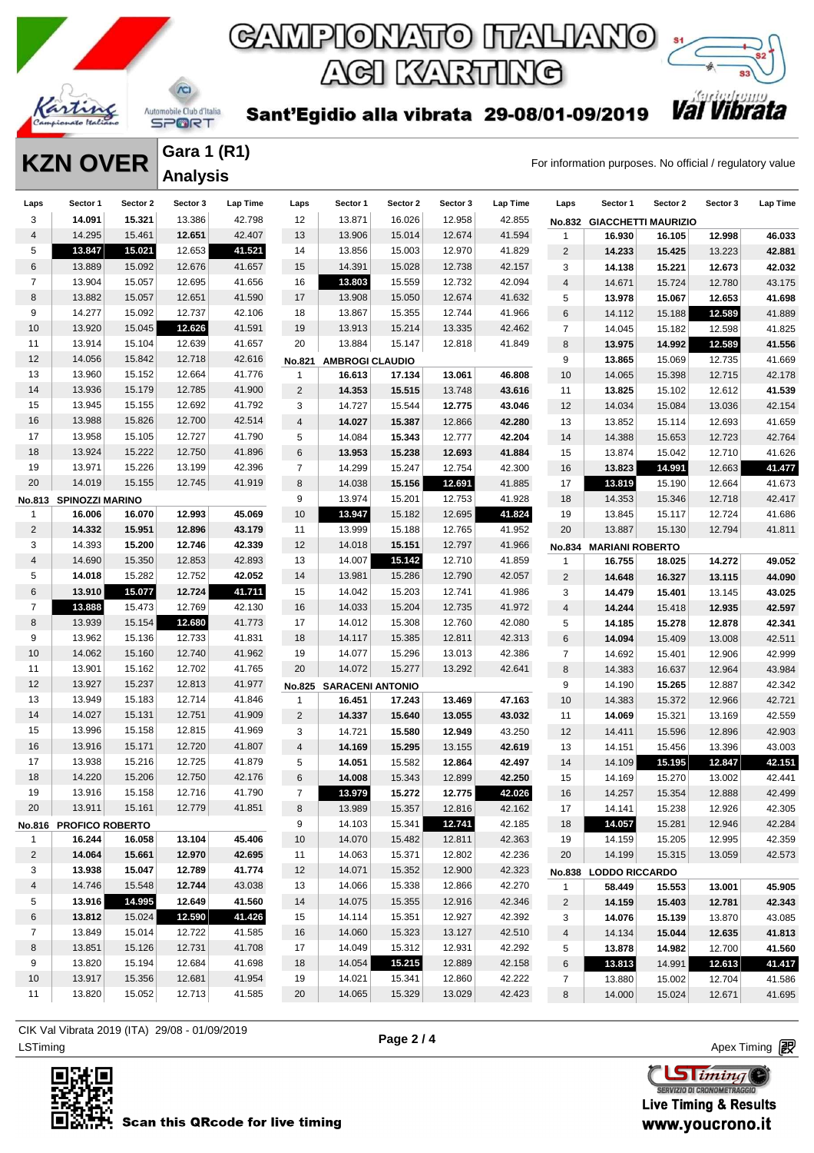



Sant'Egidio alla vibrata 29-08/01-09/2019

**Gara 1 (R1) Analysis** 

 $\Lambda$ 

**KZN OVER** Gara 1 (R1)<br>For information purposes. No official / regulatory value

| Laps                    | Sector 1               | Sector 2 | Sector 3 | Lap Time | Laps           | Sector 1                | Sector 2 | Sector 3 | Lap Time | Laps                    | Sector 1               | Sector 2                   | Sector 3 | Lap Time |
|-------------------------|------------------------|----------|----------|----------|----------------|-------------------------|----------|----------|----------|-------------------------|------------------------|----------------------------|----------|----------|
| 3                       | 14.091                 | 15.321   | 13.386   | 42.798   | 12             | 13.871                  | 16.026   | 12.958   | 42.855   | <b>No.832</b>           |                        | <b>GIACCHETTI MAURIZIO</b> |          |          |
| 4                       | 14.295                 | 15.461   | 12.651   | 42.407   | 13             | 13.906                  | 15.014   | 12.674   | 41.594   | $\mathbf{1}$            | 16.930                 | 16.105                     | 12.998   | 46.033   |
| 5                       | 13.847                 | 15.021   | 12.653   | 41.521   | 14             | 13.856                  | 15.003   | 12.970   | 41.829   | $\overline{c}$          | 14.233                 | 15.425                     | 13.223   | 42.881   |
| 6                       | 13.889                 | 15.092   | 12.676   | 41.657   | 15             | 14.391                  | 15.028   | 12.738   | 42.157   | 3                       | 14.138                 | 15.221                     | 12.673   | 42.032   |
| $\overline{7}$          | 13.904                 | 15.057   | 12.695   | 41.656   | 16             | 13.803                  | 15.559   | 12.732   | 42.094   | $\overline{\mathbf{4}}$ | 14.671                 | 15.724                     | 12.780   | 43.175   |
| 8                       | 13.882                 | 15.057   | 12.651   | 41.590   | 17             | 13.908                  | 15.050   | 12.674   | 41.632   | 5                       | 13.978                 | 15.067                     | 12.653   | 41.698   |
| 9                       | 14.277                 | 15.092   | 12.737   | 42.106   | 18             | 13.867                  | 15.355   | 12.744   | 41.966   | 6                       | 14.112                 | 15.188                     | 12.589   | 41.889   |
| 10                      | 13.920                 | 15.045   | 12.626   | 41.591   | 19             | 13.913                  | 15.214   | 13.335   | 42.462   | $\overline{7}$          | 14.045                 | 15.182                     | 12.598   | 41.825   |
| 11                      | 13.914                 | 15.104   | 12.639   | 41.657   | 20             | 13.884                  | 15.147   | 12.818   | 41.849   | 8                       | 13.975                 | 14.992                     | 12.589   | 41.556   |
| 12                      | 14.056                 | 15.842   | 12.718   | 42.616   |                | No.821 AMBROGI CLAUDIO  |          |          |          | 9                       | 13.865                 | 15.069                     | 12.735   | 41.669   |
| 13                      | 13.960                 | 15.152   | 12.664   | 41.776   | 1              | 16.613                  | 17.134   | 13.061   | 46.808   | 10                      | 14.065                 | 15.398                     | 12.715   | 42.178   |
| 14                      | 13.936                 | 15.179   | 12.785   | 41.900   | 2              | 14.353                  | 15.515   | 13.748   | 43.616   | 11                      | 13.825                 | 15.102                     | 12.612   | 41.539   |
| 15                      | 13.945                 | 15.155   | 12.692   | 41.792   | 3              | 14.727                  | 15.544   | 12.775   | 43.046   | 12                      | 14.034                 | 15.084                     | 13.036   | 42.154   |
| 16                      | 13.988                 | 15.826   | 12.700   | 42.514   | $\overline{4}$ | 14.027                  | 15.387   | 12.866   | 42.280   | 13                      | 13.852                 | 15.114                     | 12.693   | 41.659   |
| 17                      | 13.958                 | 15.105   | 12.727   | 41.790   | 5              | 14.084                  | 15.343   | 12.777   | 42.204   | 14                      | 14.388                 | 15.653                     | 12.723   | 42.764   |
| 18                      | 13.924                 | 15.222   | 12.750   | 41.896   | 6              | 13.953                  | 15.238   | 12.693   | 41.884   | 15                      | 13.874                 | 15.042                     | 12.710   | 41.626   |
| 19                      | 13.971                 | 15.226   | 13.199   | 42.396   | $\overline{7}$ | 14.299                  | 15.247   | 12.754   | 42.300   | 16                      | 13.823                 | 14.991                     | 12.663   | 41.477   |
| 20                      | 14.019                 | 15.155   | 12.745   | 41.919   | 8              | 14.038                  | 15.156   | 12.691   | 41.885   | 17                      | 13.819                 | 15.190                     | 12.664   | 41.673   |
| No.813                  | <b>SPINOZZI MARINO</b> |          |          |          | 9              | 13.974                  | 15.201   | 12.753   | 41.928   | 18                      | 14.353                 | 15.346                     | 12.718   | 42.417   |
| $\mathbf{1}$            | 16.006                 | 16.070   | 12.993   | 45.069   | 10             | 13.947                  | 15.182   | 12.695   | 41.824   | 19                      | 13.845                 | 15.117                     | 12.724   | 41.686   |
| $\overline{2}$          | 14.332                 | 15.951   | 12.896   | 43.179   | 11             | 13.999                  | 15.188   | 12.765   | 41.952   | 20                      | 13.887                 | 15.130                     | 12.794   | 41.811   |
| 3                       | 14.393                 | 15.200   | 12.746   | 42.339   | 12             | 14.018                  | 15.151   | 12.797   | 41.966   | No.834                  | <b>MARIANI ROBERTO</b> |                            |          |          |
| $\overline{\mathbf{4}}$ | 14.690                 | 15.350   | 12.853   | 42.893   | 13             | 14.007                  | 15.142   | 12.710   | 41.859   | $\mathbf{1}$            | 16.755                 | 18.025                     | 14.272   | 49.052   |
| 5                       | 14.018                 | 15.282   | 12.752   | 42.052   | 14             | 13.981                  | 15.286   | 12.790   | 42.057   | $\sqrt{2}$              | 14.648                 | 16.327                     | 13.115   | 44.090   |
| 6                       | 13.910                 | 15.077   | 12.724   | 41.711   | 15             | 14.042                  | 15.203   | 12.741   | 41.986   | 3                       | 14.479                 | 15.401                     | 13.145   | 43.025   |
| $\overline{7}$          | 13.888                 | 15.473   | 12.769   | 42.130   | 16             | 14.033                  | 15.204   | 12.735   | 41.972   | $\overline{4}$          | 14.244                 | 15.418                     | 12.935   | 42.597   |
| 8                       | 13.939                 | 15.154   | 12.680   | 41.773   | 17             | 14.012                  | 15.308   | 12.760   | 42.080   | 5                       | 14.185                 | 15.278                     | 12.878   | 42.341   |
| 9                       | 13.962                 | 15.136   | 12.733   | 41.831   | 18             | 14.117                  | 15.385   | 12.811   | 42.313   | 6                       | 14.094                 | 15.409                     | 13.008   | 42.511   |
| 10                      | 14.062                 | 15.160   | 12.740   | 41.962   | 19             | 14.077                  | 15.296   | 13.013   | 42.386   | $\overline{7}$          | 14.692                 | 15.401                     | 12.906   | 42.999   |
| 11                      | 13.901                 | 15.162   | 12.702   | 41.765   | 20             | 14.072                  | 15.277   | 13.292   | 42.641   | 8                       | 14.383                 | 16.637                     | 12.964   | 43.984   |
| 12                      | 13.927                 | 15.237   | 12.813   | 41.977   | <b>No.825</b>  | <b>SARACENI ANTONIO</b> |          |          |          | 9                       | 14.190                 | 15.265                     | 12.887   | 42.342   |
| 13                      | 13.949                 | 15.183   | 12.714   | 41.846   | $\mathbf{1}$   | 16.451                  | 17.243   | 13.469   | 47.163   | 10                      | 14.383                 | 15.372                     | 12.966   | 42.721   |
| 14                      | 14.027                 | 15.131   | 12.751   | 41.909   | $\overline{2}$ | 14.337                  | 15.640   | 13.055   | 43.032   | 11                      | 14.069                 | 15.321                     | 13.169   | 42.559   |
| 15                      | 13.996                 | 15.158   | 12.815   | 41.969   | 3              | 14.721                  | 15.580   | 12.949   | 43.250   | 12                      | 14.411                 | 15.596                     | 12.896   | 42.903   |
| 16                      | 13.916                 | 15.171   | 12.720   | 41.807   | 4              | 14.169                  | 15.295   | 13.155   | 42.619   | 13                      | 14.151                 | 15.456                     | 13.396   | 43.003   |
| 17                      | 13.938                 | 15.216   | 12.725   | 41.879   | 5              | 14.051                  | 15.582   | 12.864   | 42.497   | 14                      | 14.109                 | 15.195                     | 12.847   | 42.151   |
| 18                      | 14.220                 | 15.206   | 12.750   | 42.176   | 6              | 14.008                  | 15.343   | 12.899   | 42.250   | 15                      | 14.169                 | 15.270                     | 13.002   | 42.441   |
| 19                      | 13.916                 | 15.158   | 12.716   | 41.790   | $\overline{7}$ | 13.979                  | 15.272   | 12.775   | 42.026   | 16                      | 14.257                 | 15.354                     | 12.888   | 42.499   |
| 20                      | 13.911                 | 15.161   | 12.779   | 41.851   | 8              | 13.989                  | 15.357   | 12.816   | 42.162   | 17                      | 14.141                 | 15.238                     | 12.926   | 42.305   |
|                         | No.816 PROFICO ROBERTO |          |          |          | 9              | 14.103                  | 15.341   | 12.741   | 42.185   | 18                      | 14.057                 | 15.281                     | 12.946   | 42.284   |
| 1                       | 16.244                 | 16.058   | 13.104   | 45.406   | 10             | 14.070                  | 15.482   | 12.811   | 42.363   | 19                      | 14.159                 | 15.205                     | 12.995   | 42.359   |
| 2                       | 14.064                 | 15.661   | 12.970   | 42.695   | 11             | 14.063                  | 15.371   | 12.802   | 42.236   | 20                      | 14.199                 | 15.315                     | 13.059   | 42.573   |
| 3                       | 13.938                 | 15.047   | 12.789   | 41.774   | 12             | 14.071                  | 15.352   | 12.900   | 42.323   |                         | No.838 LODDO RICCARDO  |                            |          |          |
| 4                       | 14.746                 | 15.548   | 12.744   | 43.038   | 13             | 14.066                  | 15.338   | 12.866   | 42.270   | $\mathbf{1}$            | 58.449                 | 15.553                     | 13.001   | 45.905   |
| 5                       | 13.916                 | 14.995   | 12.649   | 41.560   | 14             | 14.075                  | 15.355   | 12.916   | 42.346   | $\overline{2}$          | 14.159                 | 15.403                     | 12.781   | 42.343   |
| 6                       | 13.812                 | 15.024   | 12.590   | 41.426   | 15             | 14.114                  | 15.351   | 12.927   | 42.392   | 3                       | 14.076                 | 15.139                     | 13.870   | 43.085   |
| $\overline{7}$          | 13.849                 | 15.014   | 12.722   | 41.585   | 16             | 14.060                  | 15.323   | 13.127   | 42.510   | 4                       | 14.134                 | 15.044                     | 12.635   | 41.813   |
| 8                       | 13.851                 | 15.126   | 12.731   | 41.708   | 17             | 14.049                  | 15.312   | 12.931   | 42.292   | 5                       | 13.878                 | 14.982                     | 12.700   | 41.560   |
| 9                       | 13.820                 | 15.194   | 12.684   | 41.698   | 18             | 14.054                  | 15.215   | 12.889   | 42.158   | 6                       | 13.813                 | 14.991                     | 12.613   | 41.417   |
| 10                      | 13.917                 | 15.356   | 12.681   | 41.954   | 19             | 14.021                  | 15.341   | 12.860   | 42.222   | $\overline{7}$          | 13.880                 | 15.002                     | 12.704   | 41.586   |
| 11                      | 13.820                 | 15.052   | 12.713   | 41.585   | 20             | 14.065                  | 15.329   | 13.029   | 42.423   | 8                       | 14.000                 | 15.024                     | 12.671   | 41.695   |

LSTiming Apex Timing Apex Timing Apex Timing Apex Timing Apex Timing Apex Timing Apex Timing CIK Val Vibrata 2019 (ITA) 29/08 - 01/09/2019



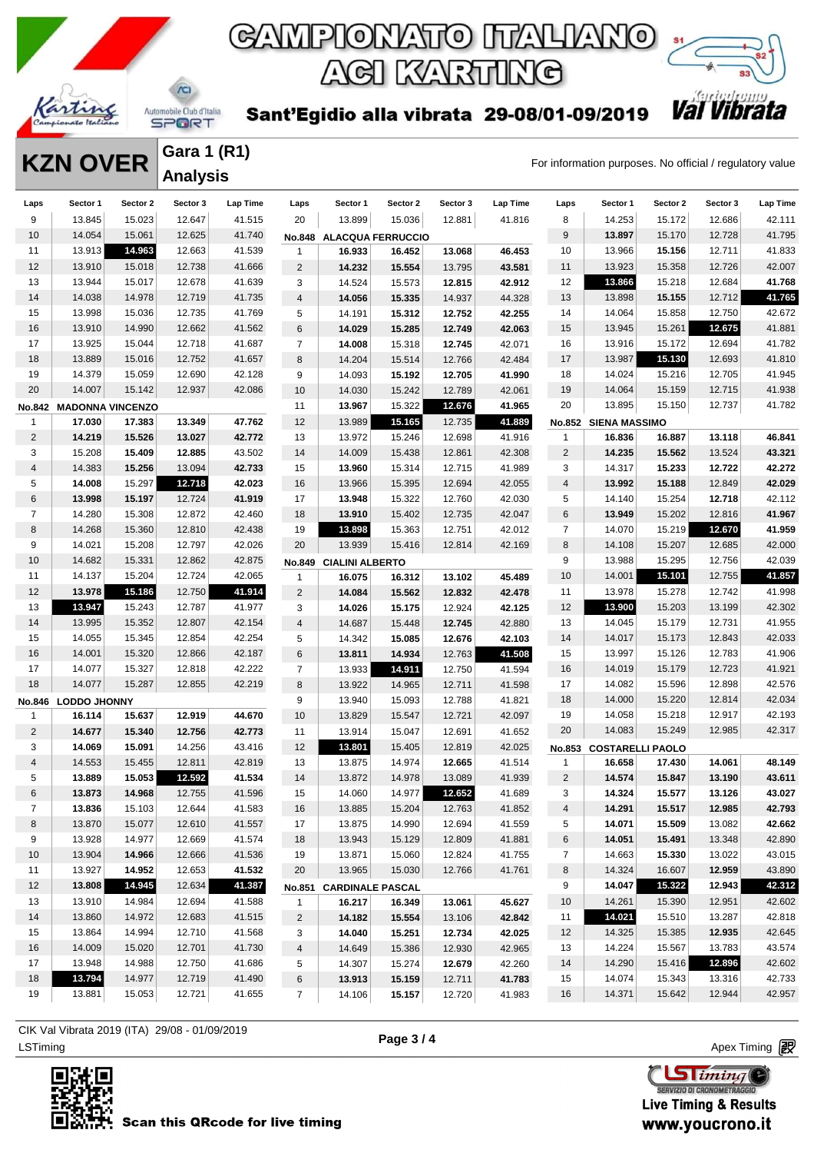

**Gara 1 (R1)**

 $\Lambda$ 

### GAMPIONATO ITALIANO **AGI KARTING**



Sant'Egidio alla vibrata 29-08/01-09/2019

**KZN OVER** Gara 1 (K1)<br>For information purposes. No official / regulatory value

|                | IVEN VYLIV              |          | <b>Analysis</b> |          |                |                          |          |          |          |                | i or imormation parposes. No omoiar regardiory |          |          |          |
|----------------|-------------------------|----------|-----------------|----------|----------------|--------------------------|----------|----------|----------|----------------|------------------------------------------------|----------|----------|----------|
| Laps           | Sector 1                | Sector 2 | Sector 3        | Lap Time | Laps           | Sector 1                 | Sector 2 | Sector 3 | Lap Time | Laps           | Sector 1                                       | Sector 2 | Sector 3 | Lap Time |
| 9              | 13.845                  | 15.023   | 12.647          | 41.515   | 20             | 13.899                   | 15.036   | 12.881   | 41.816   | 8              | 14.253                                         | 15.172   | 12.686   | 42.111   |
| 10             | 14.054                  | 15.061   | 12.625          | 41.740   |                | No.848 ALACQUA FERRUCCIO |          |          |          | $9\,$          | 13.897                                         | 15.170   | 12.728   | 41.795   |
| 11             | 13.913                  | 14.963   | 12.663          | 41.539   | 1              | 16.933                   | 16.452   | 13.068   | 46.453   | 10             | 13.966                                         | 15.156   | 12.711   | 41.833   |
| 12             | 13.910                  | 15.018   | 12.738          | 41.666   | $\overline{c}$ | 14.232                   | 15.554   | 13.795   | 43.581   | 11             | 13.923                                         | 15.358   | 12.726   | 42.007   |
| 13             | 13.944                  | 15.017   | 12.678          | 41.639   | 3              | 14.524                   | 15.573   | 12.815   | 42.912   | 12             | 13.866                                         | 15.218   | 12.684   | 41.768   |
| 14             | 14.038                  | 14.978   | 12.719          | 41.735   | $\overline{4}$ | 14.056                   | 15.335   | 14.937   | 44.328   | 13             | 13.898                                         | 15.155   | 12.712   | 41.765   |
| 15             | 13.998                  | 15.036   | 12.735          | 41.769   | 5              | 14.191                   | 15.312   | 12.752   | 42.255   | 14             | 14.064                                         | 15.858   | 12.750   | 42.672   |
| 16             | 13.910                  | 14.990   | 12.662          | 41.562   | 6              | 14.029                   | 15.285   | 12.749   | 42.063   | 15             | 13.945                                         | 15.261   | 12.675   | 41.881   |
| 17             | 13.925                  | 15.044   | 12.718          | 41.687   | $\overline{7}$ | 14.008                   | 15.318   | 12.745   | 42.071   | 16             | 13.916                                         | 15.172   | 12.694   | 41.782   |
| 18             | 13.889                  | 15.016   | 12.752          | 41.657   | 8              | 14.204                   | 15.514   | 12.766   | 42.484   | 17             | 13.987                                         | 15.130   | 12.693   | 41.810   |
| 19             | 14.379                  | 15.059   | 12.690          | 42.128   | 9              | 14.093                   | 15.192   | 12.705   | 41.990   | 18             | 14.024                                         | 15.216   | 12.705   | 41.945   |
| 20             | 14.007                  | 15.142   | 12.937          | 42.086   | 10             | 14.030                   | 15.242   | 12.789   | 42.061   | 19             | 14.064                                         | 15.159   | 12.715   | 41.938   |
| No.842         | <b>MADONNA VINCENZO</b> |          |                 |          | 11             | 13.967                   | 15.322   | 12.676   | 41.965   | 20             | 13.895                                         | 15.150   | 12.737   | 41.782   |
| 1              | 17.030                  | 17.383   | 13.349          | 47.762   | 12             | 13.989                   | 15.165   | 12.735   | 41.889   | <b>No.852</b>  | <b>SIENA MASSIMO</b>                           |          |          |          |
| 2              | 14.219                  | 15.526   | 13.027          | 42.772   | 13             | 13.972                   | 15.246   | 12.698   | 41.916   | 1              | 16.836                                         | 16.887   | 13.118   | 46.841   |
| 3              | 15.208                  | 15.409   | 12.885          | 43.502   | 14             | 14.009                   | 15.438   | 12.861   | 42.308   | $\overline{2}$ | 14.235                                         | 15.562   | 13.524   | 43.321   |
| 4              | 14.383                  | 15.256   | 13.094          | 42.733   | 15             | 13.960                   | 15.314   | 12.715   | 41.989   | 3              | 14.317                                         | 15.233   | 12.722   | 42.272   |
| 5              | 14.008                  | 15.297   | 12.718          | 42.023   | 16             | 13.966                   | 15.395   | 12.694   | 42.055   | $\overline{4}$ | 13.992                                         | 15.188   | 12.849   | 42.029   |
| 6              | 13.998                  | 15.197   | 12.724          | 41.919   | 17             | 13.948                   | 15.322   | 12.760   | 42.030   | 5              | 14.140                                         | 15.254   | 12.718   | 42.112   |
| $\overline{7}$ | 14.280                  | 15.308   | 12.872          | 42.460   | 18             | 13.910                   | 15.402   | 12.735   | 42.047   | $\,6\,$        | 13.949                                         | 15.202   | 12.816   | 41.967   |
| 8              | 14.268                  | 15.360   | 12.810          | 42.438   | 19             | 13.898                   | 15.363   | 12.751   | 42.012   | $\overline{7}$ | 14.070                                         | 15.219   | 12.670   | 41.959   |
| 9              | 14.021                  | 15.208   | 12.797          | 42.026   | 20             | 13.939                   | 15.416   | 12.814   | 42.169   | 8              | 14.108                                         | 15.207   | 12.685   | 42.000   |
| 10             | 14.682                  | 15.331   | 12.862          | 42.875   | <b>No.849</b>  | <b>CIALINI ALBERTO</b>   |          |          |          | 9              | 13.988                                         | 15.295   | 12.756   | 42.039   |
| 11             | 14.137                  | 15.204   | 12.724          | 42.065   | 1              | 16.075                   | 16.312   | 13.102   | 45.489   | 10             | 14.001                                         | 15.101   | 12.755   | 41.857   |
| 12             | 13.978                  | 15.186   | 12.750          | 41.914   | $\overline{c}$ | 14.084                   | 15.562   | 12.832   | 42.478   | 11             | 13.978                                         | 15.278   | 12.742   | 41.998   |
| 13             | 13.947                  | 15.243   | 12.787          | 41.977   | 3              | 14.026                   | 15.175   | 12.924   | 42.125   | 12             | 13.900                                         | 15.203   | 13.199   | 42.302   |
| 14             | 13.995                  | 15.352   | 12.807          | 42.154   | 4              | 14.687                   | 15.448   | 12.745   | 42.880   | 13             | 14.045                                         | 15.179   | 12.731   | 41.955   |
| 15             | 14.055                  | 15.345   | 12.854          | 42.254   | 5              | 14.342                   | 15.085   | 12.676   | 42.103   | 14             | 14.017                                         | 15.173   | 12.843   | 42.033   |
| 16             | 14.001                  | 15.320   | 12.866          | 42.187   | 6              | 13.811                   | 14.934   | 12.763   | 41.508   | 15             | 13.997                                         | 15.126   | 12.783   | 41.906   |
| 17             | 14.077                  | 15.327   | 12.818          | 42.222   | $\overline{7}$ | 13.933                   | 14.911   | 12.750   | 41.594   | 16             | 14.019                                         | 15.179   | 12.723   | 41.921   |
| 18             | 14.077                  | 15.287   | 12.855          | 42.219   | 8              | 13.922                   | 14.965   | 12.711   | 41.598   | 17             | 14.082                                         | 15.596   | 12.898   | 42.576   |
| No.846         | <b>LODDO JHONNY</b>     |          |                 |          | 9              | 13.940                   | 15.093   | 12.788   | 41.821   | 18             | 14.000                                         | 15.220   | 12.814   | 42.034   |
| 1              | 16.114                  | 15.637   | 12.919          | 44.670   | 10             | 13.829                   | 15.547   | 12.721   | 42.097   | 19             | 14.058                                         | 15.218   | 12.917   | 42.193   |
| $\overline{c}$ | 14.677                  | 15.340   | 12.756          | 42.773   | 11             | 13.914                   | 15.047   | 12.691   | 41.652   | 20             | 14.083                                         | 15.249   | 12.985   | 42.317   |
| 3              | 14.069                  | 15.091   | 14.256          | 43.416   | 12             | 13.801                   | 15.405   | 12.819   | 42.025   |                | No.853 COSTARELLI PAOLO                        |          |          |          |
| 4              | 14.553                  | 15.455   | 12.811          | 42.819   | 13             | 13.875                   | 14.974   | 12.665   | 41.514   | 1              | 16.658                                         | 17.430   | 14.061   | 48.149   |
| 5              | 13.889                  | 15.053   | 12.592          | 41.534   | 14             | 13.872                   | 14.978   | 13.089   | 41.939   | 2              | 14.574                                         | 15.847   | 13.190   | 43.611   |
| 6              | 13.873                  | 14.968   | 12.755          | 41.596   | 15             | 14.060                   | 14.977   | 12.652   | 41.689   | 3              | 14.324                                         | 15.577   | 13.126   | 43.027   |
| $\overline{7}$ | 13.836                  | 15.103   | 12.644          | 41.583   | 16             | 13.885                   | 15.204   | 12.763   | 41.852   | 4              | 14.291                                         | 15.517   | 12.985   | 42.793   |
| 8              | 13.870                  | 15.077   | 12.610          | 41.557   | 17             | 13.875                   | 14.990   | 12.694   | 41.559   | 5              | 14.071                                         | 15.509   | 13.082   | 42.662   |
| 9              | 13.928                  | 14.977   | 12.669          | 41.574   | 18             | 13.943                   | 15.129   | 12.809   | 41.881   | 6              | 14.051                                         | 15.491   | 13.348   | 42.890   |
| 10             | 13.904                  | 14.966   | 12.666          | 41.536   | 19             | 13.871                   | 15.060   | 12.824   | 41.755   | $\overline{7}$ | 14.663                                         | 15.330   | 13.022   | 43.015   |
| 11             | 13.927                  | 14.952   | 12.653          | 41.532   | 20             | 13.965                   | 15.030   | 12.766   | 41.761   | 8              | 14.324                                         | 16.607   | 12.959   | 43.890   |
| 12             | 13.808                  | 14.945   | 12.634          | 41.387   |                | No.851 CARDINALE PASCAL  |          |          |          | 9              | 14.047                                         | 15.322   | 12.943   | 42.312   |
| 13             | 13.910                  | 14.984   | 12.694          | 41.588   | $\mathbf{1}$   | 16.217                   | 16.349   | 13.061   | 45.627   | 10             | 14.261                                         | 15.390   | 12.951   | 42.602   |
| 14             | 13.860                  | 14.972   | 12.683          | 41.515   | $\overline{2}$ | 14.182                   | 15.554   | 13.106   | 42.842   | 11             | 14.021                                         | 15.510   | 13.287   | 42.818   |
| 15             | 13.864                  | 14.994   | 12.710          | 41.568   | 3              | 14.040                   | 15.251   | 12.734   | 42.025   | 12             | 14.325                                         | 15.385   | 12.935   | 42.645   |
| 16             | 14.009                  | 15.020   | 12.701          | 41.730   | 4              | 14.649                   | 15.386   | 12.930   | 42.965   | 13             | 14.224                                         | 15.567   | 13.783   | 43.574   |
| 17             | 13.948                  | 14.988   | 12.750          | 41.686   | 5              | 14.307                   | 15.274   | 12.679   | 42.260   | 14             | 14.290                                         | 15.416   | 12.896   | 42.602   |
| 18             | 13.794                  | 14.977   | 12.719          | 41.490   | 6              | 13.913                   | 15.159   | 12.711   | 41.783   | 15             | 14.074                                         | 15.343   | 13.316   | 42.733   |
| 19             | 13.881                  | 15.053   | 12.721          | 41.655   | $\overline{7}$ | 14.106                   | 15.157   | 12.720   | 41.983   | 16             | 14.371                                         | 15.642   | 12.944   | 42.957   |
|                |                         |          |                 |          |                |                          |          |          |          |                |                                                |          |          |          |

LSTiming Apex Timing Apex Timing Apex Timing Apex Timing Apex Timing Apex Timing Apex Timing CIK Val Vibrata 2019 (ITA) 29/08 - 01/09/2019



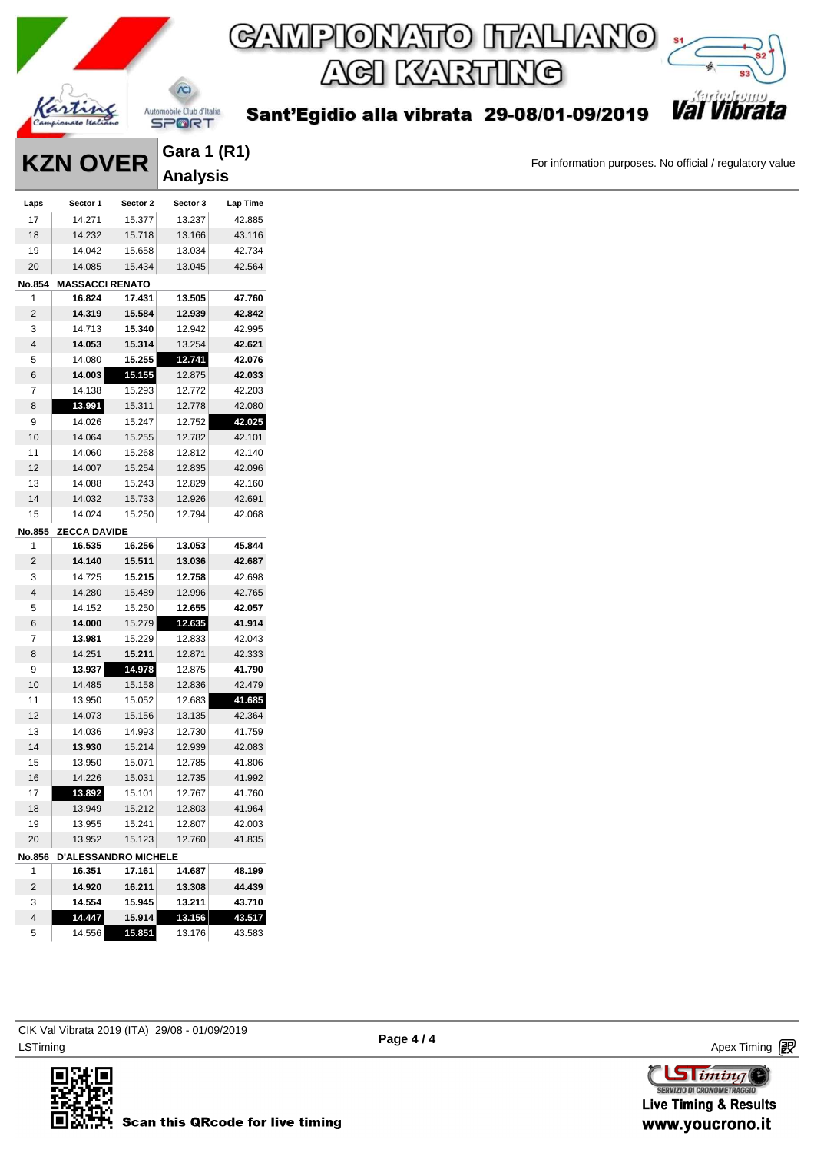

Sant'Egidio alla vibrata 29-08/01-09/2019



For information purposes. No official / regulatory value

|               | <b>KZN OVER</b>        |                             | Gara 1 (R1)     |          |  |  |  |
|---------------|------------------------|-----------------------------|-----------------|----------|--|--|--|
|               |                        |                             | <b>Analysis</b> |          |  |  |  |
| Laps          | Sector 1               | Sector 2                    | Sector 3        | Lap Time |  |  |  |
| 17            | 14.271                 | 15.377                      | 13.237          | 42.885   |  |  |  |
| 18            | 14.232                 | 15.718                      | 13.166          | 43.116   |  |  |  |
| 19            | 14.042                 | 15.658                      | 13.034          | 42.734   |  |  |  |
| 20            | 14.085                 | 15.434                      | 13.045          | 42.564   |  |  |  |
| <b>No.854</b> | <b>MASSACCI RENATO</b> |                             |                 |          |  |  |  |
| 1             | 16.824                 | 17.431                      | 13.505          | 47.760   |  |  |  |
| 2             | 14.319                 | 15.584                      | 12.939          | 42.842   |  |  |  |
|               |                        |                             |                 |          |  |  |  |
| 3             | 14.713                 | 15.340                      | 12.942          | 42.995   |  |  |  |
| 4             | 14.053                 | 15.314                      | 13.254          | 42.621   |  |  |  |
| 5             | 14.080                 | 15.255                      | 12.741          | 42.076   |  |  |  |
| 6             | 14.003                 | 15.155                      | 12.875          | 42.033   |  |  |  |
| 7             | 14.138                 | 15.293                      | 12.772          | 42.203   |  |  |  |
| 8             | 13.991                 | 15.311                      | 12.778          | 42.080   |  |  |  |
| 9             | 14.026                 | 15.247                      | 12.752          | 42.025   |  |  |  |
| 10            | 14.064                 | 15.255                      | 12.782          | 42.101   |  |  |  |
| 11            | 14.060                 | 15.268                      | 12.812          | 42.140   |  |  |  |
| 12            | 14.007                 | 15.254                      | 12.835          | 42.096   |  |  |  |
| 13            | 14.088                 | 15.243                      | 12.829          | 42.160   |  |  |  |
| 14            | 14.032                 | 15.733                      | 12.926          | 42.691   |  |  |  |
| 15            | 14.024                 | 15.250                      | 12.794          | 42.068   |  |  |  |
| No.855        | <b>ZECCA DAVIDE</b>    |                             |                 |          |  |  |  |
| 1             | 16.535                 | 16.256                      | 13.053          | 45.844   |  |  |  |
| 2             | 14.140                 | 15.511                      | 13.036          | 42.687   |  |  |  |
| 3             | 14.725                 | 15.215                      | 12.758          | 42.698   |  |  |  |
| 4             | 14.280                 | 15.489                      | 12.996          | 42.765   |  |  |  |
| 5             | 14.152                 | 15.250                      | 12.655          | 42.057   |  |  |  |
| 6             | 14.000                 | 15.279                      | 12.635          | 41.914   |  |  |  |
| 7             | 13.981                 | 15.229                      | 12.833          | 42.043   |  |  |  |
| 8             | 14.251                 | 15.211                      | 12.871          | 42.333   |  |  |  |
| 9             | 13.937                 | 14.978                      | 12.875          | 41.790   |  |  |  |
| 10            | 14.485                 | 15.158                      | 12.836          | 42.479   |  |  |  |
| 11            | 13.950                 | 15.052                      | 12.683          | 41.685   |  |  |  |
| 12            | 14.073                 | 15.156                      | 13.135          | 42.364   |  |  |  |
| 13            |                        |                             |                 | 41.759   |  |  |  |
|               | 14.036                 | 14.993                      | 12.730          |          |  |  |  |
| 14            | 13.930                 | 15.214                      | 12.939          | 42.083   |  |  |  |
| 15            | 13.950                 | 15.071                      | 12.785          | 41.806   |  |  |  |
| 16            | 14.226                 | 15.031                      | 12.735          | 41.992   |  |  |  |
| 17            | 13.892                 | 15.101                      | 12.767          | 41.760   |  |  |  |
| 18            | 13.949                 | 15.212                      | 12.803          | 41.964   |  |  |  |
| 19            | 13.955                 | 15.241                      | 12.807          | 42.003   |  |  |  |
| 20            | 13.952                 | 15.123                      | 12.760          | 41.835   |  |  |  |
| No.856        |                        | <b>D'ALESSANDRO MICHELE</b> |                 |          |  |  |  |
| 1             | 16.351                 | 17.161                      | 14.687          | 48.199   |  |  |  |
| 2             | 14.920                 | 16.211                      | 13.308          | 44.439   |  |  |  |
| 3             | 14.554                 | 15.945                      | 13.211          | 43.710   |  |  |  |
| 4             | 14.447                 | 15.914                      | 13.156          | 43.517   |  |  |  |
| 5             | 14.556                 | 15.851                      | 13.176          | 43.583   |  |  |  |



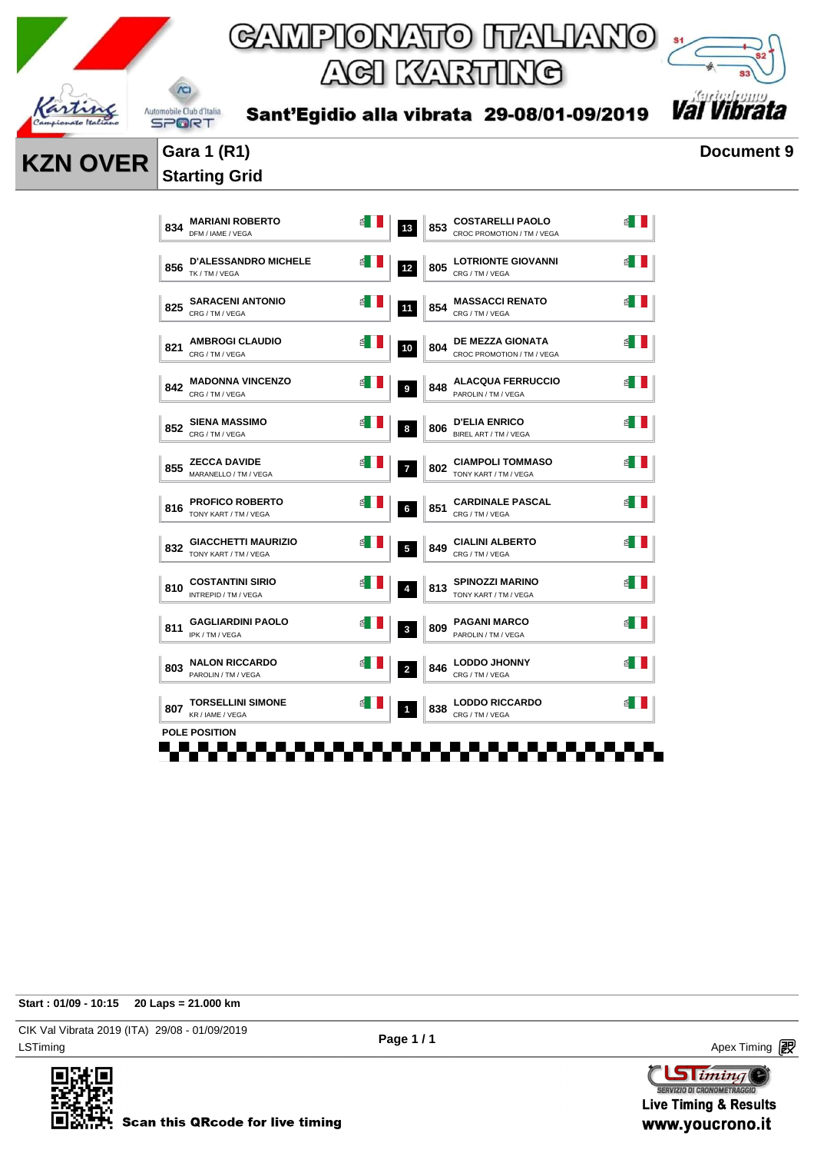

*Val Vib* 



**KZN OVER** Gara 1 (R1) **Document 9** 

### Sant'Egidio alla vibrata 29-08/01-09/2019



## **Starting Grid**

| 834 | <b>MARIANI ROBERTO</b><br>DFM / IAME / VEGA         |   | 13             | 853 | <b>COSTARELLI PAOLO</b><br>CROC PROMOTION / TM / VEGA |   |
|-----|-----------------------------------------------------|---|----------------|-----|-------------------------------------------------------|---|
| 856 | <b>D'ALESSANDRO MICHELE</b><br>TK / TM / VEGA       |   | 12             | 805 | <b>LOTRIONTE GIOVANNI</b><br>CRG / TM / VEGA          |   |
| 825 | <b>SARACENI ANTONIO</b><br>CRG / TM / VEGA          |   | 11             | 854 | <b>MASSACCI RENATO</b><br>CRG / TM / VEGA             |   |
| 821 | <b>AMBROGI CLAUDIO</b><br>CRG / TM / VEGA           | ₫ | 10             | 804 | <b>DE MEZZA GIONATA</b><br>CROC PROMOTION / TM / VEGA | 칍 |
| 842 | <b>MADONNA VINCENZO</b><br>CRG / TM / VEGA          |   | 9              | 848 | <b>ALACQUA FERRUCCIO</b><br>PAROLIN / TM / VEGA       |   |
| 852 | <b>SIENA MASSIMO</b><br>CRG / TM / VEGA             |   | 8              | 806 | <b>D'ELIA ENRICO</b><br>BIREL ART / TM / VEGA         |   |
| 855 | <b>ZECCA DAVIDE</b><br>MARANELLO / TM / VEGA        |   | $\overline{7}$ | 802 | <b>CIAMPOLI TOMMASO</b><br>TONY KART / TM / VEGA      |   |
| 816 | <b>PROFICO ROBERTO</b><br>TONY KART / TM / VEGA     |   | 6              | 851 | <b>CARDINALE PASCAL</b><br>CRG / TM / VEGA            |   |
| 832 | <b>GIACCHETTI MAURIZIO</b><br>TONY KART / TM / VEGA |   | 5              | 849 | <b>CIALINI ALBERTO</b><br>CRG / TM / VEGA             |   |
| 810 | <b>COSTANTINI SIRIO</b><br>INTREPID / TM / VEGA     |   | $\overline{4}$ | 813 | <b>SPINOZZI MARINO</b><br>TONY KART / TM / VEGA       |   |
| 811 | <b>GAGLIARDINI PAOLO</b><br>IPK / TM / VEGA         |   | 3              | 809 | <b>PAGANI MARCO</b><br>PAROLIN / TM / VEGA            |   |
| 803 | <b>NALON RICCARDO</b><br>PAROLIN / TM / VEGA        |   | $\overline{a}$ | 846 | <b>LODDO JHONNY</b><br>CRG / TM / VEGA                |   |
| 807 | <b>TORSELLINI SIMONE</b><br>KR / IAME / VEGA        |   | $\mathbf{1}$   | 838 | <b>LODDO RICCARDO</b><br>CRG / TM / VEGA              |   |

**Start : 01/09 - 10:15 20 Laps = 21.000 km**

LSTiming Apex Timing Apex Timing Apex Timing Apex Timing Apex Timing Apex Timing Apex Timing CIK Val Vibrata 2019 (ITA) 29/08 - 01/09/2019



**Sliming** SERVIZIO DI CRONOMETRAGG

**Live Timing & Results** www.youcrono.it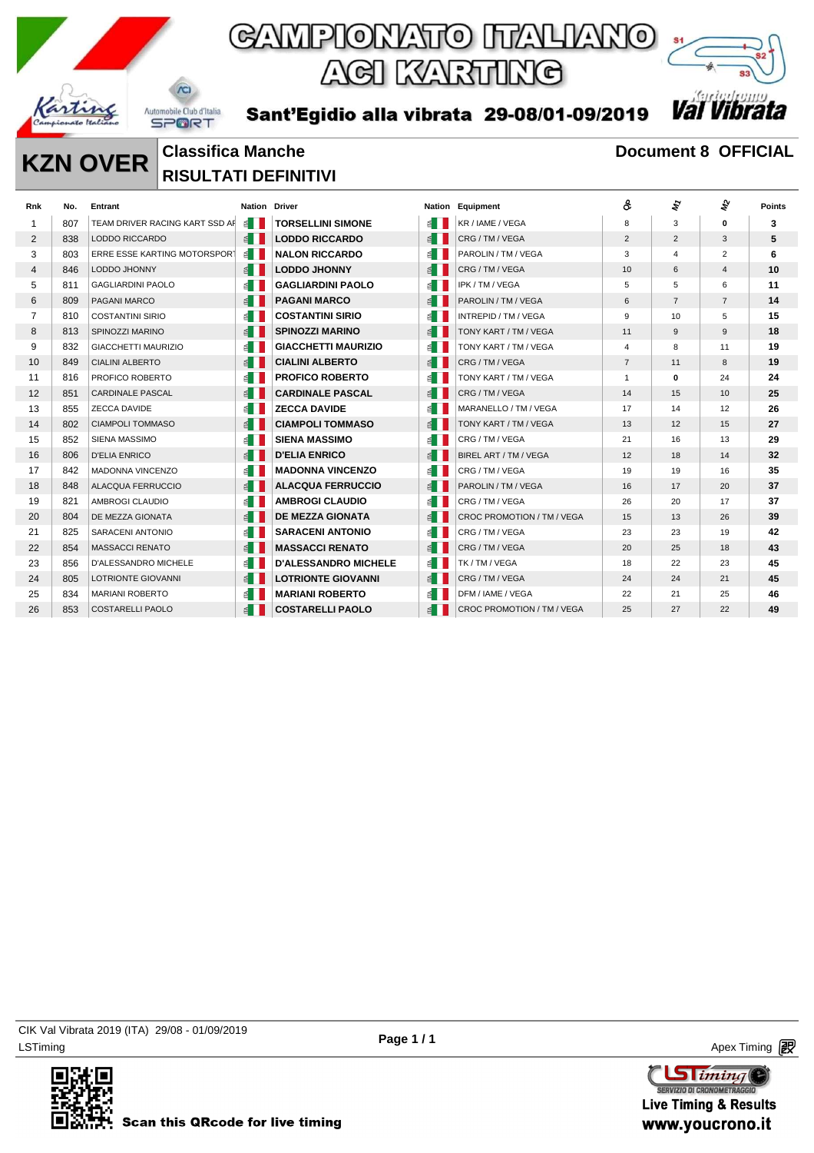

Sant'Egidio alla vibrata 29-08/01-09/2019



### **KZN OVER** Classifica Manche<br> **KZN OVER** DIGULTATI DEEDUTIVE **RISULTATI DEFINITIVI**

| <b>Rnk</b>     | No. | Entrant                        | <b>Nation Driver</b>  |                             |                       | <b>Nation Equipment</b>    | ô              | ty             | ş              | <b>Points</b> |
|----------------|-----|--------------------------------|-----------------------|-----------------------------|-----------------------|----------------------------|----------------|----------------|----------------|---------------|
| 1              | 807 | TEAM DRIVER RACING KART SSD AF | ≝ ।                   | <b>TORSELLINI SIMONE</b>    | ≝ ।                   | KR / IAME / VEGA           | 8              | 3              | 0              | 3             |
| $\overline{2}$ | 838 | LODDO RICCARDO                 | $\leq$ $\blacksquare$ | <b>LODDO RICCARDO</b>       | E                     | CRG/TM/VEGA                | 2              | $\overline{2}$ | 3              | 5             |
| 3              | 803 | ERRE ESSE KARTING MOTORSPORT   | $\leq$                | <b>NALON RICCARDO</b>       | $\leq$ $\blacksquare$ | PAROLIN / TM / VEGA        | 3              | $\overline{4}$ | $\overline{2}$ | 6             |
| 4              | 846 | LODDO JHONNY                   | $\leq$                | <b>LODDO JHONNY</b>         | $\leq$ $\blacksquare$ | CRG / TM / VEGA            | 10             | 6              | $\overline{4}$ | 10            |
| 5              | 811 | <b>GAGLIARDINI PAOLO</b>       | $\leq$                | <b>GAGLIARDINI PAOLO</b>    | $\leq$                | IPK / TM / VEGA            | 5              | 5              | 6              | 11            |
| 6              | 809 | PAGANI MARCO                   | $\leq$                | <b>PAGANI MARCO</b>         | $\leq$                | PAROLIN / TM / VEGA        | 6              | $\overline{7}$ | $\overline{7}$ | 14            |
| $\overline{7}$ | 810 | <b>COSTANTINI SIRIO</b>        | ≝ ।                   | <b>COSTANTINI SIRIO</b>     | $\leq$ $\blacksquare$ | INTREPID / TM / VEGA       | 9              | 10             | 5              | 15            |
| 8              | 813 | SPINOZZI MARINO                | $\leq$                | <b>SPINOZZI MARINO</b>      | $\leq$                | TONY KART / TM / VEGA      | 11             | 9              | 9              | 18            |
| 9              | 832 | GIACCHETTI MAURIZIO            | $\leq$ $\blacksquare$ | <b>GIACCHETTI MAURIZIO</b>  | $\leq$ $\blacksquare$ | TONY KART / TM / VEGA      | $\overline{4}$ | 8              | 11             | 19            |
| 10             | 849 | <b>CIALINI ALBERTO</b>         | $\leq$                | <b>CIALINI ALBERTO</b>      | E                     | CRG/TM/VEGA                | $\overline{7}$ | 11             | 8              | 19            |
| 11             | 816 | PROFICO ROBERTO                | $\leq$ $\blacksquare$ | <b>PROFICO ROBERTO</b>      | ≝ ।                   | TONY KART / TM / VEGA      | $\mathbf{1}$   | 0              | 24             | 24            |
| 12             | 851 | <b>CARDINALE PASCAL</b>        | $\leq$ $\blacksquare$ | <b>CARDINALE PASCAL</b>     | E                     | CRG/TM/VEGA                | 14             | 15             | 10             | 25            |
| 13             | 855 | <b>ZECCA DAVIDE</b>            | $\leq$ $\blacksquare$ | <b>ZECCA DAVIDE</b>         | $\leq$ $\blacksquare$ | MARANELLO / TM / VEGA      | 17             | 14             | 12             | 26            |
| 14             | 802 | CIAMPOLI TOMMASO               | $\leq$                | <b>CIAMPOLI TOMMASO</b>     | $\leq$ $\blacksquare$ | TONY KART / TM / VEGA      | 13             | 12             | 15             | 27            |
| 15             | 852 | <b>SIENA MASSIMO</b>           | ≝ I                   | <b>SIENA MASSIMO</b>        | $\leq$ $\blacksquare$ | CRG/TM/VEGA                | 21             | 16             | 13             | 29            |
| 16             | 806 | <b>D'ELIA ENRICO</b>           | $\leq$ $\blacksquare$ | <b>D'ELIA ENRICO</b>        | $\leq$ $\blacksquare$ | BIREL ART / TM / VEGA      | 12             | 18             | 14             | 32            |
| 17             | 842 | <b>MADONNA VINCENZO</b>        | ≝ ।                   | <b>MADONNA VINCENZO</b>     | $\leq$                | CRG/TM/VEGA                | 19             | 19             | 16             | 35            |
| 18             | 848 | <b>ALACQUA FERRUCCIO</b>       | $\leq$                | <b>ALACQUA FERRUCCIO</b>    | $\leq$                | PAROLIN / TM / VEGA        | 16             | 17             | 20             | 37            |
| 19             | 821 | AMBROGI CLAUDIO                | ≦ II                  | <b>AMBROGI CLAUDIO</b>      | ≝ ।                   | CRG/TM/VEGA                | 26             | 20             | 17             | 37            |
| 20             | 804 | DE MEZZA GIONATA               | $\leq$                | <b>DE MEZZA GIONATA</b>     | $\leq$                | CROC PROMOTION / TM / VEGA | 15             | 13             | 26             | 39            |
| 21             | 825 | SARACENI ANTONIO               | ≝ ।                   | <b>SARACENI ANTONIO</b>     | $\leq$ $\blacksquare$ | CRG / TM / VEGA            | 23             | 23             | 19             | 42            |
| 22             | 854 | <b>MASSACCI RENATO</b>         | $\leq$                | <b>MASSACCI RENATO</b>      | E                     | CRG/TM/VEGA                | 20             | 25             | 18             | 43            |
| 23             | 856 | D'ALESSANDRO MICHELE           | ≝ I                   | <b>D'ALESSANDRO MICHELE</b> | $\leq$ $\blacksquare$ | TK / TM / VEGA             | 18             | 22             | 23             | 45            |
| 24             | 805 | <b>LOTRIONTE GIOVANNI</b>      | $\leq$ $\parallel$    | <b>LOTRIONTE GIOVANNI</b>   | E                     | CRG/TM/VEGA                | 24             | 24             | 21             | 45            |
| 25             | 834 | <b>MARIANI ROBERTO</b>         | ≦ II                  | <b>MARIANI ROBERTO</b>      | ≦ II                  | DFM / IAME / VEGA          | 22             | 21             | 25             | 46            |
| 26             | 853 | <b>COSTARELLI PAOLO</b>        | $\leq$                | <b>COSTARELLI PAOLO</b>     | $\leq$                | CROC PROMOTION / TM / VEGA | 25             | 27             | 22             | 49            |

LSTiming Apex Timing Apex Timing Apex Timing Apex Timing Apex Timing Apex Timing Apex Timing CIK Val Vibrata 2019 (ITA) 29/08 - 01/09/2019



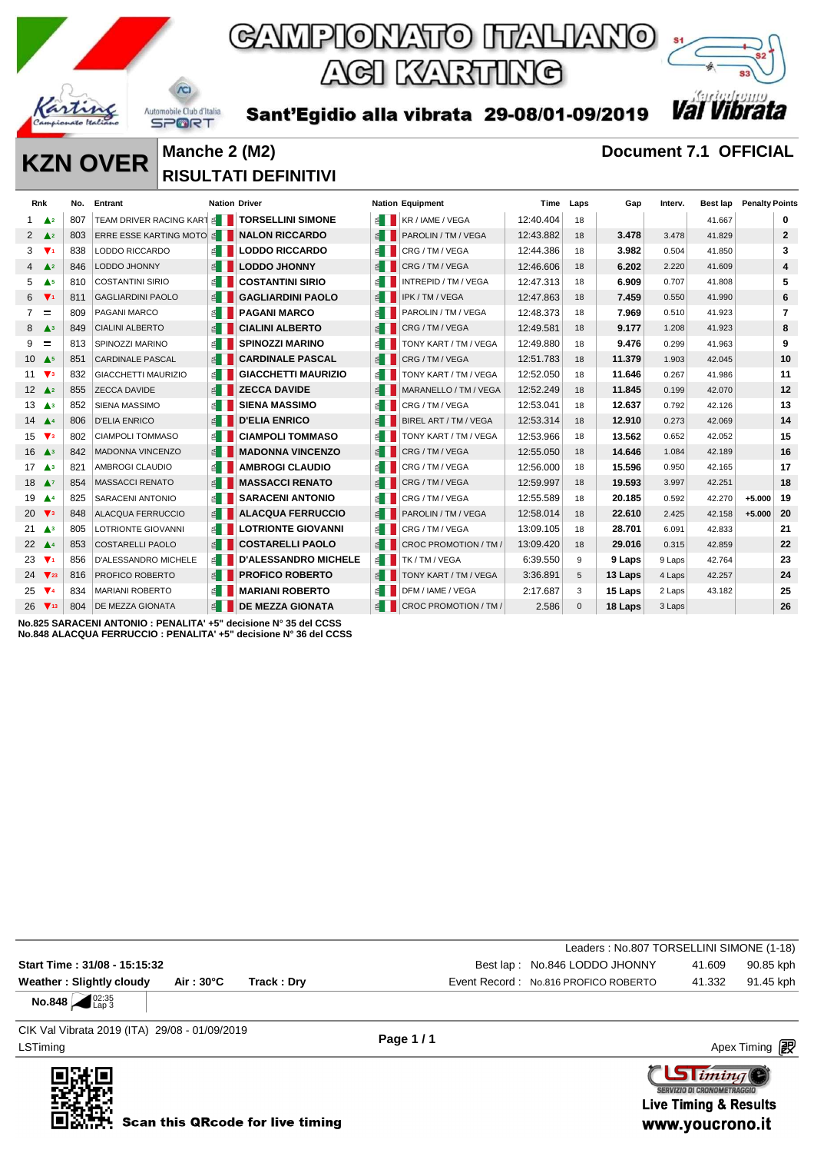



Sant'Egidio alla vibrata 29-08/01-09/2019

### **KZN OVER** Manche 2 (M2) **Document 7.1 OFFICIAL RISULTATI DEFINITIVI**

 $\Lambda$ 

|                        | Rnk                               | No. | Entrant                                       | <b>Nation Driver</b>  |                             |                       | <b>Nation Equipment</b>        | Time      | Laps         | Gap     | Interv. | Best lap | <b>Penalty Points</b> |                |
|------------------------|-----------------------------------|-----|-----------------------------------------------|-----------------------|-----------------------------|-----------------------|--------------------------------|-----------|--------------|---------|---------|----------|-----------------------|----------------|
| 1                      | A <sub>2</sub>                    | 807 | TEAM DRIVER RACING KART SET TORSELLINI SIMONE |                       |                             |                       | $\leq$ <b>KR</b> / IAME / VEGA | 12:40.404 | 18           |         |         | 41.667   |                       | 0              |
|                        | 2 $\triangle^2$                   | 803 | ERRE ESSE KARTING MOTO                        |                       | <b>NALON RICCARDO</b>       | $\leq$ $\blacksquare$ | PAROLIN / TM / VEGA            | 12:43.882 | 18           | 3.478   | 3.478   | 41.829   |                       | $\mathbf{2}$   |
| 3                      | $\Psi_1$                          | 838 | LODDO RICCARDO                                | ≝ ।                   | <b>LODDO RICCARDO</b>       | ≊∎                    | CRG / TM / VEGA                | 12:44.386 | 18           | 3.982   | 0.504   | 41.850   |                       | 3              |
|                        | $4 \triangle^2$                   | 846 | LODDO JHONNY                                  | $\leq$                | <b>LODDO JHONNY</b>         | E                     | CRG / TM / VEGA                | 12:46.606 | 18           | 6.202   | 2.220   | 41.609   |                       | 4              |
| 5                      | A <sub>5</sub>                    | 810 | <b>COSTANTINI SIRIO</b>                       |                       | <b>COSTANTINI SIRIO</b>     | €                     | INTREPID / TM / VEGA           | 12:47.313 | 18           | 6.909   | 0.707   | 41.808   |                       | 5              |
|                        | $6 \sqrt{1}$                      | 811 | <b>GAGLIARDINI PAOLO</b>                      | E                     | <b>GAGLIARDINI PAOLO</b>    | 1 ≥                   | IPK / TM / VEGA                | 12:47.863 | 18           | 7.459   | 0.550   | 41.990   |                       | 6              |
| $7^{\circ}$            | $\equiv$                          | 809 | PAGANI MARCO                                  | $\leq$ $\blacksquare$ | <b>PAGANI MARCO</b>         | ≊∎                    | PAROLIN / TM / VEGA            | 12:48.373 | 18           | 7.969   | 0.510   | 41.923   |                       | $\overline{7}$ |
|                        | $8 \triangle 3$                   | 849 | <b>CIALINI ALBERTO</b>                        |                       | <b>CIALINI ALBERTO</b>      |                       | CRG/TM/VEGA                    | 12:49.581 | 18           | 9.177   | 1.208   | 41.923   |                       | 8              |
| 9                      | Ξ                                 | 813 | SPINOZZI MARINO                               | $\leq$ $\blacksquare$ | <b>SPINOZZI MARINO</b>      | $\leq$ 1              | TONY KART / TM / VEGA          | 12:49.880 | 18           | 9.476   | 0.299   | 41.963   |                       | 9              |
|                        | 10 $\triangle$ <sub>5</sub>       | 851 | <b>CARDINALE PASCAL</b>                       |                       | <b>CARDINALE PASCAL</b>     | €                     | CRG / TM / VEGA                | 12:51.783 | 18           | 11.379  | 1.903   | 42.045   |                       | 10             |
|                        | 11 $\mathbf{\nabla}$ <sub>3</sub> | 832 | <b>GIACCHETTI MAURIZIO</b>                    | $\leq$ $\Box$         | <b>GIACCHETTI MAURIZIO</b>  | ≝ II                  | TONY KART / TM / VEGA          | 12:52.050 | 18           | 11.646  | 0.267   | 41.986   |                       | 11             |
|                        | 12 $\triangle$ 2                  | 855 | <b>ZECCA DAVIDE</b>                           | $\leq$ $\blacksquare$ | <b>ZECCA DAVIDE</b>         |                       | MARANELLO / TM / VEGA          | 12:52.249 | 18           | 11.845  | 0.199   | 42.070   |                       | 12             |
|                        | $13 \triangle 3$                  | 852 | <b>SIENA MASSIMO</b>                          |                       | <b>SIENA MASSIMO</b>        | $\leq$                | CRG / TM / VEGA                | 12:53.041 | 18           | 12.637  | 0.792   | 42.126   |                       | 13             |
| 14 $\triangle$ 4       |                                   | 806 | <b>D'ELIA ENRICO</b>                          | $\leq$                | <b>D'ELIA ENRICO</b>        |                       | BIREL ART / TM / VEGA          | 12:53.314 | 18           | 12.910  | 0.273   | 42.069   |                       | 14             |
| $15 \sqrt{3}$          |                                   | 802 | <b>CIAMPOLI TOMMASO</b>                       | ≝ ∐                   | <b>CIAMPOLI TOMMASO</b>     |                       | TONY KART / TM / VEGA          | 12:53.966 | 18           | 13.562  | 0.652   | 42.052   |                       | 15             |
|                        | $16$ $\triangle$ <sup>3</sup>     | 842 | <b>MADONNA VINCENZO</b>                       | $\leq$                | <b>MADONNA VINCENZO</b>     | $\leq$                | CRG / TM / VEGA                | 12:55.050 | 18           | 14.646  | 1.084   | 42.189   |                       | 16             |
|                        | $17 \triangle 3$                  | 821 | AMBROGI CLAUDIO                               |                       | <b>AMBROGI CLAUDIO</b>      | 图                     | CRG / TM / VEGA                | 12:56.000 | 18           | 15.596  | 0.950   | 42.165   |                       | 17             |
| 18 $\triangle$ 7       |                                   | 854 | <b>MASSACCI RENATO</b>                        |                       | <b>MASSACCI RENATO</b>      | $\leq$                | CRG / TM / VEGA                | 12:59.997 | 18           | 19.593  | 3.997   | 42.251   |                       | 18             |
| 19                     | $\blacktriangle^4$                | 825 | <b>SARACENI ANTONIO</b>                       |                       | <b>SARACENI ANTONIO</b>     |                       | CRG / TM / VEGA                | 12:55.589 | 18           | 20.185  | 0.592   | 42.270   | $+5.000$              | 19             |
| 20 $\sqrt{3}$          |                                   | 848 | <b>ALACQUA FERRUCCIO</b>                      | $\leq$ $\parallel$    | <b>ALACQUA FERRUCCIO</b>    |                       | PAROLIN / TM / VEGA            | 12:58.014 | 18           | 22.610  | 2.425   | 42.158   | $+5.000$              | 20             |
|                        | 21 $\triangle$ <sup>3</sup>       | 805 | LOTRIONTE GIOVANNI                            | $\leq$ $\Box$         | <b>LOTRIONTE GIOVANNI</b>   | ≝∎                    | CRG / TM / VEGA                | 13:09.105 | 18           | 28.701  | 6.091   | 42.833   |                       | 21             |
| 22 $\triangle$ 4       |                                   | 853 | <b>COSTARELLI PAOLO</b>                       | $\leq$ $\blacksquare$ | <b>COSTARELLI PAOLO</b>     |                       | CROC PROMOTION / TM /          | 13:09.420 | 18           | 29.016  | 0.315   | 42.859   |                       | 22             |
| 23 $\Psi$ <sup>1</sup> |                                   | 856 | <b>D'ALESSANDRO MICHELE</b>                   | $\leq$ 1              | <b>D'ALESSANDRO MICHELE</b> | $\leq$ $\blacksquare$ | TK / TM / VEGA                 | 6:39.550  | 9            | 9 Laps  | 9 Laps  | 42.764   |                       | 23             |
|                        | $24 \sqrt{23}$                    | 816 | PROFICO ROBERTO                               | $\leq$                | <b>PROFICO ROBERTO</b>      |                       | TONY KART / TM / VEGA          | 3:36.891  | 5            | 13 Laps | 4 Laps  | 42.257   |                       | 24             |
|                        | 25 $\Psi$ 4                       | 834 | <b>MARIANI ROBERTO</b>                        | E                     | <b>MARIANI ROBERTO</b>      | €                     | DFM / IAME / VEGA              | 2:17.687  | 3            | 15 Laps | 2 Laps  | 43.182   |                       | 25             |
|                        | $26 \sqrt{13}$                    | 804 | <b>DE MEZZA GIONATA</b>                       | $\leq$                | <b>DE MEZZA GIONATA</b>     | ■                     | CROC PROMOTION / TM /          | 2.586     | $\mathbf{0}$ | 18 Laps | 3 Laps  |          |                       | 26             |
|                        |                                   |     |                                               |                       |                             |                       |                                |           |              |         |         |          |                       |                |

**No.825 SARACENI ANTONIO : PENALITA' +5" decisione N° 35 del CCSS No.848 ALACQUA FERRUCCIO : PENALITA' +5" decisione N° 36 del CCSS**

|                                        |            |             | Leaders: No.807 TORSELLINI SIMONE (1-18) |        |           |
|----------------------------------------|------------|-------------|------------------------------------------|--------|-----------|
| Start Time: 31/08 - 15:15:32           |            |             | Best lap: No.846 LODDO JHONNY            | 41.609 | 90.85 kph |
| Weather: Slightly cloudy               | Air : 30°C | Track : Drv | Event Record: No.816 PROFICO ROBERTO     | 41.332 | 91.45 kph |
| <b>No.848</b> $_{\text{Lap}3}^{02:35}$ |            |             |                                          |        |           |

LSTiming Apex Timing Apex Timing Apex Timing Apex Timing Apex Timing Apex Timing Apex Timing CIK Val Vibrata 2019 (ITA) 29/08 - 01/09/2019

**Page 1 / 1**

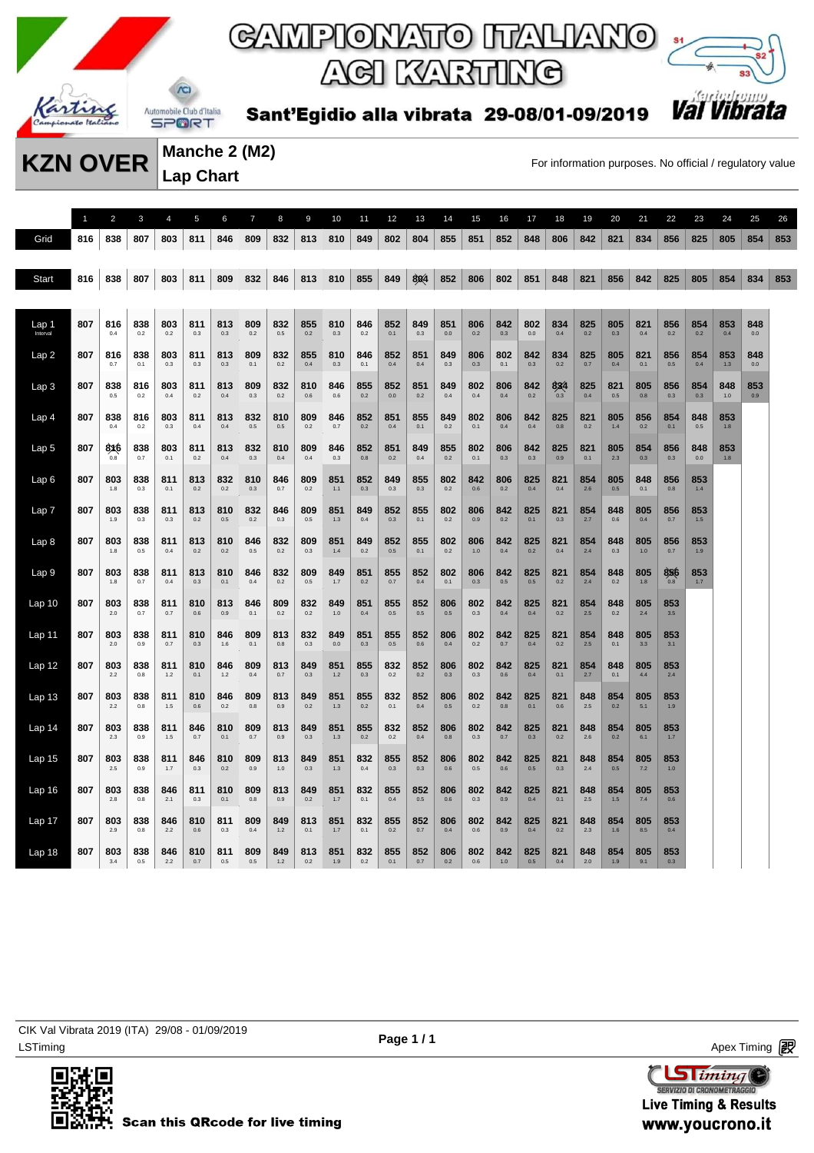

# ACI KARTING



Sant'Egidio alla vibrata 29-08/01-09/2019

**Manche 2 (M2) Lap Chart** 

**KZN OVER** Manche 2 (MZ) For information purposes. No official / regulatory value

1 2 3 4 5 6 7 8 9 10 11 12 13 14 15 16 17 18 19 20 21 22 23 24 25 26 Grid 816 838 807 803 811 846 809 832 813 810 849 802 804 855 851 852 848 806 842 821 834 856 825 805 854 853 Start 816 838 807 803 811 809 832 846 813 810 855 849 804 852 806 802 851 848 821 856 842 825 805 854 853 Lap 1 Interval **807 816** 0.4 **838** 0.2 **803** 0.2 **811** 0.3 **813** 0.3 **809** 0.2 **832** 0.5 **855** 0.2 **810** 0.3 **846** 0.2 **852** 0.1 **849** 0.3 **851 806 842** 0.3 **802** 0.0 **834** 0.4 **825 805** 0.3 **821** 0.4 **856** 0.2 **854 853** 0.4 **848** Lap 2 **807 816** 0.7 **838** 0.1 **803** 0.3 **811** 0.3 **813** 0.3 **809** 0.1 **832** 0.2 **855** 0.4 **810** 0.3 **846** 0.1 **852** 0.4 **851** 0.4 **849** 0.3 **806** 0.3 **802** 0.1 **842** 0.3 **834** 0.2 **825** 0.7 **805** 0.4 **821** 0.1 **856** 0.5 **854** 0.4 **853** 1.3 **848** Lap 3 **807 838** 0.5 **816** 0.2 **803** 0.4 **811** 0.2 **813** 0.4 **809** 0.3 **832** 0.2 **810** 0.6 **846** 0.6 **855 852 851** 0.2 **849** 0.4 **802** 0.4 **806** 0.4 **842** 0.2 **834** 0.3 **825** 0.4 **821** 0.5 **805** 0.8 **856** 0.3 **854** 0.3 **848** 1.0 **853** 0.9 Lap 4 **807 838** 0.4 **816** 0.2 **803** 0.3 **811** 0.4 **813** 0.4 **832** 0.5 **810** 0.5 **809** 0.2 **846** 0.7 **852** 0.2 **851** 0.4 **855** 0.1 **849** 0.2 **802** 0.1 **806** 0.4 **842** 0.4 **825** 0.8 **821** 0.2 **805** 1.4 **856** 0.2 **854** 0.1 **848** 0.5 **853** 1.8 Lap 5 **807 816** 0.8 **838** 0.7 **803** 0.1 **811** 0.2 **813** 0.4 **832** 0.3 **810** 0.4 **809** 0.4 **846** 0.3 **852** 0.8 **851** 0.2 **849** 0.4 **855** 0.2 **802** 0.1 **806** 0.3 **842** 0.3 **825** 0.9 **821 805** 2.3 **854** 0.3 **856** 0.3 **848 853** 1.8 Lap 6 **807 803** 1.8 **838** 0.3 **811** 0.1 **813** 0.2 **832** 0.2 **810** 0.3 **846** 0.7 **809** 0.2 **851** 1.1 **852** 0.3 **849** 0.3 **855** 0.3 **802** 0.2 **842** 0.6 **806** 0.2 **825** 0.4 **821** 0.4 **854** 2.6 **805** 0.5 **848** 0.1 **856** 0.8 **853** 1.4 Lap 7 **807 803** 1.9 **838** 0.3 **811** 0.3 **813** 0.2 **810** 0.5 832 0.2 **846** 0.3 **809** 0.5 **851** 1.3 **849** 0.4 **852** 0.3 **855** 0.1 **802** 0.2 **806** 0.9 **842** 0.2 **825** 0.1 **821** 0.3 **854** 2.7 **848** 0.6 **805** 0.4 **856** 0.7 **853** 1.5 Lap 8 **807 803** 1.8 **838** 0.5 **811** 0.4 **813** 0.2 **810** 0.2 **846** 0.5 **832** 0.2 **809** 0.3 **851** 1.4 **849** 0.2 **852** 0.5 **855** 0.1 **802** 0.2 **806** 1.0 **842** 0.4 **825** 0.2 **821** 0.4 **854** 2.4 **848** 0.3 **805** 1.0 **856** 0.7 **853** 1.9 Lap 9 **807 803** 1.8 **838** 0.7 **811** 0.4 **813** 0.3 **810** 0.1 **846** 0.4 **832** 0.2 **809** 0.5 **849** 1.7 **851 855** 0.7 **852** 0.4 **802** 0.1 **806** 0.3 **842** 0.5 **825** 0.5 **821** 0.2 **854** 2.4 **848 805** 1.8 **856** 0.8 **853** 1.7 Lap 10 **807 803** 2.0 **838** 0.7 **811** 0.7 **810** 0.6 **813** 0.9 **846** 0.1 **809** 0.2 **832** 0.2 **849** 1.0 **851** 0.4 **855** 0.5 **852** 0.5 **806** 0.5 **802** 0.3 **842** 0.4 **825** 0.4 **821** 0.2 **854** 2.5 **848 805** 2.4 **853** 3.5 Lap 11 **807 803** 2.0 **838** 0.9 **811** 0.7 **810** 0.3 **846** 1.6 **809** 0.1 **813** 0.8 **832** 0.3 **849 851** 0.3 **855** 0.5 **852** 0.6 **806** 0.4 **802** 0.2 **842** 0.7 **825** 0.4 **821** 0.2 **854** 2.5 **848** 0.1 **805** 3.3 **853** 3.1 Lap 12 **807 803** 2.2 **838** 0.8 **811** 1.2 **810** 0.1 **846** 1.2 **809** 0.4 **813** 0.7 **849** 0.3 **851** 1.2 **855** 0.3 **832** 0.2 **852** 0.2 **806** 0.3 **802** 0.3 **842** 0.6 **825** 0.4 **821** 0.1 **854** 2.7 **848** 0.1 **805** 4.4 **853** 2.4 Lap 13 **807 803** 2.2 **838** 0.8 **811** 1.5 **810** 0.6 **846** 0.2 **809** 0.8 **813** 0.9 **849** 0.2 **851** 1.3 **855 832** 0.1 **852** 0.4 **806** 0.5 **802** 0.2 **842** 0.8 **825** 0.1 **821** 0.6 **848** 2.5 **854 805** 5.1 **853** 1.9 Lap 14 **807 803** 2.3 **838** 0.9 **811** 1.5 **846** 0.7 **810** 0.1 **809** 0.7 **813** 0.9 **849** 0.3 **851** 1.3 **855 832** 0.2 **852** 0.4 **806** 0.8 **802** 0.3 **842** 0.7 **825** 0.3 **821** 0.2 **848** 2.6 **854 805** 6.1 **853** 1.7 Lap 15 **807 803** 2.5 **838** 0.9 **811** 1.7 **846** 0.3 **810** 0.2 **809** 0.9 **813** 1.0 **849** 0.3 **851** 1.3 **832** 0.4 **855** 0.3 **852** 0.3 **806** 0.6 **802** 0.5 **842** 0.6 **825** 0.5 **821** 0.3 **848** 2.4 **854** 0.5 **805** 7.2 **853** 1.0 Lap 16 **807 803** 2.8 **838** 0.8 **846** 2.1 **811** 0.3 **810** 0.1 **809** 0.8 **813** 0.9 **849** 0.2 **851** 1.7 **832** 0.1 **855** 0.4 **852** 0.5 **806** 0.6 **802** 0.3 **842** 0.9 **825** 0.4 **821** 0.1 **848** 2.5 **854** 1.5 **805** 7.4 **853** 0.6 Lap 17 **807 803** 2.9 **838** 0.8 **846** 2.2 **810** 0.6 **811** 0.3 **809** 0.4 **849** 1.2 **813** 0.1 **851** 1.7 **832** 0.1 **855** 0.2 **852** 0.7 **806** 0.4 **802** 0.6 **842** 0.9 **825** 0.4 **821** 0.2 **848** 2.3 **854** 1.6 **805** 8.5 **853** 0.4 Lap 18 **807 803** 3.4 **838** 0.5 **846** 2.2 **810** 0.7 **811** 0.5 **809** 0.5 **849** 1.2 **813** 0.2 **851** 1.9 **832** 0.2 **855** 0.1 **852** 0.7 **806** 0.2 **802** 0.6 **842** 1.0 **825** 0.5 **821** 0.4 **848** 2.0 **854** 1.9 **805** 9.1 **853** 0.3

LSTiming Apex Timing Apex Timing Apex Timing Apex Timing Apex Timing Apex Timing Apex Timing CIK Val Vibrata 2019 (ITA) 29/08 - 01/09/2019



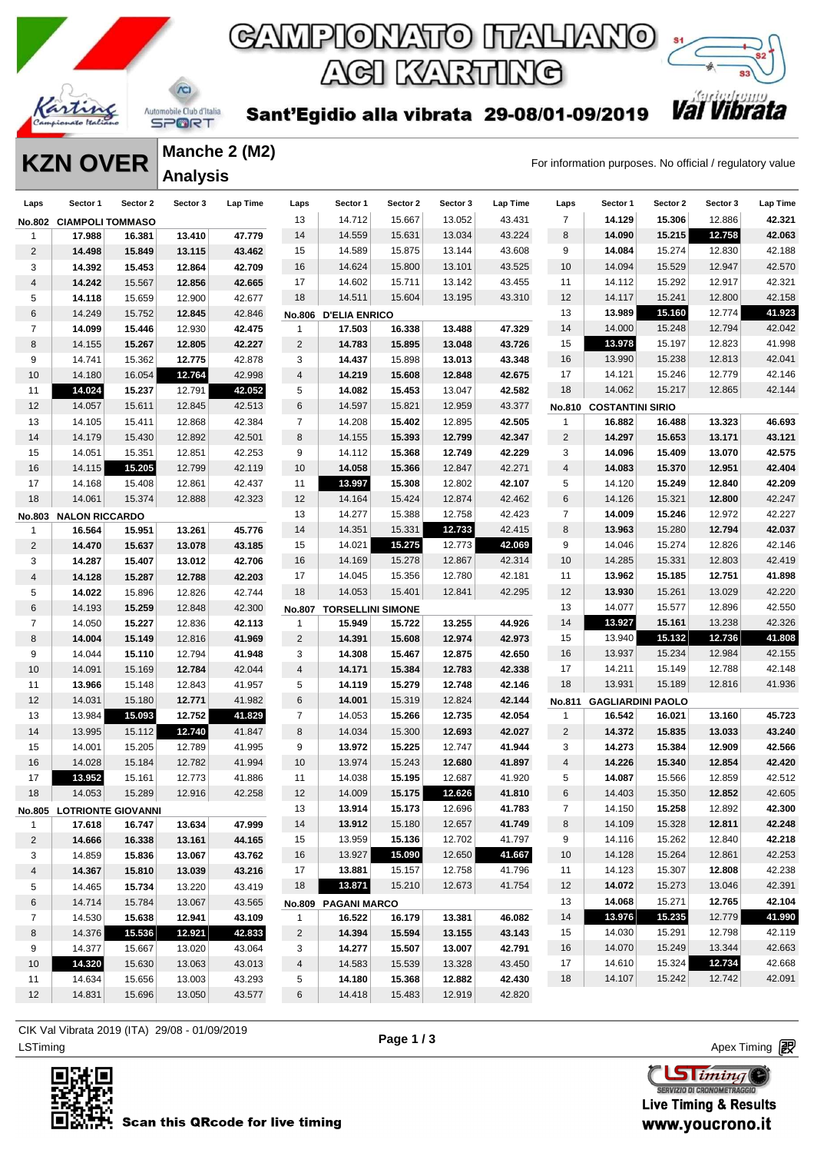



Sant'Egidio alla vibrata 29-08/01-09/2019

**KZN OVER** Manche 2 (MZ)<br>For information purposes. No official / regulatory value **Manche 2 (M2) Analysis** 

| Laps           | Sector 1                | Sector 2                  | Sector 3 | Lap Time | Laps                    | Sector 1                 | Sector 2 | Sector 3 | Lap Time | Laps           | Sector 1                       | Sector 2 | Sector 3 | Lap Time |
|----------------|-------------------------|---------------------------|----------|----------|-------------------------|--------------------------|----------|----------|----------|----------------|--------------------------------|----------|----------|----------|
| <b>No.802</b>  | <b>CIAMPOLI TOMMASO</b> |                           |          |          | 13                      | 14.712                   | 15.667   | 13.052   | 43.431   | $\overline{7}$ | 14.129                         | 15.306   | 12.886   | 42.321   |
| 1              | 17.988                  | 16.381                    | 13.410   | 47.779   | 14                      | 14.559                   | 15.631   | 13.034   | 43.224   | 8              | 14.090                         | 15.215   | 12.758   | 42.063   |
| 2              | 14.498                  | 15.849                    | 13.115   | 43.462   | 15                      | 14.589                   | 15.875   | 13.144   | 43.608   | 9              | 14.084                         | 15.274   | 12.830   | 42.188   |
| 3              | 14.392                  | 15.453                    | 12.864   | 42.709   | 16                      | 14.624                   | 15.800   | 13.101   | 43.525   | 10             | 14.094                         | 15.529   | 12.947   | 42.570   |
| 4              | 14.242                  | 15.567                    | 12.856   | 42.665   | 17                      | 14.602                   | 15.711   | 13.142   | 43.455   | 11             | 14.112                         | 15.292   | 12.917   | 42.321   |
| 5              | 14.118                  | 15.659                    | 12.900   | 42.677   | 18                      | 14.511                   | 15.604   | 13.195   | 43.310   | 12             | 14.117                         | 15.241   | 12.800   | 42.158   |
| 6              | 14.249                  | 15.752                    | 12.845   | 42.846   | <b>No.806</b>           | <b>D'ELIA ENRICO</b>     |          |          |          | 13             | 13.989                         | 15.160   | 12.774   | 41.923   |
| $\overline{7}$ | 14.099                  | 15.446                    | 12.930   | 42.475   | 1                       | 17.503                   | 16.338   | 13.488   | 47.329   | 14             | 14.000                         | 15.248   | 12.794   | 42.042   |
| 8              | 14.155                  | 15.267                    | 12.805   | 42.227   | $\overline{2}$          | 14.783                   | 15.895   | 13.048   | 43.726   | 15             | 13.978                         | 15.197   | 12.823   | 41.998   |
| 9              | 14.741                  | 15.362                    | 12.775   | 42.878   | 3                       | 14.437                   | 15.898   | 13.013   | 43.348   | 16             | 13.990                         | 15.238   | 12.813   | 42.041   |
| 10             | 14.180                  | 16.054                    | 12.764   | 42.998   | $\overline{\mathbf{4}}$ | 14.219                   | 15.608   | 12.848   | 42.675   | 17             | 14.121                         | 15.246   | 12.779   | 42.146   |
| 11             | 14.024                  | 15.237                    | 12.791   | 42.052   | 5                       | 14.082                   | 15.453   | 13.047   | 42.582   | 18             | 14.062                         | 15.217   | 12.865   | 42.144   |
| 12             | 14.057                  | 15.611                    | 12.845   | 42.513   | 6                       | 14.597                   | 15.821   | 12.959   | 43.377   |                | <b>No.810 COSTANTINI SIRIO</b> |          |          |          |
| 13             | 14.105                  | 15.411                    | 12.868   | 42.384   | $\overline{7}$          | 14.208                   | 15.402   | 12.895   | 42.505   | 1              | 16.882                         | 16.488   | 13.323   | 46.693   |
| 14             | 14.179                  | 15.430                    | 12.892   | 42.501   | 8                       | 14.155                   | 15.393   | 12.799   | 42.347   | 2              | 14.297                         | 15.653   | 13.171   | 43.121   |
| 15             | 14.051                  | 15.351                    | 12.851   | 42.253   | 9                       | 14.112                   | 15.368   | 12.749   | 42.229   | 3              | 14.096                         | 15.409   | 13.070   | 42.575   |
| 16             | 14.115                  | 15.205                    | 12.799   | 42.119   | 10                      | 14.058                   | 15.366   | 12.847   | 42.271   | $\overline{4}$ | 14.083                         | 15.370   | 12.951   | 42.404   |
| 17             | 14.168                  | 15.408                    | 12.861   | 42.437   | 11                      | 13.997                   | 15.308   | 12.802   | 42.107   | 5              | 14.120                         | 15.249   | 12.840   | 42.209   |
| 18             | 14.061                  | 15.374                    | 12.888   | 42.323   | 12                      | 14.164                   | 15.424   | 12.874   | 42.462   | 6              | 14.126                         | 15.321   | 12.800   | 42.247   |
| No.803         | <b>NALON RICCARDO</b>   |                           |          |          | 13                      | 14.277                   | 15.388   | 12.758   | 42.423   | $\overline{7}$ | 14.009                         | 15.246   | 12.972   | 42.227   |
| 1              | 16.564                  | 15.951                    | 13.261   | 45.776   | 14                      | 14.351                   | 15.331   | 12.733   | 42.415   | 8              | 13.963                         | 15.280   | 12.794   | 42.037   |
| $\overline{2}$ | 14.470                  | 15.637                    | 13.078   | 43.185   | 15                      | 14.021                   | 15.275   | 12.773   | 42.069   | 9              | 14.046                         | 15.274   | 12.826   | 42.146   |
| 3              | 14.287                  | 15.407                    | 13.012   | 42.706   | 16                      | 14.169                   | 15.278   | 12.867   | 42.314   | 10             | 14.285                         | 15.331   | 12.803   | 42.419   |
| 4              | 14.128                  | 15.287                    | 12.788   | 42.203   | 17                      | 14.045                   | 15.356   | 12.780   | 42.181   | 11             | 13.962                         | 15.185   | 12.751   | 41.898   |
| 5              | 14.022                  | 15.896                    | 12.826   | 42.744   | 18                      | 14.053                   | 15.401   | 12.841   | 42.295   | 12             | 13.930                         | 15.261   | 13.029   | 42.220   |
| 6              | 14.193                  | 15.259                    | 12.848   | 42.300   | No.807                  | <b>TORSELLINI SIMONE</b> |          |          |          | 13             | 14.077                         | 15.577   | 12.896   | 42.550   |
| $\overline{7}$ | 14.050                  | 15.227                    | 12.836   | 42.113   | $\mathbf{1}$            | 15.949                   | 15.722   | 13.255   | 44.926   | 14             | 13.927                         | 15.161   | 13.238   | 42.326   |
| 8              | 14.004                  | 15.149                    | 12.816   | 41.969   | $\overline{2}$          | 14.391                   | 15.608   | 12.974   | 42.973   | 15             | 13.940                         | 15.132   | 12.736   | 41.808   |
| 9              | 14.044                  | 15.110                    | 12.794   | 41.948   | 3                       | 14.308                   | 15.467   | 12.875   | 42.650   | 16             | 13.937                         | 15.234   | 12.984   | 42.155   |
| 10             | 14.091                  | 15.169                    | 12.784   | 42.044   | $\overline{\mathbf{4}}$ | 14.171                   | 15.384   | 12.783   | 42.338   | 17             | 14.211                         | 15.149   | 12.788   | 42.148   |
| 11             | 13.966                  | 15.148                    | 12.843   | 41.957   | 5                       | 14.119                   | 15.279   | 12.748   | 42.146   | 18             | 13.931                         | 15.189   | 12.816   | 41.936   |
| 12             | 14.031                  | 15.180                    | 12.771   | 41.982   | 6                       | 14.001                   | 15.319   | 12.824   | 42.144   | No.811         | <b>GAGLIARDINI PAOLO</b>       |          |          |          |
| 13             | 13.984                  | 15.093                    | 12.752   | 41.829   | $\overline{7}$          | 14.053                   | 15.266   | 12.735   | 42.054   | $\mathbf{1}$   | 16.542                         | 16.021   | 13.160   | 45.723   |
| 14             | 13.995                  | 15.112                    | 12.740   | 41.847   | 8                       | 14.034                   | 15.300   | 12.693   | 42.027   | 2              | 14.372                         | 15.835   | 13.033   | 43.240   |
| 15             | 14.001                  | 15.205                    | 12.789   | 41.995   | 9                       | 13.972                   | 15.225   | 12.747   | 41.944   | 3              | 14.273                         | 15.384   | 12.909   | 42.566   |
| 16             | 14.028                  | 15.184                    | 12.782   | 41.994   | 10                      | 13.974                   | 15.243   | 12.680   | 41.897   | $\overline{4}$ | 14.226                         | 15.340   | 12.854   | 42.420   |
| 17             | 13.952                  | 15.161                    | 12.773   | 41.886   | 11                      | 14.038                   | 15.195   | 12.687   | 41.920   | 5              | 14.087                         | 15.566   | 12.859   | 42.512   |
| 18             | 14.053                  | 15.289                    | 12.916   | 42.258   | 12                      | 14.009                   | 15.175   | 12.626   | 41.810   | $\,6$          | 14.403                         | 15.350   | 12.852   | 42.605   |
|                |                         | No.805 LOTRIONTE GIOVANNI |          |          | 13                      | 13.914                   | 15.173   | 12.696   | 41.783   | 7              | 14.150                         | 15.258   | 12.892   | 42.300   |
| $\mathbf{1}$   | 17.618                  | 16.747                    | 13.634   | 47.999   | 14                      | 13.912                   | 15.180   | 12.657   | 41.749   | 8              | 14.109                         | 15.328   | 12.811   | 42.248   |
| $\overline{2}$ | 14.666                  | 16.338                    | 13.161   | 44.165   | 15                      | 13.959                   | 15.136   | 12.702   | 41.797   | 9              | 14.116                         | 15.262   | 12.840   | 42.218   |
| 3              | 14.859                  | 15.836                    | 13.067   | 43.762   | 16                      | 13.927                   | 15.090   | 12.650   | 41.667   | 10             | 14.128                         | 15.264   | 12.861   | 42.253   |
| 4              | 14.367                  | 15.810                    | 13.039   | 43.216   | 17                      | 13.881                   | 15.157   | 12.758   | 41.796   | 11             | 14.123                         | 15.307   | 12.808   | 42.238   |
| 5              | 14.465                  | 15.734                    | 13.220   | 43.419   | 18                      | 13.871                   | 15.210   | 12.673   | 41.754   | 12             | 14.072                         | 15.273   | 13.046   | 42.391   |
| 6              | 14.714                  | 15.784                    | 13.067   | 43.565   |                         | No.809 PAGANI MARCO      |          |          |          | 13             | 14.068                         | 15.271   | 12.765   | 42.104   |
| 7              | 14.530                  | 15.638                    | 12.941   | 43.109   | 1                       | 16.522                   | 16.179   | 13.381   | 46.082   | 14             | 13.976                         | 15.235   | 12.779   | 41.990   |
| 8              | 14.376                  | 15.536                    | 12.921   | 42.833   | $\overline{2}$          | 14.394                   | 15.594   | 13.155   | 43.143   | 15             | 14.030                         | 15.291   | 12.798   | 42.119   |
| 9              | 14.377                  | 15.667                    | 13.020   | 43.064   | 3                       | 14.277                   | 15.507   | 13.007   | 42.791   | 16             | 14.070                         | 15.249   | 13.344   | 42.663   |
| 10             | 14.320                  | 15.630                    | 13.063   | 43.013   | 4                       | 14.583                   | 15.539   | 13.328   | 43.450   | 17             | 14.610                         | 15.324   | 12.734   | 42.668   |
| 11             | 14.634                  | 15.656                    | 13.003   | 43.293   | 5                       | 14.180                   | 15.368   | 12.882   | 42.430   | 18             | 14.107                         | 15.242   | 12.742   | 42.091   |
| 12             | 14.831                  | 15.696                    | 13.050   | 43.577   | 6                       | 14.418                   | 15.483   | 12.919   | 42.820   |                |                                |          |          |          |

ex Timing Apex Timing Apex Timing Apex Timing Apex Timing Apex Timing Apex Timing Apex Timing Apex Timing Apex Timing CIK Val Vibrata 2019 (ITA) 29/08 - 01/09/2019



**Page 1 / 3**

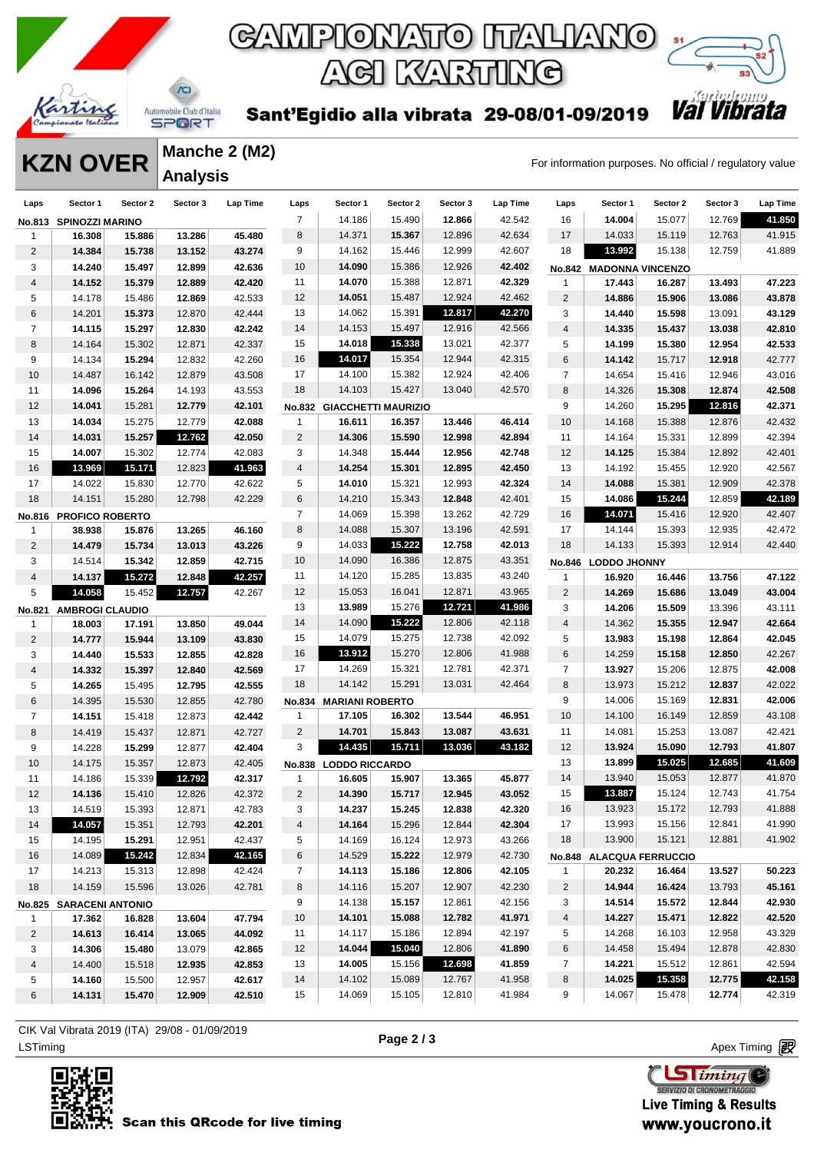



Sant'Egidio alla vibrata 29-08/01-09/2019

**KZN OVER** Manche 2 (M2)<br>For information purposes. No official / regulatory value **Manche 2 (M2) Analysis** 

| Laps           | Sector 1                | Sector 2 | Sector 3 | Lap Time | Laps           | Sector 1                   | Sector 2 | Sector 3 | Lap Time | Laps           | Sector 1                 | Sector 2 | Sector 3 | Lap Time |
|----------------|-------------------------|----------|----------|----------|----------------|----------------------------|----------|----------|----------|----------------|--------------------------|----------|----------|----------|
| <b>No.813</b>  | <b>SPINOZZI MARINO</b>  |          |          |          | $\overline{7}$ | 14.186                     | 15.490   | 12.866   | 42.542   | 16             | 14.004                   | 15.077   | 12.769   | 41.850   |
| 1              | 16.308                  | 15.886   | 13.286   | 45.480   | 8              | 14.371                     | 15.367   | 12.896   | 42.634   | 17             | 14.033                   | 15.119   | 12.763   | 41.915   |
| 2              | 14.384                  | 15.738   | 13.152   | 43.274   | 9              | 14.162                     | 15.446   | 12.999   | 42.607   | 18             | 13.992                   | 15.138   | 12.759   | 41.889   |
| 3              | 14.240                  | 15.497   | 12.899   | 42.636   | 10             | 14.090                     | 15.386   | 12.926   | 42.402   |                | No.842 MADONNA VINCENZO  |          |          |          |
| 4              | 14.152                  | 15.379   | 12.889   | 42.420   | 11             | 14.070                     | 15.388   | 12.871   | 42.329   | 1              | 17.443                   | 16.287   | 13.493   | 47.223   |
| 5              | 14.178                  | 15.486   | 12.869   | 42.533   | 12             | 14.051                     | 15.487   | 12.924   | 42.462   | 2              | 14.886                   | 15.906   | 13.086   | 43.878   |
| 6              | 14.201                  | 15.373   | 12.870   | 42.444   | 13             | 14.062                     | 15.391   | 12.817   | 42.270   | 3              | 14.440                   | 15.598   | 13.091   | 43.129   |
| $\overline{7}$ | 14.115                  | 15.297   | 12.830   | 42.242   | 14             | 14.153                     | 15.497   | 12.916   | 42.566   | 4              | 14.335                   | 15.437   | 13.038   | 42.810   |
| 8              | 14.164                  | 15.302   | 12.871   | 42.337   | 15             | 14.018                     | 15.338   | 13.021   | 42.377   | 5              | 14.199                   | 15.380   | 12.954   | 42.533   |
| 9              | 14.134                  | 15.294   | 12.832   | 42.260   | 16             | 14.017                     | 15.354   | 12.944   | 42.315   | 6              | 14.142                   | 15.717   | 12.918   | 42.777   |
| 10             | 14.487                  | 16.142   | 12.879   | 43.508   | 17             | 14.100                     | 15.382   | 12.924   | 42.406   | $\overline{7}$ | 14.654                   | 15.416   | 12.946   | 43.016   |
| 11             | 14.096                  | 15.264   | 14.193   | 43.553   | 18             | 14.103                     | 15.427   | 13.040   | 42.570   | 8              | 14.326                   | 15.308   | 12.874   | 42.508   |
| 12             | 14.041                  | 15.281   | 12.779   | 42.101   |                | No.832 GIACCHETTI MAURIZIO |          |          |          | 9              | 14.260                   | 15.295   | 12.816   | 42.371   |
| 13             | 14.034                  | 15.275   | 12.779   | 42.088   | $\mathbf{1}$   | 16.611                     | 16.357   | 13.446   | 46.414   | 10             | 14.168                   | 15.388   | 12.876   | 42.432   |
| 14             | 14.031                  | 15.257   | 12.762   | 42.050   | $\overline{2}$ | 14.306                     | 15.590   | 12.998   | 42.894   | 11             | 14.164                   | 15.331   | 12.899   | 42.394   |
| 15             | 14.007                  | 15.302   | 12.774   | 42.083   | 3              | 14.348                     | 15.444   | 12.956   | 42.748   | 12             | 14.125                   | 15.384   | 12.892   | 42.401   |
| 16             | 13.969                  | 15.171   | 12.823   | 41.963   | 4              | 14.254                     | 15.301   | 12.895   | 42.450   | 13             | 14.192                   | 15.455   | 12.920   | 42.567   |
| 17             | 14.022                  | 15.830   | 12.770   | 42.622   | 5              | 14.010                     | 15.321   | 12.993   | 42.324   | 14             | 14.088                   | 15.381   | 12.909   | 42.378   |
| 18             | 14.151                  | 15.280   | 12.798   | 42.229   | 6              | 14.210                     | 15.343   | 12.848   | 42.401   | 15             | 14.086                   | 15.244   | 12.859   | 42.189   |
|                | No.816 PROFICO ROBERTO  |          |          |          | $\overline{7}$ | 14.069                     | 15.398   | 13.262   | 42.729   | 16             | 14.071                   | 15.416   | 12.920   | 42.407   |
| 1              | 38.938                  | 15.876   | 13.265   | 46.160   | 8              | 14.088                     | 15.307   | 13.196   | 42.591   | 17             | 14.144                   | 15.393   | 12.935   | 42.472   |
| 2              | 14.479                  | 15.734   | 13.013   | 43.226   | 9              | 14.033                     | 15.222   | 12.758   | 42.013   | 18             | 14.133                   | 15.393   | 12.914   | 42.440   |
| 3              | 14.514                  | 15.342   | 12.859   | 42.715   | 10             | 14.090                     | 16.386   | 12.875   | 43.351   | <b>No.846</b>  | <b>LODDO JHONNY</b>      |          |          |          |
| 4              | 14.137                  | 15.272   | 12.848   | 42.257   | 11             | 14.120                     | 15.285   | 13.835   | 43.240   | 1              | 16.920                   | 16.446   | 13.756   | 47.122   |
| 5              | 14.058                  | 15.452   | 12.757   | 42.267   | 12             | 15.053                     | 16.041   | 12.871   | 43.965   | $\overline{2}$ | 14.269                   | 15.686   | 13.049   | 43.004   |
| No.821         | <b>AMBROGI CLAUDIO</b>  |          |          |          | 13             | 13.989                     | 15.276   | 12.721   | 41.986   | 3              | 14.206                   | 15.509   | 13.396   | 43.111   |
| 1              | 18.003                  | 17.191   | 13.850   | 49.044   | 14             | 14.090                     | 15.222   | 12.806   | 42.118   | $\sqrt{4}$     | 14.362                   | 15.355   | 12.947   | 42.664   |
| $\overline{c}$ | 14.777                  | 15.944   | 13.109   | 43.830   | 15             | 14.079                     | 15.275   | 12.738   | 42.092   | 5              | 13.983                   | 15.198   | 12.864   | 42.045   |
| 3              | 14.440                  | 15.533   | 12.855   | 42.828   | 16             | 13.912                     | 15.270   | 12.806   | 41.988   | 6              | 14.259                   | 15.158   | 12.850   | 42.267   |
| 4              | 14.332                  | 15.397   | 12.840   | 42.569   | 17             | 14.269                     | 15.321   | 12.781   | 42.371   | $\overline{7}$ | 13.927                   | 15.206   | 12.875   | 42.008   |
| 5              | 14.265                  | 15.495   | 12.795   | 42.555   | 18             | 14.142                     | 15.291   | 13.031   | 42.464   | 8              | 13.973                   | 15.212   | 12.837   | 42.022   |
| 6              | 14.395                  | 15.530   | 12.855   | 42.780   |                | No.834 MARIANI ROBERTO     |          |          |          | 9              | 14.006                   | 15.169   | 12.831   | 42.006   |
| $\overline{7}$ | 14.151                  | 15.418   | 12.873   | 42.442   | 1              | 17.105                     | 16.302   | 13.544   | 46.951   | 10             | 14.100                   | 16.149   | 12.859   | 43.108   |
| 8              | 14.419                  | 15.437   | 12.871   | 42.727   | $\overline{2}$ | 14.701                     | 15.843   | 13.087   | 43.631   | 11             | 14.081                   | 15.253   | 13.087   | 42.421   |
| 9              | 14.228                  | 15.299   | 12.877   | 42.404   | 3              | 14.435                     | 15.711   | 13.036   | 43.182   | 12             | 13.924                   | 15.090   | 12.793   | 41.807   |
| 10             | 14.175                  | 15.357   | 12.873   | 42.405   | <b>No.838</b>  | <b>LODDO RICCARDO</b>      |          |          |          | 13             | 13.899                   | 15.025   | 12.685   | 41.609   |
| 11             | 14.186                  | 15.339   | 12.792   | 42.317   | 1              | 16.605                     | 15.907   | 13.365   | 45.877   | 14             | 13.940                   | 15.053   | 12.877   | 41.870   |
| 12             | 14.136                  | 15.410   | 12.826   | 42.372   | $\overline{2}$ | 14.390                     | 15.717   | 12.945   | 43.052   | 15             | 13.887                   | 15.124   | 12.743   | 41.754   |
| 13             | 14.519                  | 15.393   | 12.871   | 42.783   | 3              | 14.237                     | 15.245   | 12.838   | 42.320   | 16             | 13.923                   | 15.172   | 12.793   | 41.888   |
| 14             | 14.057                  | 15.351   | 12.793   | 42.201   | 4              | 14.164                     | 15.296   | 12.844   | 42.304   | 17             | 13.993                   | 15.156   | 12.841   | 41.990   |
| 15             | 14.195                  | 15.291   | 12.951   | 42.437   | 5              | 14.169                     | 16.124   | 12.973   | 43.266   | 18             | 13.900                   | 15.121   | 12.881   | 41.902   |
| 16             | 14.089                  | 15.242   | 12.834   | 42.165   | 6              | 14.529                     | 15.222   | 12.979   | 42.730   |                | No.848 ALACQUA FERRUCCIO |          |          |          |
| 17             | 14.213                  | 15.313   | 12.898   | 42.424   | 7              | 14.113                     | 15.186   | 12.806   | 42.105   | 1              | 20.232                   | 16.464   | 13.527   | 50.223   |
| 18             | 14.159                  | 15.596   | 13.026   | 42.781   | 8              | 14.116                     | 15.207   | 12.907   | 42.230   | $\overline{c}$ | 14.944                   | 16.424   | 13.793   | 45.161   |
|                | No.825 SARACENI ANTONIO |          |          |          | 9              | 14.138                     | 15.157   | 12.861   | 42.156   | 3              | 14.514                   | 15.572   | 12.844   | 42.930   |
| 1              | 17.362                  | 16.828   | 13.604   | 47.794   | 10             | 14.101                     | 15.088   | 12.782   | 41.971   | 4              | 14.227                   | 15.471   | 12.822   | 42.520   |
| 2              | 14.613                  | 16.414   | 13.065   | 44.092   | 11             | 14.117                     | 15.186   | 12.894   | 42.197   | 5              | 14.268                   | 16.103   | 12.958   | 43.329   |
| 3              | 14.306                  | 15.480   | 13.079   | 42.865   | 12             | 14.044                     | 15.040   | 12.806   | 41.890   | 6              | 14.458                   | 15.494   | 12.878   | 42.830   |
| 4              | 14.400                  | 15.518   | 12.935   | 42.853   | 13             | 14.005                     | 15.156   | 12.698   | 41.859   | 7              | 14.221                   | 15.512   | 12.861   | 42.594   |
| 5              | 14.160                  | 15.500   | 12.957   | 42.617   | 14             | 14.102                     | 15.089   | 12.767   | 41.958   | 8              | 14.025                   | 15.358   | 12.775   | 42.158   |
| 6              | 14.131                  | 15.470   | 12.909   | 42.510   | 15             | 14.069                     | 15.105   | 12.810   | 41.984   | 9              | 14.067                   | 15.478   | 12.774   | 42.319   |

ex Timing Apex Timing Apex Timing Apex Timing Apex Timing Apex Timing Apex Timing CIK Val Vibrata 2019 (ITA) 29/08 - 01/09/2019



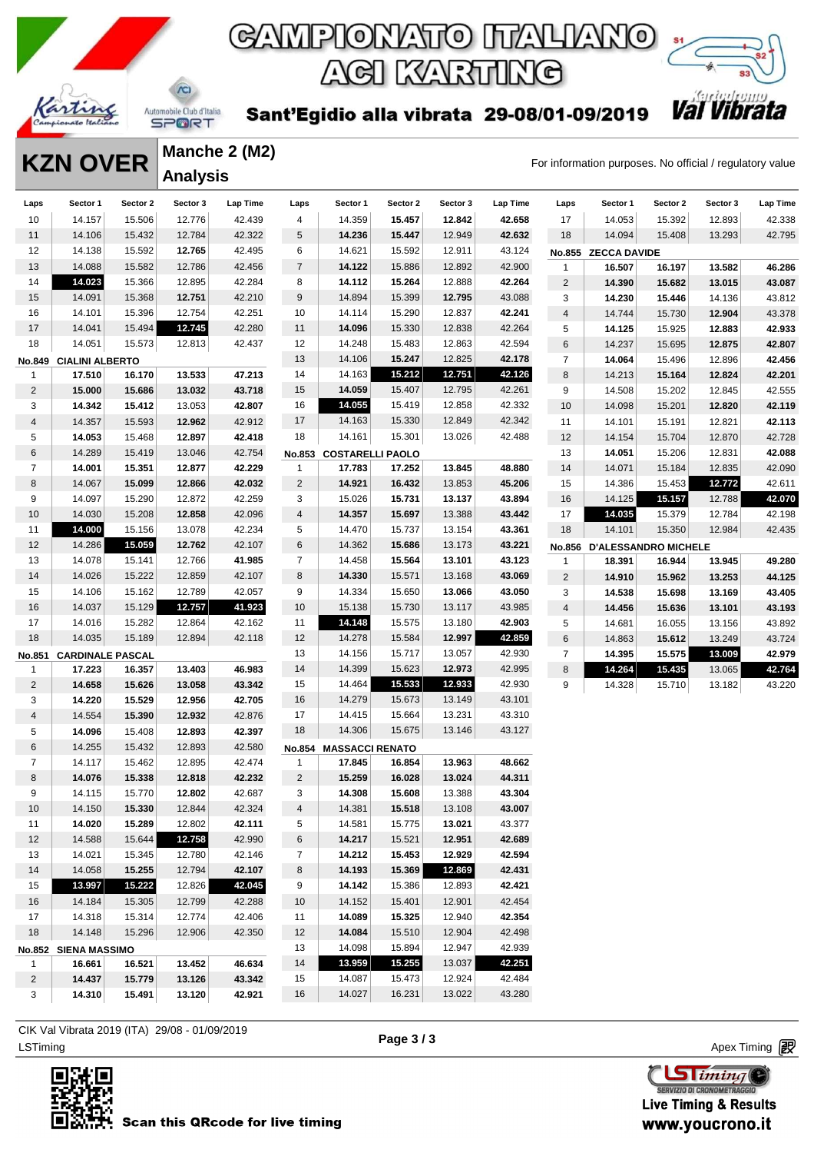

**Manche 2 (M2)**

**Analysis** 

## GAMPIONATO ITALIANO ACI KARTING



Sant'Egidio alla vibrata 29-08/01-09/2019

**KZN OVER** Manche 2 (M2)<br>For information purposes. No official / regulatory value

| Laps           | Sector 1                | Sector 2 | Sector 3 | Lap Time | Laps           | Sector 1                      | Sector 2 | Sector 3 | Lap Time | Laps           | Sector 1                    | Sector 2 | Sector 3 | <b>Lap Time</b> |
|----------------|-------------------------|----------|----------|----------|----------------|-------------------------------|----------|----------|----------|----------------|-----------------------------|----------|----------|-----------------|
| 10             | 14.157                  | 15.506   | 12.776   | 42.439   | 4              | 14.359                        | 15.457   | 12.842   | 42.658   | 17             | 14.053                      | 15.392   | 12.893   | 42.338          |
| 11             | 14.106                  | 15.432   | 12.784   | 42.322   | 5              | 14.236                        | 15.447   | 12.949   | 42.632   | 18             | 14.094                      | 15.408   | 13.293   | 42.795          |
| 12             | 14.138                  | 15.592   | 12.765   | 42.495   | 6              | 14.621                        | 15.592   | 12.911   | 43.124   |                | No.855 ZECCA DAVIDE         |          |          |                 |
| 13             | 14.088                  | 15.582   | 12.786   | 42.456   | $\overline{7}$ | 14.122                        | 15.886   | 12.892   | 42.900   | 1              | 16.507                      | 16.197   | 13.582   | 46.286          |
| 14             | 14.023                  | 15.366   | 12.895   | 42.284   | 8              | 14.112                        | 15.264   | 12.888   | 42.264   | $\overline{c}$ | 14.390                      | 15.682   | 13.015   | 43.087          |
| 15             | 14.091                  | 15.368   | 12.751   | 42.210   | 9              | 14.894                        | 15.399   | 12.795   | 43.088   | 3              | 14.230                      | 15.446   | 14.136   | 43.812          |
| 16             | 14.101                  | 15.396   | 12.754   | 42.251   | 10             | 14.114                        | 15.290   | 12.837   | 42.241   | $\overline{4}$ | 14.744                      | 15.730   | 12.904   | 43.378          |
| 17             | 14.041                  | 15.494   | 12.745   | 42.280   | 11             | 14.096                        | 15.330   | 12.838   | 42.264   | 5              | 14.125                      | 15.925   | 12.883   | 42.933          |
| 18             | 14.051                  | 15.573   | 12.813   | 42.437   | 12             | 14.248                        | 15.483   | 12.863   | 42.594   | $\,6$          | 14.237                      | 15.695   | 12.875   | 42.807          |
| No.849         | <b>CIALINI ALBERTO</b>  |          |          |          | 13             | 14.106                        | 15.247   | 12.825   | 42.178   | $\overline{7}$ | 14.064                      | 15.496   | 12.896   | 42.456          |
| $\mathbf{1}$   | 17.510                  | 16.170   | 13.533   | 47.213   | 14             | 14.163                        | 15.212   | 12.751   | 42.126   | 8              | 14.213                      | 15.164   | 12.824   | 42.201          |
| 2              | 15.000                  | 15.686   | 13.032   | 43.718   | 15             | 14.059                        | 15.407   | 12.795   | 42.261   | 9              | 14.508                      | 15.202   | 12.845   | 42.555          |
| 3              | 14.342                  | 15.412   | 13.053   | 42.807   | 16             | 14.055                        | 15.419   | 12.858   | 42.332   | 10             | 14.098                      | 15.201   | 12.820   | 42.119          |
| 4              | 14.357                  | 15.593   | 12.962   | 42.912   | 17             | 14.163                        | 15.330   | 12.849   | 42.342   | 11             | 14.101                      | 15.191   | 12.821   | 42.113          |
| 5              | 14.053                  | 15.468   | 12.897   | 42.418   | 18             | 14.161                        | 15.301   | 13.026   | 42.488   | 12             | 14.154                      | 15.704   | 12.870   | 42.728          |
| 6              | 14.289                  | 15.419   | 13.046   | 42.754   |                | No.853 COSTARELLI PAOLO       |          |          |          | 13             | 14.051                      | 15.206   | 12.831   | 42.088          |
| 7              | 14.001                  | 15.351   | 12.877   | 42.229   | 1              | 17.783                        | 17.252   | 13.845   | 48.880   | 14             | 14.071                      | 15.184   | 12.835   | 42.090          |
| 8              | 14.067                  | 15.099   | 12.866   | 42.032   | $\overline{2}$ | 14.921                        | 16.432   | 13.853   | 45.206   | 15             | 14.386                      | 15.453   | 12.772   | 42.611          |
| 9              | 14.097                  | 15.290   | 12.872   | 42.259   | 3              | 15.026                        | 15.731   | 13.137   | 43.894   | 16             | 14.125                      | 15.157   | 12.788   | 42.070          |
| 10             | 14.030                  | 15.208   | 12.858   | 42.096   | 4              | 14.357                        | 15.697   | 13.388   | 43.442   | 17             | 14.035                      | 15.379   | 12.784   | 42.198          |
| 11             | 14.000                  | 15.156   | 13.078   | 42.234   | 5              | 14.470                        | 15.737   | 13.154   | 43.361   | 18             | 14.101                      | 15.350   | 12.984   | 42.435          |
| 12             | 14.286                  | 15.059   | 12.762   | 42.107   | 6              | 14.362                        | 15.686   | 13.173   | 43.221   | <b>No.856</b>  | <b>D'ALESSANDRO MICHELE</b> |          |          |                 |
| 13             | 14.078                  | 15.141   | 12.766   | 41.985   | $\overline{7}$ | 14.458                        | 15.564   | 13.101   | 43.123   | $\mathbf{1}$   | 18.391                      | 16.944   | 13.945   | 49.280          |
| 14             | 14.026                  | 15.222   | 12.859   | 42.107   | 8              | 14.330                        | 15.571   | 13.168   | 43.069   | $\overline{c}$ | 14.910                      | 15.962   | 13.253   | 44.125          |
| 15             | 14.106                  | 15.162   | 12.789   | 42.057   | 9              | 14.334                        | 15.650   | 13.066   | 43.050   | 3              | 14.538                      | 15.698   | 13.169   | 43.405          |
| 16             | 14.037                  | 15.129   | 12.757   | 41.923   | 10             | 15.138                        | 15.730   | 13.117   | 43.985   | $\overline{4}$ | 14.456                      | 15.636   | 13.101   | 43.193          |
| 17             | 14.016                  | 15.282   | 12.864   | 42.162   | 11             | 14.148                        | 15.575   | 13.180   | 42.903   | 5              | 14.681                      | 16.055   | 13.156   | 43.892          |
| 18             | 14.035                  | 15.189   | 12.894   | 42.118   | 12             | 14.278                        | 15.584   | 12.997   | 42.859   | $\,6$          | 14.863                      | 15.612   | 13.249   | 43.724          |
| No.851         | <b>CARDINALE PASCAL</b> |          |          |          | 13             | 14.156                        | 15.717   | 13.057   | 42.930   | 7              | 14.395                      | 15.575   | 13.009   | 42.979          |
| $\mathbf{1}$   | 17.223                  | 16.357   | 13.403   | 46.983   | 14             | 14.399                        | 15.623   | 12.973   | 42.995   | 8              | 14.264                      | 15.435   | 13.065   | 42.764          |
| $\overline{2}$ | 14.658                  | 15.626   | 13.058   | 43.342   | 15             | 14.464                        | 15.533   | 12.933   | 42.930   | 9              | 14.328                      | 15.710   | 13.182   | 43.220          |
| 3              | 14.220                  | 15.529   | 12.956   | 42.705   | 16             | 14.279                        | 15.673   | 13.149   | 43.101   |                |                             |          |          |                 |
| 4              | 14.554                  | 15.390   | 12.932   | 42.876   | 17             | 14.415                        | 15.664   | 13.231   | 43.310   |                |                             |          |          |                 |
| 5              | 14.096                  | 15.408   | 12.893   | 42.397   | 18             | 14.306                        | 15.675   | 13.146   | 43.127   |                |                             |          |          |                 |
| 6              | 14.255                  | 15.432   | 12.893   | 42.580   |                | <b>No.854 MASSACCI RENATO</b> |          |          |          |                |                             |          |          |                 |
| 7              | 14.117                  | 15.462   | 12.895   | 42.474   | 1              | 17.845                        | 16.854   | 13.963   | 48.662   |                |                             |          |          |                 |
| 8              | 14.076                  | 15.338   | 12.818   | 42.232   | $\overline{c}$ | 15.259                        | 16.028   | 13.024   | 44.311   |                |                             |          |          |                 |
| 9              | 14.115                  | 15.770   | 12.802   | 42.687   | 3              | 14.308                        | 15.608   | 13.388   | 43.304   |                |                             |          |          |                 |
| 10             | 14.150                  | 15.330   | 12.844   | 42.324   | $\overline{4}$ | 14.381                        | 15.518   | 13.108   | 43.007   |                |                             |          |          |                 |
| 11             | 14.020                  | 15.289   | 12.802   | 42.111   | 5              | 14.581                        | 15.775   | 13.021   | 43.377   |                |                             |          |          |                 |
| 12             | 14.588                  | 15.644   | 12.758   | 42.990   | 6              | 14.217                        | 15.521   | 12.951   | 42.689   |                |                             |          |          |                 |
| 13             | 14.021                  | 15.345   | 12.780   | 42.146   | $\overline{7}$ | 14.212                        | 15.453   | 12.929   | 42.594   |                |                             |          |          |                 |
| 14             | 14.058                  | 15.255   | 12.794   | 42.107   | 8              | 14.193                        | 15.369   | 12.869   | 42.431   |                |                             |          |          |                 |
| 15             | 13.997                  | 15.222   | 12.826   | 42.045   | 9              | 14.142                        | 15.386   | 12.893   | 42.421   |                |                             |          |          |                 |
| 16             | 14.184                  | 15.305   | 12.799   | 42.288   | 10             | 14.152                        | 15.401   | 12.901   | 42.454   |                |                             |          |          |                 |
| 17             | 14.318                  | 15.314   | 12.774   | 42.406   | 11             | 14.089                        | 15.325   | 12.940   | 42.354   |                |                             |          |          |                 |
| 18             | 14.148                  | 15.296   | 12.906   | 42.350   | 12             | 14.084                        | 15.510   | 12.904   | 42.498   |                |                             |          |          |                 |
|                | No.852 SIENA MASSIMO    |          |          |          | 13             | 14.098                        | 15.894   | 12.947   | 42.939   |                |                             |          |          |                 |
| $\mathbf{1}$   | 16.661                  | 16.521   | 13.452   | 46.634   | 14             | 13.959                        | 15.255   | 13.037   | 42.251   |                |                             |          |          |                 |
| $\overline{2}$ | 14.437                  | 15.779   | 13.126   | 43.342   | 15             | 14.087                        | 15.473   | 12.924   | 42.484   |                |                             |          |          |                 |
| 3              | 14.310                  | 15.491   | 13.120   | 42.921   | 16             | 14.027                        | 16.231   | 13.022   | 43.280   |                |                             |          |          |                 |
|                |                         |          |          |          |                |                               |          |          |          |                |                             |          |          |                 |

LSTiming Apex Timing CIK Val Vibrata 2019 (ITA) 29/08 - 01/09/2019



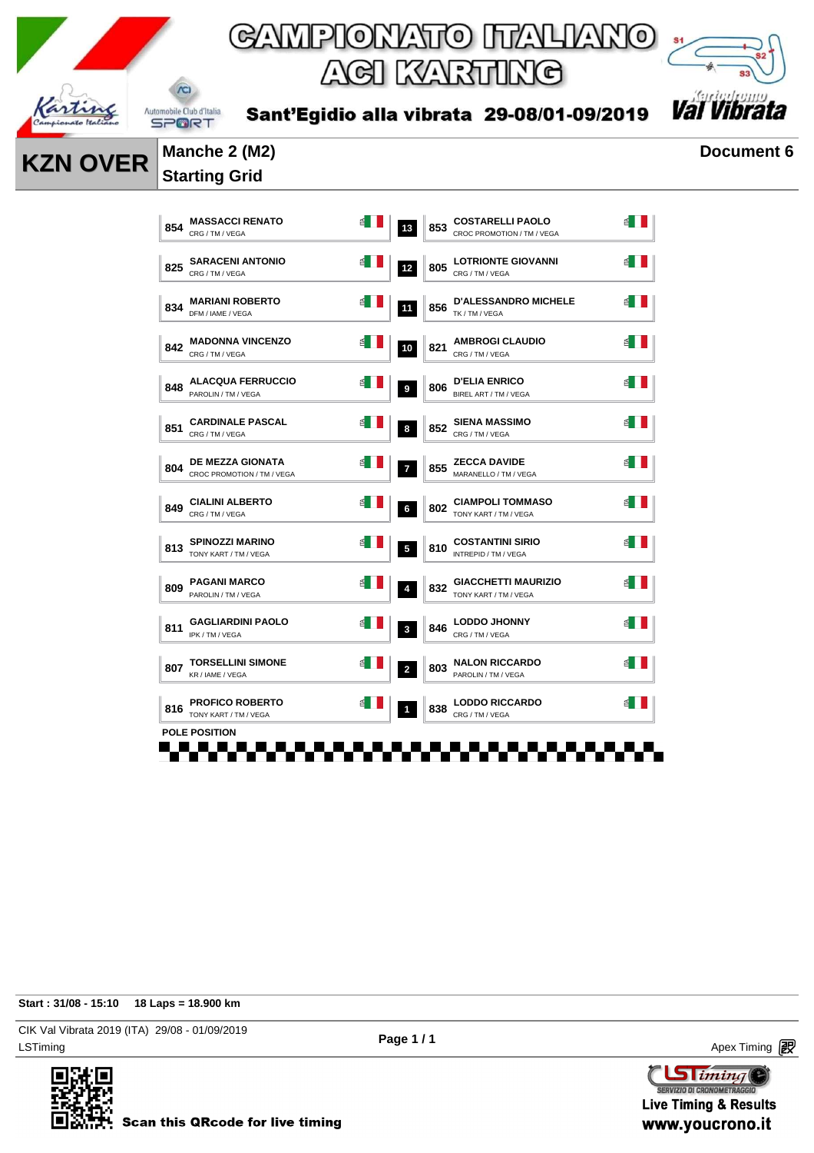



Sant'Egidio alla vibrata 29-08/01-09/2019

### **KZN OVER** Manche 2 (M2) Document 6 **Starting Grid**

| 854 | <b>MASSACCI RENATO</b><br>CRG / TM / VEGA             | ₫ | 13                      | 853 | <b>COSTARELLI PAOLO</b><br>CROC PROMOTION / TM / VEGA |   |
|-----|-------------------------------------------------------|---|-------------------------|-----|-------------------------------------------------------|---|
| 825 | <b>SARACENI ANTONIO</b><br>CRG / TM / VEGA            |   | 12                      | 805 | <b>LOTRIONTE GIOVANNI</b><br>CRG / TM / VEGA          |   |
| 834 | <b>MARIANI ROBERTO</b><br>DFM / IAME / VEGA           | 톅 | 11                      | 856 | <b>D'ALESSANDRO MICHELE</b><br>TK / TM / VEGA         | ₫ |
| 842 | <b>MADONNA VINCENZO</b><br>CRG / TM / VEGA            | ₫ | 10                      | 821 | <b>AMBROGI CLAUDIO</b><br>CRG / TM / VEGA             |   |
| 848 | <b>ALACQUA FERRUCCIO</b><br>PAROLIN / TM / VEGA       | 욉 | 9                       | 806 | <b>D'ELIA ENRICO</b><br>BIREL ART / TM / VEGA         |   |
| 851 | <b>CARDINALE PASCAL</b><br>CRG / TM / VEGA            |   | 8                       | 852 | <b>SIENA MASSIMO</b><br>CRG / TM / VEGA               |   |
| 804 | <b>DE MEZZA GIONATA</b><br>CROC PROMOTION / TM / VEGA |   | $\overline{7}$          | 855 | <b>ZECCA DAVIDE</b><br>MARANELLO / TM / VEGA          |   |
| 849 | <b>CIALINI ALBERTO</b><br>CRG / TM / VEGA             | 뎹 | 6                       | 802 | <b>CIAMPOLI TOMMASO</b><br>TONY KART / TM / VEGA      |   |
| 813 | <b>SPINOZZI MARINO</b><br>TONY KART / TM / VEGA       |   | $\overline{5}$          | 810 | <b>COSTANTINI SIRIO</b><br>INTREPID / TM / VEGA       |   |
| 809 | <b>PAGANI MARCO</b><br>PAROLIN / TM / VEGA            |   | $\overline{4}$          | 832 | <b>GIACCHETTI MAURIZIO</b><br>TONY KART / TM / VEGA   |   |
| 811 | <b>GAGLIARDINI PAOLO</b><br>IPK / TM / VEGA           |   | 3                       | 846 | <b>LODDO JHONNY</b><br>CRG / TM / VEGA                |   |
| 807 | <b>TORSELLINI SIMONE</b><br>KR / IAME / VEGA          | 쇱 | $\overline{\mathbf{2}}$ | 803 | <b>NALON RICCARDO</b><br>PAROLIN / TM / VEGA          |   |
| 816 | <b>PROFICO ROBERTO</b><br>TONY KART / TM / VEGA       | 舀 | $\overline{1}$          | 838 | <b>LODDO RICCARDO</b><br>CRG / TM / VEGA              |   |
|     | <b>POLE POSITION</b>                                  |   |                         |     |                                                       |   |

**Start : 31/08 - 15:10 18 Laps = 18.900 km**

LSTiming Apex Timing Apex Timing Apex Timing Apex Timing Apex Timing Apex Timing Apex Timing CIK Val Vibrata 2019 (ITA) 29/08 - 01/09/2019



**Sliming** SERVIZIO DI CRONOMETRAGG

**Live Timing & Results** www.youcrono.it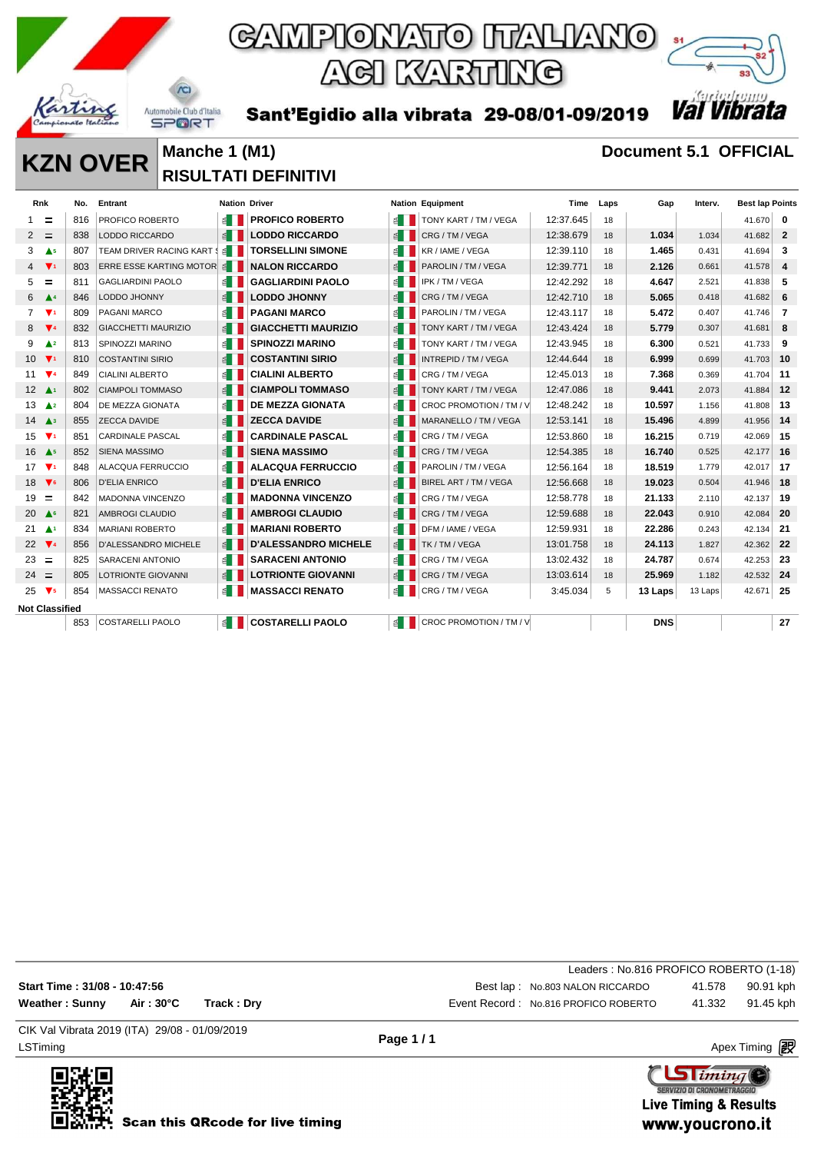

Sant'Egidio alla vibrata 29-08/01-09/2019



### **KZN OVER** Manche 1 (M1) **Document 5.1 OFFICIAL RISULTATI DEFINITIVI**

 $\Lambda$ 

| <b>Rnk</b>                              | No. | Entrant                        | <b>Nation Driver</b>  |                             |                       | <b>Nation Equipment</b> | Time      | Laps | Gap        | Interv. | <b>Best lap Points</b> |                         |
|-----------------------------------------|-----|--------------------------------|-----------------------|-----------------------------|-----------------------|-------------------------|-----------|------|------------|---------|------------------------|-------------------------|
| =<br>1                                  | 816 | PROFICO ROBERTO                | $\leq$ 1              | <b>PROFICO ROBERTO</b>      | ≝ ∐                   | TONY KART / TM / VEGA   | 12:37.645 | 18   |            |         | 41.670                 | 0                       |
| Ξ<br>2                                  | 838 | <b>LODDO RICCARDO</b>          | E                     | <b>LODDO RICCARDO</b>       | $\leq$                | CRG / TM / VEGA         | 12:38.679 | 18   | 1.034      | 1.034   | 41.682                 | $\mathbf{2}$            |
| 3<br>$\triangle$ <sub>5</sub>           | 807 | TEAM DRIVER RACING KART        | $\leq$ $\blacksquare$ | <b>TORSELLINI SIMONE</b>    | ≝ ∐                   | KR / IAME / VEGA        | 12:39.110 | 18   | 1.465      | 0.431   | 41.694                 | 3                       |
| $\overline{4}$<br>$\blacktriangledown$  | 803 | <b>ERRE ESSE KARTING MOTOR</b> | 香                     | <b>NALON RICCARDO</b>       | E                     | PAROLIN / TM / VEGA     | 12:39.771 | 18   | 2.126      | 0.661   | 41.578                 | $\overline{\mathbf{4}}$ |
| 5<br>=                                  | 811 | <b>GAGLIARDINI PAOLO</b>       | é I                   | <b>GAGLIARDINI PAOLO</b>    | $\leq$ $\Box$         | IPK / TM / VEGA         | 12:42.292 | 18   | 4.647      | 2.521   | 41.838                 | 5                       |
| 6<br>$\blacktriangle$ <sup>4</sup>      | 846 | LODDO JHONNY                   | E                     | <b>LODDO JHONNY</b>         | $\leq$ $\parallel$    | CRG / TM / VEGA         | 12:42.710 | 18   | 5.065      | 0.418   | 41.682                 | 6                       |
| $\overline{7}$<br>$\blacktriangledown$  | 809 | PAGANI MARCO                   | ≝ ∐                   | <b>PAGANI MARCO</b>         | $\leq$                | PAROLIN / TM / VEGA     | 12:43.117 | 18   | 5.472      | 0.407   | 41.746                 | 7                       |
| 8<br>$\blacktriangledown$               | 832 | <b>GIACCHETTI MAURIZIO</b>     | $\leq$                | <b>GIACCHETTI MAURIZIO</b>  | $\leq$ $\blacksquare$ | TONY KART / TM / VEGA   | 12:43.424 | 18   | 5.779      | 0.307   | 41.681                 | 8                       |
| 9<br>$\triangle$ <sup>2</sup>           | 813 | SPINOZZI MARINO                | $\leq$ $\blacksquare$ | <b>SPINOZZI MARINO</b>      | ≝ ∐                   | TONY KART / TM / VEGA   | 12:43.945 | 18   | 6.300      | 0.521   | 41.733                 | 9                       |
| 10<br>$\overline{\mathbf{v}}$           | 810 | <b>COSTANTINI SIRIO</b>        | $\leq$                | <b>COSTANTINI SIRIO</b>     | $\leq$                | INTREPID / TM / VEGA    | 12:44.644 | 18   | 6.999      | 0.699   | 41.703                 | 10                      |
| 11<br>$\mathbf{V}$                      | 849 | <b>CIALINI ALBERTO</b>         | $\leq$ $\blacksquare$ | <b>CIALINI ALBERTO</b>      | ≦ II                  | CRG / TM / VEGA         | 12:45.013 | 18   | 7.368      | 0.369   | 41.704                 | 11                      |
| $12 \Delta$                             | 802 | <b>CIAMPOLI TOMMASO</b>        | ≦                     | <b>CIAMPOLI TOMMASO</b>     | $\leq$                | TONY KART / TM / VEGA   | 12:47.086 | 18   | 9.441      | 2.073   | 41.884                 | 12                      |
| 13<br>$\triangle$ <sup>2</sup>          | 804 | DE MEZZA GIONATA               | $\leq$                | <b>DE MEZZA GIONATA</b>     | ≝∎                    | CROC PROMOTION / TM / V | 12:48.242 | 18   | 10.597     | 1.156   | 41.808                 | 13                      |
| 14<br>$\mathbf{A}^3$                    | 855 | <b>ZECCA DAVIDE</b>            | E                     | <b>ZECCA DAVIDE</b>         | $\leq$                | MARANELLO / TM / VEGA   | 12:53.141 | 18   | 15.496     | 4.899   | 41.956                 | -14                     |
| $\mathbf{v}$<br>15                      | 851 | <b>CARDINALE PASCAL</b>        | ≦                     | <b>CARDINALE PASCAL</b>     | $\leq$ $\Box$         | CRG / TM / VEGA         | 12:53.860 | 18   | 16.215     | 0.719   | 42.069                 | 15                      |
| 16<br>A <sub>5</sub>                    | 852 | <b>SIENA MASSIMO</b>           | $\leq$ $\Box$         | <b>SIENA MASSIMO</b>        | $\leq$                | CRG / TM / VEGA         | 12:54.385 | 18   | 16.740     | 0.525   | 42.177                 | 16                      |
| 17<br>$\overline{\mathbf{v}}$           | 848 | ALACQUA FERRUCCIO              | E                     | <b>ALACQUA FERRUCCIO</b>    | ≝ ∐                   | PAROLIN / TM / VEGA     | 12:56.164 | 18   | 18.519     | 1.779   | 42.017                 | 17                      |
| 18<br>$\blacktriangledown$              | 806 | <b>D'ELIA ENRICO</b>           | $\leq$ $\blacksquare$ | <b>D'ELIA ENRICO</b>        | $\leq$                | BIREL ART / TM / VEGA   | 12:56.668 | 18   | 19.023     | 0.504   | 41.946                 | 18                      |
| 19<br>=                                 | 842 | <b>MADONNA VINCENZO</b>        | $\leq$                | <b>MADONNA VINCENZO</b>     | ≦ ∐                   | CRG / TM / VEGA         | 12:58.778 | 18   | 21.133     | 2.110   | 42.137                 | 19                      |
| 20<br>A <sup>6</sup>                    | 821 | AMBROGI CLAUDIO                | $\leq$                | <b>AMBROGI CLAUDIO</b>      | $\leq$                | CRG / TM / VEGA         | 12:59.688 | 18   | 22.043     | 0.910   | 42.084                 | 20                      |
| 21<br>$\blacktriangle$ 1                | 834 | <b>MARIANI ROBERTO</b>         | $\leq$ $\blacksquare$ | <b>MARIANI ROBERTO</b>      | $\leq$ $\parallel$    | DFM / IAME / VEGA       | 12:59.931 | 18   | 22.286     | 0.243   | 42.134                 | 21                      |
| $\Psi$<br>22                            | 856 | <b>D'ALESSANDRO MICHELE</b>    | 1≦                    | <b>D'ALESSANDRO MICHELE</b> | $\leq$ $\Box$         | TK / TM / VEGA          | 13:01.758 | 18   | 24.113     | 1.827   | 42.362                 | 22                      |
| 23<br>$\equiv$                          | 825 | SARACENI ANTONIO               | $\leq$ 1              | <b>SARACENI ANTONIO</b>     | $\leq$ $\Box$         | CRG / TM / VEGA         | 13:02.432 | 18   | 24.787     | 0.674   | 42.253                 | 23                      |
| 24<br>$\equiv$                          | 805 | <b>LOTRIONTE GIOVANNI</b>      | <b>≦</b>              | <b>LOTRIONTE GIOVANNI</b>   | $\leq$                | CRG / TM / VEGA         | 13:03.614 | 18   | 25.969     | 1.182   | 42.532                 | 24                      |
| 25<br>$\blacktriangledown$ <sub>5</sub> | 854 | <b>MASSACCI RENATO</b>         | 1≦                    | <b>MASSACCI RENATO</b>      | 6∎                    | CRG / TM / VEGA         | 3:45.034  | 5    | 13 Laps    | 13 Laps | 42.671                 | 25                      |
| <b>Not Classified</b>                   |     |                                |                       |                             |                       |                         |           |      |            |         |                        |                         |
|                                         | 853 | <b>COSTARELLI PAOLO</b>        | ≦ II                  | <b>COSTARELLI PAOLO</b>     | ≝ ∐                   | CROC PROMOTION / TM / V |           |      | <b>DNS</b> |         |                        | 27                      |
|                                         |     |                                |                       |                             |                       |                         |           |      |            |         |                        |                         |

|                                               |            |            |          | Leaders: No.816 PROFICO ROBERTO (1-18) |        |                      |
|-----------------------------------------------|------------|------------|----------|----------------------------------------|--------|----------------------|
| Start Time: 31/08 - 10:47:56                  |            |            |          | Best lap: No.803 NALON RICCARDO        | 41.578 | 90.91 kph            |
| <b>Weather: Sunny</b>                         | Air : 30°C | Track: Drv |          | Event Record: No.816 PROFICO ROBERTO   | 41.332 | 91.45 kph            |
| CIK Val Vibrata 2019 (ITA) 29/08 - 01/09/2019 |            |            | Page 1/1 |                                        |        |                      |
| LSTiming                                      |            |            |          |                                        |        | Apex Timing <b>段</b> |



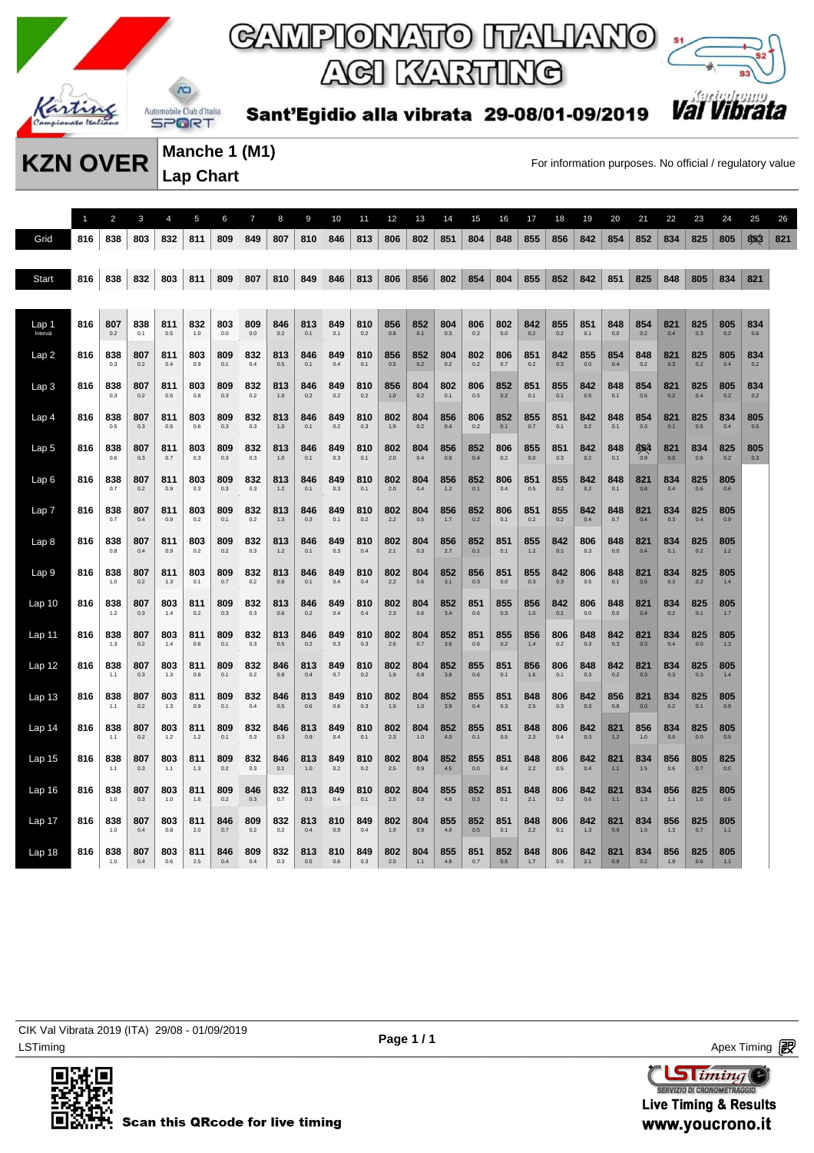

# ACI KARTING



Sant'Egidio alla vibrata 29-08/01-09/2019

**Manche 1 (M1) Lap Chart** 

**KZN OVER** Manche 1 (M1) For information purposes. No official / regulatory value

1 2 3 4 5 6 7 8 9 10 11 12 13 14 15 16 17 18 19 20 21 22 23 24 25 26 Grid 816 838 803 832 811 809 849 807 810 846 813 806 802 851 804 848 855 856 842 854 852 834 825 805 853 821 Start 816 838 832 803 811 809 807 810 849 846 813 806 856 802 854 804 855 852 842 851 825 848 805 834 821 Lap 1 Interval **816 807** 0.2 **838** 0.1 **811** 0.5 **832** 1.0 **803 809 846** 0.2 **813** 0.1 **849** 0.1 **810** 0.2 **856** 0.8 **852** 0.1 **804** 0.3 **806** 0.2 **802 842** 0.2 **855** 0.2 **851** 0.1 **848 854** 0.2 **821** 0.4 **825** 0.3 **805 834** 0.6 Lap 2 **816 838** 0.3 **807** 0.2 **811** 0.4 **803** 0.9 **809** 0.1 **832** 0.4 **813** 0.5 **846** 0.1 **849** 0.4 **810** 0.1 **856** 0.5 **852** 0.2 **804** 0.2 **802** 0.2 **806** 0.7 **851** 0.2 **842** 0.3 **855 854** 0.4 **848** 0.2 **821** 0.3 **825** 0.2 **805** 0.4 **834** 0.2 Lap 3 **816 838** 0.3 **807** 0.2 **811** 0.5 **803** 0.8 **809** 0.3 **832** 0.2 **813** 1.0 **846** 0.2 **849** 0.2 **810** 0.2 **856** 1.0 **804** 0.2 **802** 0.1 **806** 0.5 **852** 0.2 **851** 0.1 **855** 0.1 **842** 0.5 **848** 0.1 **854** 0.5 **821 825** 0.4 **805 834** 0.2 Lap 4 **816 838** 0.5 **807** 0.3 **811** 0.5 **803** 0.6 **809** 0.3 **832** 0.3 **813** 1.0 **846** 0.1 **849** 0.2 **810** 0.3 **802** 1.9 **804** 0.2 **856** 0.4 **806** 0.2 **852** 0.1 **855** 0.7 **851** 0.1 **842** 0.2 **848** 0.1 **854** 0.3 **821** 0.1 **825** 0.5 **834** 0.4 **805** 0.5 Lap 5 **816 838** 0.6 **807** 0.3 **811** 0.7 **803** 0.3 **809** 0.3 **832** 0.3 **813** 1.0 **846** 0.1 **849** 0.3 **810** 0.1 **802** 2.0 **804** 0.4 **856** 0.9 **852** 0.4 **806** 0.2 **855** 0.0 **851** 0.3 **842 848** 0.1 **854** 0.9 **821 834** 0.6 **825 805** 0.3 Lap 6 **816 838** 0.7 **807** 0.2 **811** 0.9 **803** 0.3 **809** 0.3 **832** 0.3 **813** 1.2 **846** 0.1 **849** 0.3 **810** 0.1 **802** 2.0 **804** 0.4 **856** 1.2 **852 806** 0.4 **851** 0.5 **855** 0.2 **842 848** 0.1 **821** 0.8 **834** 0.4 **825** 0.6 **805** 0.6 Lap 7 **816 838** 0.7 **807** 0.4 **811** 0.9 **803** 0.2 **809** 0.1 **832** 0.2 **813** 1.3 **846** 0.3 **849** 0.1 **810** 0.2 **802** 2.2 **804** 0.5 **856** 1.7 **852 806** 0.1 **851** 0.2 **855** 0.2 **842** 0.4 **848** 0.7 **821** 0.4 **834** 0.3 **825** 0.4 **805** 0.9 Lap 8 **816 838** 0.8 **807** 0.4 **811** 0.9 **803** 0.2 **809** 0.2 **832** 0.3 **813** 1.2 **846** 0.1 **849** 0.3 **810** 0.4 **802** 2.1 **804** 0.3 **856** 2.7 **852** 0.1 **851** 0.1 **855** 1.2 **842** 0.1 **806** 0.3 **848** 0.0 **821** 0.4 **834** 0.1 **825** 0.2 **805** 1.2 Lap 9 **816 838** 1.0 **807** 0.2 **811** 1.3 **803** 0.1 **809** 0.7 **832** 0.2 **813** 0.6 **846** 0.1 **849** 0.4 **810** 0.4 **802** 2.2 **804** 0.6 **852** 3.1 **856** 0.3 **851 855** 0.3 **842** 0.3 **806** 0.5 **848** 0.1 **821 834** 0.3 **825** 0.2 **805** 1.4 Lap 10 **816 838** 1.2 **807** 0.3 **803** 1.4 **811** 0.2 **809** 0.3 **832** 0.3 **813** 0.6 **846** 0.2 **849** 0.4 **810** 0.4 **802** 2.3 **804** 0.6 **852** 3.4 **851** 0.6 **855** 0.3 **856** 1.0 **842** 0.1 **806 848 821** 0.4 **834** 0.2 **825** 0.1 **805** 1.7 Lap 11 **816 838** 1.3 **807** 0.2 **803** 1.4 **811** 0.6 **809** 0.1 **832** 0.3 **813** 0.5 **846** 0.2 **849** 0.3 **810** 0.3 **802** 2.6 **804** 0.7 **852** 3.6 **851** 0.6 **855** 0.2 **856** 1.4 **806** 0.2 **848** 0.3 **842** 0.3 **821** 0.3 **834** 0.4 **825 805** 1.2 Lap 12 **816 838** 1.1 **807** 0.3 **803** 1.3 **811** 0.8 **809** 0.1 **832** 0.2 **846** 0.8 **813** 0.4 **849** 0.7 **810** 0.2 **802** 1.9 **804** 0.8 **852** 3.8 **855** 0.6 **851** 0.1 **856** 1.6 **806** 0.1 **848** 0.3 **842** 0.2 **821** 0.3 **834** 0.3 **825** 0.3 **805** 1.4 Lap 13 **816 838** 1.1 **807** 0.2 **803** 1.3 **811** 0.9 **809** 0.1 **832** 0.4 **846** 0.5 **813** 0.6 **849** 0.6 **810** 0.3 **802** 1.9 **804** 1.0 **852** 3.9 **855** 0.4 **851** 0.3 **848** 2.5 **806** 0.3 **842** 0.3 **856** 0.8 **821 834** 0.2 **825** 0.1 **805** 0.9 Lap 14 **816 838** 1.1 **807** 0.2 **803** 1.2 **811** 1.2 **809** 0.1 **832** 0.3 **846** 0.3 **813** 0.9 **849** 0.4 **810** 0.1 **802** 2.3 **804** 1.0 **852** 4.0 **855** 0.1 **851** 0.5 **848** 2.3 **806** 0.4 **842** 0.3 **821** 1.2 **856** 1.0 **834 825 805** 0.5 Lap 15 **816 838** 1.1 **807** 0.3 **803** 1.1 **811** 1.3 **809** 0.2 **832** 0.3 **846** 0.1 **813** 1.0 **849** 0.2 **810** 0.2 **802** 2.5 **804** 0.9 **852** 4.5 **855 851** 0.4 **848** 2.2 **806** 0.5 **842** 0.4 **821** 1.1 **834** 1.5 **856** 0.6 **805** 0.7 **825** Lap 16 **816 838** 1.0 **807** 0.3 **803** 1.0 **811** 1.8 **809** 0.2 **846** 0.3 **832** 0.7 **813** 0.3 **849** 0.4 **810** 0.1 **802** 2.5 **804** 0.9 **855** 4.8 **852** 0.3 **851** 0.1 **848** 2.1 **806** 0.2 **842** 0.6 **821** 1.1 **834** 1.3 **856** 1.1 **825** 1.0 **805** 0.6 Lap 17 **816 838** 1.0 **807** 0.4 **803** 0.8 **811** 2.0 **846** 0.7 **809** 0.2 **832** 0.2 **813** 0.4 **810** 0.9 **849** 0.4 **802** 1.9 **804** 0.9 **855** 4.9 **852** 0.5 **851** 0.1 **848** 2.2 **806** 0.1 **842** 1.3 **821** 0.9 **834 856** 1.3 **825** 0.7 **805** 1.1 Lap 18 **816 838** 1.0 **807** 0.4 **803** 0.6 **811** 2.5 **846** 0.4 **809** 0.4 **832** 0.3 **813** 0.5 **810** 0.6 **849** 0.3 **802** 2.0 **804** 1.1 **855** 4.8 **851** 0.7 **852** 0.5 **848** 1.7 **806** 0.5 **842** 2.1 **821** 0.9 **834** 0.2 **856** 1.8 **825** 0.6 **805** 1.1

LSTiming Apex Timing Apex Timing Apex Timing Apex Timing Apex Timing Apex Timing Apex Timing CIK Val Vibrata 2019 (ITA) 29/08 - 01/09/2019



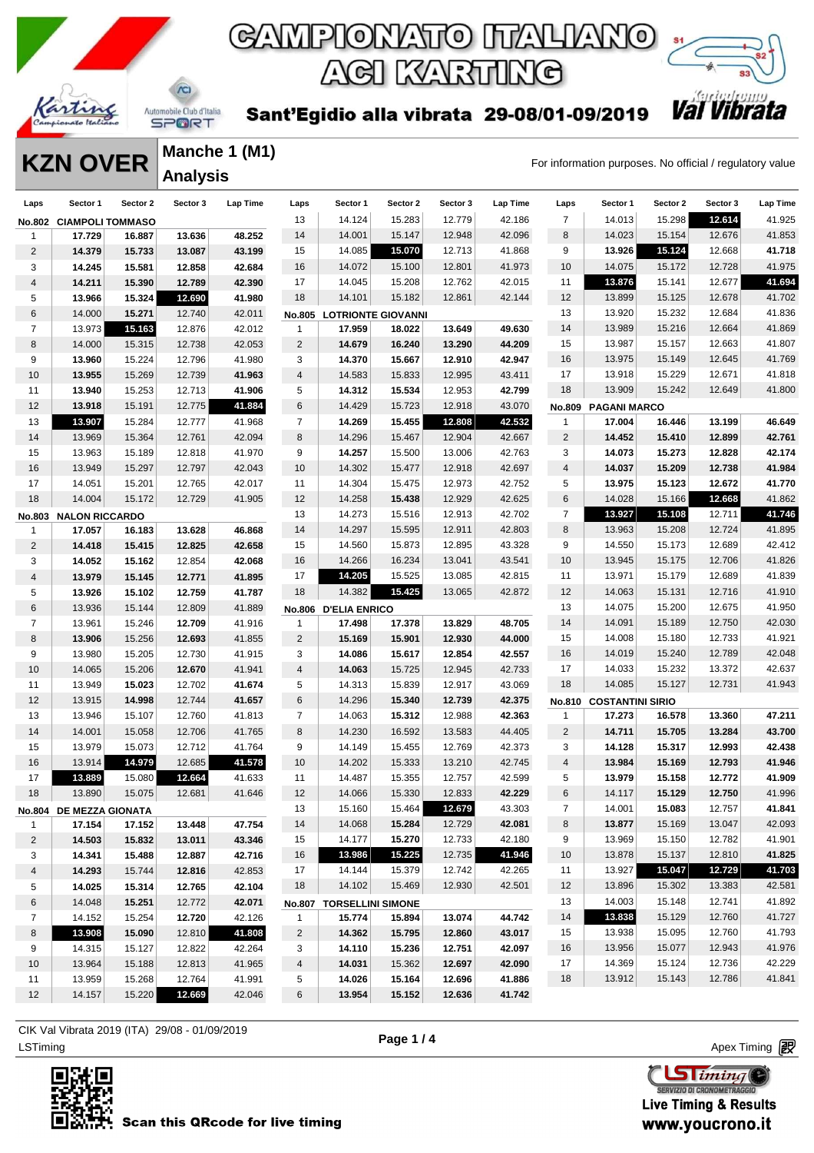



Sant'Egidio alla vibrata 29-08/01-09/2019

**KZN OVER** Manche 1 (M1)<br>For information purposes. No official / regulatory value **Manche 1 (M1) Analysis** 

| Laps           | Sector 1                | Sector 2 | Sector 3 | Lap Time | Laps                    | Sector 1                  | Sector 2 | Sector 3 | Lap Time | Laps           | Sector 1                | Sector 2 | Sector 3 | <b>Lap Time</b> |
|----------------|-------------------------|----------|----------|----------|-------------------------|---------------------------|----------|----------|----------|----------------|-------------------------|----------|----------|-----------------|
|                | No.802 CIAMPOLI TOMMASO |          |          |          | 13                      | 14.124                    | 15.283   | 12.779   | 42.186   | $\overline{7}$ | 14.013                  | 15.298   | 12.614   | 41.925          |
| 1              | 17.729                  | 16.887   | 13.636   | 48.252   | 14                      | 14.001                    | 15.147   | 12.948   | 42.096   | 8              | 14.023                  | 15.154   | 12.676   | 41.853          |
| $\overline{2}$ | 14.379                  | 15.733   | 13.087   | 43.199   | 15                      | 14.085                    | 15.070   | 12.713   | 41.868   | 9              | 13.926                  | 15.124   | 12.668   | 41.718          |
| 3              | 14.245                  | 15.581   | 12.858   | 42.684   | 16                      | 14.072                    | 15.100   | 12.801   | 41.973   | 10             | 14.075                  | 15.172   | 12.728   | 41.975          |
| 4              | 14.211                  | 15.390   | 12.789   | 42.390   | 17                      | 14.045                    | 15.208   | 12.762   | 42.015   | 11             | 13.876                  | 15.141   | 12.677   | 41.694          |
| 5              | 13.966                  | 15.324   | 12.690   | 41.980   | 18                      | 14.101                    | 15.182   | 12.861   | 42.144   | 12             | 13.899                  | 15.125   | 12.678   | 41.702          |
| 6              | 14.000                  | 15.271   | 12.740   | 42.011   | No.805                  | <b>LOTRIONTE GIOVANNI</b> |          |          |          | 13             | 13.920                  | 15.232   | 12.684   | 41.836          |
| $\overline{7}$ | 13.973                  | 15.163   | 12.876   | 42.012   | $\mathbf{1}$            | 17.959                    | 18.022   | 13.649   | 49.630   | 14             | 13.989                  | 15.216   | 12.664   | 41.869          |
| 8              | 14.000                  | 15.315   | 12.738   | 42.053   | $\overline{2}$          | 14.679                    | 16.240   | 13.290   | 44.209   | 15             | 13.987                  | 15.157   | 12.663   | 41.807          |
| 9              | 13.960                  | 15.224   | 12.796   | 41.980   | 3                       | 14.370                    | 15.667   | 12.910   | 42.947   | 16             | 13.975                  | 15.149   | 12.645   | 41.769          |
| 10             | 13.955                  | 15.269   | 12.739   | 41.963   | $\overline{\mathbf{4}}$ | 14.583                    | 15.833   | 12.995   | 43.411   | 17             | 13.918                  | 15.229   | 12.671   | 41.818          |
| 11             | 13.940                  | 15.253   | 12.713   | 41.906   | 5                       | 14.312                    | 15.534   | 12.953   | 42.799   | 18             | 13.909                  | 15.242   | 12.649   | 41.800          |
| 12             | 13.918                  | 15.191   | 12.775   | 41.884   | 6                       | 14.429                    | 15.723   | 12.918   | 43.070   | No.809         | <b>PAGANI MARCO</b>     |          |          |                 |
| 13             | 13.907                  | 15.284   | 12.777   | 41.968   | $\overline{7}$          | 14.269                    | 15.455   | 12.808   | 42.532   | $\mathbf{1}$   | 17.004                  | 16.446   | 13.199   | 46.649          |
| 14             | 13.969                  | 15.364   | 12.761   | 42.094   | 8                       | 14.296                    | 15.467   | 12.904   | 42.667   | $\overline{2}$ | 14.452                  | 15.410   | 12.899   | 42.761          |
| 15             | 13.963                  | 15.189   | 12.818   | 41.970   | 9                       | 14.257                    | 15.500   | 13.006   | 42.763   | 3              | 14.073                  | 15.273   | 12.828   | 42.174          |
| 16             | 13.949                  | 15.297   | 12.797   | 42.043   | 10                      | 14.302                    | 15.477   | 12.918   | 42.697   | $\overline{4}$ | 14.037                  | 15.209   | 12.738   | 41.984          |
| 17             | 14.051                  | 15.201   | 12.765   | 42.017   | 11                      | 14.304                    | 15.475   | 12.973   | 42.752   | 5              | 13.975                  | 15.123   | 12.672   | 41.770          |
| 18             | 14.004                  | 15.172   | 12.729   | 41.905   | 12                      | 14.258                    | 15.438   | 12.929   | 42.625   | $\,6$          | 14.028                  | 15.166   | 12.668   | 41.862          |
| <b>No.803</b>  | <b>NALON RICCARDO</b>   |          |          |          | 13                      | 14.273                    | 15.516   | 12.913   | 42.702   | $\overline{7}$ | 13.927                  | 15.108   | 12.711   | 41.746          |
| 1              | 17.057                  | 16.183   | 13.628   | 46.868   | 14                      | 14.297                    | 15.595   | 12.911   | 42.803   | 8              | 13.963                  | 15.208   | 12.724   | 41.895          |
| $\overline{c}$ | 14.418                  | 15.415   | 12.825   | 42.658   | 15                      | 14.560                    | 15.873   | 12.895   | 43.328   | 9              | 14.550                  | 15.173   | 12.689   | 42.412          |
| 3              | 14.052                  | 15.162   | 12.854   | 42.068   | 16                      | 14.266                    | 16.234   | 13.041   | 43.541   | 10             | 13.945                  | 15.175   | 12.706   | 41.826          |
| 4              | 13.979                  | 15.145   | 12.771   | 41.895   | 17                      | 14.205                    | 15.525   | 13.085   | 42.815   | 11             | 13.971                  | 15.179   | 12.689   | 41.839          |
| 5              | 13.926                  | 15.102   | 12.759   | 41.787   | 18                      | 14.382                    | 15.425   | 13.065   | 42.872   | 12             | 14.063                  | 15.131   | 12.716   | 41.910          |
| 6              | 13.936                  | 15.144   | 12.809   | 41.889   | <b>No.806</b>           | <b>D'ELIA ENRICO</b>      |          |          |          | 13             | 14.075                  | 15.200   | 12.675   | 41.950          |
| $\overline{7}$ | 13.961                  | 15.246   | 12.709   | 41.916   | $\mathbf{1}$            | 17.498                    | 17.378   | 13.829   | 48.705   | 14             | 14.091                  | 15.189   | 12.750   | 42.030          |
| 8              | 13.906                  | 15.256   | 12.693   | 41.855   | $\overline{2}$          | 15.169                    | 15.901   | 12.930   | 44.000   | 15             | 14.008                  | 15.180   | 12.733   | 41.921          |
| 9              | 13.980                  | 15.205   | 12.730   | 41.915   | 3                       | 14.086                    | 15.617   | 12.854   | 42.557   | 16             | 14.019                  | 15.240   | 12.789   | 42.048          |
| 10             | 14.065                  | 15.206   | 12.670   | 41.941   | 4                       | 14.063                    | 15.725   | 12.945   | 42.733   | 17             | 14.033                  | 15.232   | 13.372   | 42.637          |
| 11             | 13.949                  | 15.023   | 12.702   | 41.674   | 5                       | 14.313                    | 15.839   | 12.917   | 43.069   | 18             | 14.085                  | 15.127   | 12.731   | 41.943          |
| 12             | 13.915                  | 14.998   | 12.744   | 41.657   | 6                       | 14.296                    | 15.340   | 12.739   | 42.375   | <b>No.810</b>  | <b>COSTANTINI SIRIO</b> |          |          |                 |
| 13             | 13.946                  | 15.107   | 12.760   | 41.813   | $\overline{7}$          | 14.063                    | 15.312   | 12.988   | 42.363   | $\mathbf{1}$   | 17.273                  | 16.578   | 13.360   | 47.211          |
| 14             | 14.001                  | 15.058   | 12.706   | 41.765   | 8                       | 14.230                    | 16.592   | 13.583   | 44.405   | $\overline{c}$ | 14.711                  | 15.705   | 13.284   | 43.700          |
| 15             | 13.979                  | 15.073   | 12.712   | 41.764   | 9                       | 14.149                    | 15.455   | 12.769   | 42.373   | 3              | 14.128                  | 15.317   | 12.993   | 42.438          |
| 16             | 13.914                  | 14.979   | 12.685   | 41.578   | 10                      | 14.202                    | 15.333   | 13.210   | 42.745   | $\overline{4}$ | 13.984                  | 15.169   | 12.793   | 41.946          |
| 17             | 13.889                  | 15.080   | 12.664   | 41.633   | 11                      | 14.487                    | 15.355   | 12.757   | 42.599   | 5              | 13.979                  | 15.158   | 12.772   | 41.909          |
| 18             | 13.890                  | 15.075   | 12.681   | 41.646   | 12                      | 14.066                    | 15.330   | 12.833   | 42.229   | 6              | 14.117                  | 15.129   | 12.750   | 41.996          |
|                | No.804 DE MEZZA GIONATA |          |          |          | 13                      | 15.160                    | 15.464   | 12.679   | 43.303   | $\overline{7}$ | 14.001                  | 15.083   | 12.757   | 41.841          |
| $\mathbf{1}$   | 17.154                  | 17.152   | 13.448   | 47.754   | 14                      | 14.068                    | 15.284   | 12.729   | 42.081   | 8              | 13.877                  | 15.169   | 13.047   | 42.093          |
| $\overline{2}$ | 14.503                  | 15.832   | 13.011   | 43.346   | 15                      | 14.177                    | 15.270   | 12.733   | 42.180   | 9              | 13.969                  | 15.150   | 12.782   | 41.901          |
| 3              | 14.341                  | 15.488   | 12.887   | 42.716   | 16                      | 13.986                    | 15.225   | 12.735   | 41.946   | 10             | 13.878                  | 15.137   | 12.810   | 41.825          |
| 4              | 14.293                  | 15.744   | 12.816   | 42.853   | 17                      | 14.144                    | 15.379   | 12.742   | 42.265   | 11             | 13.927                  | 15.047   | 12.729   | 41.703          |
| 5              | 14.025                  | 15.314   | 12.765   | 42.104   | 18                      | 14.102                    | 15.469   | 12.930   | 42.501   | 12             | 13.896                  | 15.302   | 13.383   | 42.581          |
| 6              | 14.048                  | 15.251   | 12.772   | 42.071   |                         | No.807 TORSELLINI SIMONE  |          |          |          | 13             | 14.003                  | 15.148   | 12.741   | 41.892          |
| $\overline{7}$ | 14.152                  | 15.254   | 12.720   | 42.126   | 1                       | 15.774                    | 15.894   | 13.074   | 44.742   | 14             | 13.838                  | 15.129   | 12.760   | 41.727          |
| 8              | 13.908                  | 15.090   | 12.810   | 41.808   | $\overline{2}$          | 14.362                    | 15.795   | 12.860   | 43.017   | 15             | 13.938                  | 15.095   | 12.760   | 41.793          |
| 9              | 14.315                  | 15.127   | 12.822   | 42.264   | 3                       | 14.110                    | 15.236   | 12.751   | 42.097   | 16             | 13.956                  | 15.077   | 12.943   | 41.976          |
| 10             | 13.964                  | 15.188   | 12.813   | 41.965   | 4                       | 14.031                    | 15.362   | 12.697   | 42.090   | 17             | 14.369                  | 15.124   | 12.736   | 42.229          |
| 11             | 13.959                  | 15.268   | 12.764   | 41.991   | 5                       | 14.026                    | 15.164   | 12.696   | 41.886   | 18             | 13.912                  | 15.143   | 12.786   | 41.841          |
| 12             | 14.157                  | 15.220   | 12.669   | 42.046   | 6                       | 13.954                    | 15.152   | 12.636   | 41.742   |                |                         |          |          |                 |

LSTiming Apex Timing Apex Timing Apex Timing Apex Timing Apex Timing Apex Timing Apex Timing CIK Val Vibrata 2019 (ITA) 29/08 - 01/09/2019



**Page 1 / 4**

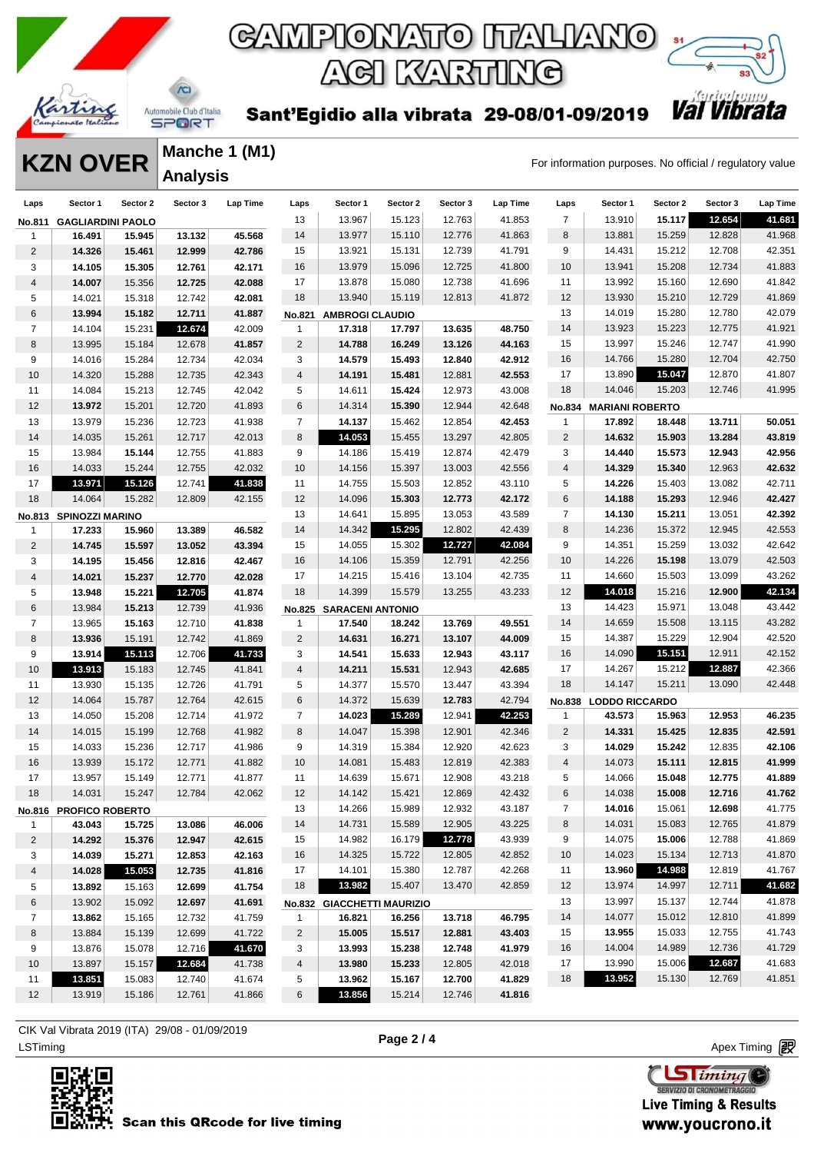



Sant'Egidio alla vibrata 29-08/01-09/2019

**KZN OVER** Manche 1 (M1)<br>For information purposes. No official / regulatory value **Manche 1 (M1) Analysis** 

| Laps           | Sector 1                 | Sector 2 | Sector 3 | Lap Time | Laps           | Sector 1                   | Sector 2 | Sector 3 | Lap Time | Laps                    | Sector 1               | Sector 2 | Sector 3 | Lap Time |
|----------------|--------------------------|----------|----------|----------|----------------|----------------------------|----------|----------|----------|-------------------------|------------------------|----------|----------|----------|
| No.811         | <b>GAGLIARDINI PAOLO</b> |          |          |          | 13             | 13.967                     | 15.123   | 12.763   | 41.853   | $\overline{7}$          | 13.910                 | 15.117   | 12.654   | 41.681   |
| 1              | 16.491                   | 15.945   | 13.132   | 45.568   | 14             | 13.977                     | 15.110   | 12.776   | 41.863   | 8                       | 13.881                 | 15.259   | 12.828   | 41.968   |
| 2              | 14.326                   | 15.461   | 12.999   | 42.786   | 15             | 13.921                     | 15.131   | 12.739   | 41.791   | 9                       | 14.431                 | 15.212   | 12.708   | 42.351   |
| 3              | 14.105                   | 15.305   | 12.761   | 42.171   | 16             | 13.979                     | 15.096   | 12.725   | 41.800   | 10                      | 13.941                 | 15.208   | 12.734   | 41.883   |
| 4              | 14.007                   | 15.356   | 12.725   | 42.088   | 17             | 13.878                     | 15.080   | 12.738   | 41.696   | 11                      | 13.992                 | 15.160   | 12.690   | 41.842   |
| 5              | 14.021                   | 15.318   | 12.742   | 42.081   | 18             | 13.940                     | 15.119   | 12.813   | 41.872   | 12                      | 13.930                 | 15.210   | 12.729   | 41.869   |
| 6              | 13.994                   | 15.182   | 12.711   | 41.887   | No.821         | <b>AMBROGI CLAUDIO</b>     |          |          |          | 13                      | 14.019                 | 15.280   | 12.780   | 42.079   |
| $\overline{7}$ | 14.104                   | 15.231   | 12.674   | 42.009   | 1              | 17.318                     | 17.797   | 13.635   | 48.750   | 14                      | 13.923                 | 15.223   | 12.775   | 41.921   |
| 8              | 13.995                   | 15.184   | 12.678   | 41.857   | $\overline{2}$ | 14.788                     | 16.249   | 13.126   | 44.163   | 15                      | 13.997                 | 15.246   | 12.747   | 41.990   |
| 9              | 14.016                   | 15.284   | 12.734   | 42.034   | 3              | 14.579                     | 15.493   | 12.840   | 42.912   | 16                      | 14.766                 | 15.280   | 12.704   | 42.750   |
| 10             | 14.320                   | 15.288   | 12.735   | 42.343   | $\overline{4}$ | 14.191                     | 15.481   | 12.881   | 42.553   | 17                      | 13.890                 | 15.047   | 12.870   | 41.807   |
| 11             | 14.084                   | 15.213   | 12.745   | 42.042   | 5              | 14.611                     | 15.424   | 12.973   | 43.008   | 18                      | 14.046                 | 15.203   | 12.746   | 41.995   |
| 12             | 13.972                   | 15.201   | 12.720   | 41.893   | 6              | 14.314                     | 15.390   | 12.944   | 42.648   |                         | No.834 MARIANI ROBERTO |          |          |          |
| 13             | 13.979                   | 15.236   | 12.723   | 41.938   | $\overline{7}$ | 14.137                     | 15.462   | 12.854   | 42.453   | 1                       | 17.892                 | 18.448   | 13.711   | 50.051   |
| 14             | 14.035                   | 15.261   | 12.717   | 42.013   | 8              | 14.053                     | 15.455   | 13.297   | 42.805   | 2                       | 14.632                 | 15.903   | 13.284   | 43.819   |
| 15             | 13.984                   | 15.144   | 12.755   | 41.883   | 9              | 14.186                     | 15.419   | 12.874   | 42.479   | 3                       | 14.440                 | 15.573   | 12.943   | 42.956   |
| 16             | 14.033                   | 15.244   | 12.755   | 42.032   | 10             | 14.156                     | 15.397   | 13.003   | 42.556   | $\overline{\mathbf{4}}$ | 14.329                 | 15.340   | 12.963   | 42.632   |
| 17             | 13.971                   | 15.126   | 12.741   | 41.838   | 11             | 14.755                     | 15.503   | 12.852   | 43.110   | 5                       | 14.226                 | 15.403   | 13.082   | 42.711   |
| 18             | 14.064                   | 15.282   | 12.809   | 42.155   | 12             | 14.096                     | 15.303   | 12.773   | 42.172   | 6                       | 14.188                 | 15.293   | 12.946   | 42.427   |
|                | No.813 SPINOZZI MARINO   |          |          |          | 13             | 14.641                     | 15.895   | 13.053   | 43.589   | $\overline{7}$          | 14.130                 | 15.211   | 13.051   | 42.392   |
| 1              | 17.233                   | 15.960   | 13.389   | 46.582   | 14             | 14.342                     | 15.295   | 12.802   | 42.439   | 8                       | 14.236                 | 15.372   | 12.945   | 42.553   |
| $\overline{2}$ | 14.745                   | 15.597   | 13.052   | 43.394   | 15             | 14.055                     | 15.302   | 12.727   | 42.084   | 9                       | 14.351                 | 15.259   | 13.032   | 42.642   |
| 3              | 14.195                   | 15.456   | 12.816   | 42.467   | 16             | 14.106                     | 15.359   | 12.791   | 42.256   | 10                      | 14.226                 | 15.198   | 13.079   | 42.503   |
| 4              | 14.021                   | 15.237   | 12.770   | 42.028   | 17             | 14.215                     | 15.416   | 13.104   | 42.735   | 11                      | 14.660                 | 15.503   | 13.099   | 43.262   |
| 5              | 13.948                   | 15.221   | 12.705   | 41.874   | 18             | 14.399                     | 15.579   | 13.255   | 43.233   | 12                      | 14.018                 | 15.216   | 12.900   | 42.134   |
| 6              | 13.984                   | 15.213   | 12.739   | 41.936   | <b>No.825</b>  | <b>SARACENI ANTONIO</b>    |          |          |          | 13                      | 14.423                 | 15.971   | 13.048   | 43.442   |
| $\overline{7}$ | 13.965                   | 15.163   | 12.710   | 41.838   | $\mathbf{1}$   | 17.540                     | 18.242   | 13.769   | 49.551   | 14                      | 14.659                 | 15.508   | 13.115   | 43.282   |
| 8              | 13.936                   | 15.191   | 12.742   | 41.869   | $\overline{2}$ | 14.631                     | 16.271   | 13.107   | 44.009   | 15                      | 14.387                 | 15.229   | 12.904   | 42.520   |
| 9              | 13.914                   | 15.113   | 12.706   | 41.733   | 3              | 14.541                     | 15.633   | 12.943   | 43.117   | 16                      | 14.090                 | 15.151   | 12.911   | 42.152   |
| 10             | 13.913                   | 15.183   | 12.745   | 41.841   | $\overline{4}$ | 14.211                     | 15.531   | 12.943   | 42.685   | 17                      | 14.267                 | 15.212   | 12.887   | 42.366   |
| 11             | 13.930                   | 15.135   | 12.726   | 41.791   | 5              | 14.377                     | 15.570   | 13.447   | 43.394   | 18                      | 14.147                 | 15.211   | 13.090   | 42.448   |
| 12             | 14.064                   | 15.787   | 12.764   | 42.615   | 6              | 14.372                     | 15.639   | 12.783   | 42.794   |                         | No.838 LODDO RICCARDO  |          |          |          |
| 13             | 14.050                   | 15.208   | 12.714   | 41.972   | $\overline{7}$ | 14.023                     | 15.289   | 12.941   | 42.253   | 1                       | 43.573                 | 15.963   | 12.953   | 46.235   |
| 14             | 14.015                   | 15.199   | 12.768   | 41.982   | 8              | 14.047                     | 15.398   | 12.901   | 42.346   | $\overline{2}$          | 14.331                 | 15.425   | 12.835   | 42.591   |
| 15             | 14.033                   | 15.236   | 12.717   | 41.986   | 9              | 14.319                     | 15.384   | 12.920   | 42.623   | 3                       | 14.029                 | 15.242   | 12.835   | 42.106   |
| 16             | 13.939                   | 15.172   | 12.771   | 41.882   | 10             | 14.081                     | 15.483   | 12.819   | 42.383   | $\overline{\mathbf{4}}$ | 14.073                 | 15.111   | 12.815   | 41.999   |
| 17             | 13.957                   | 15.149   | 12.771   | 41.877   | 11             | 14.639                     | 15.671   | 12.908   | 43.218   | 5                       | 14.066                 | 15.048   | 12.775   | 41.889   |
| 18             | 14.031                   | 15.247   | 12.784   | 42.062   | 12             | 14.142                     | 15.421   | 12.869   | 42.432   | 6                       | 14.038                 | 15.008   | 12.716   | 41.762   |
|                | No.816 PROFICO ROBERTO   |          |          |          | 13             | 14.266                     | 15.989   | 12.932   | 43.187   | 7                       | 14.016                 | 15.061   | 12.698   | 41.775   |
| $\mathbf{1}$   | 43.043                   | 15.725   | 13.086   | 46.006   | 14             | 14.731                     | 15.589   | 12.905   | 43.225   | 8                       | 14.031                 | 15.083   | 12.765   | 41.879   |
| $\overline{2}$ | 14.292                   | 15.376   | 12.947   | 42.615   | 15             | 14.982                     | 16.179   | 12.778   | 43.939   | 9                       | 14.075                 | 15.006   | 12.788   | 41.869   |
| 3              | 14.039                   | 15.271   | 12.853   | 42.163   | 16             | 14.325                     | 15.722   | 12.805   | 42.852   | 10                      | 14.023                 | 15.134   | 12.713   | 41.870   |
| 4              | 14.028                   | 15.053   | 12.735   | 41.816   | 17             | 14.101                     | 15.380   | 12.787   | 42.268   | 11                      | 13.960                 | 14.988   | 12.819   | 41.767   |
| 5              | 13.892                   | 15.163   | 12.699   | 41.754   | 18             | 13.982                     | 15.407   | 13.470   | 42.859   | 12                      | 13.974                 | 14.997   | 12.711   | 41.682   |
| 6              | 13.902                   | 15.092   | 12.697   | 41.691   |                | No.832 GIACCHETTI MAURIZIO |          |          |          | 13                      | 13.997                 | 15.137   | 12.744   | 41.878   |
| $\overline{7}$ | 13.862                   | 15.165   | 12.732   | 41.759   | $\mathbf 1$    | 16.821                     | 16.256   | 13.718   | 46.795   | 14                      | 14.077                 | 15.012   | 12.810   | 41.899   |
| 8              | 13.884                   | 15.139   | 12.699   | 41.722   | $\overline{2}$ | 15.005                     | 15.517   | 12.881   | 43.403   | 15                      | 13.955                 | 15.033   | 12.755   | 41.743   |
| 9              | 13.876                   | 15.078   | 12.716   | 41.670   | 3              | 13.993                     | 15.238   | 12.748   | 41.979   | 16                      | 14.004                 | 14.989   | 12.736   | 41.729   |
| 10             | 13.897                   | 15.157   | 12.684   | 41.738   | 4              | 13.980                     | 15.233   | 12.805   | 42.018   | 17                      | 13.990                 | 15.006   | 12.687   | 41.683   |
| 11             | 13.851                   | 15.083   | 12.740   | 41.674   | 5              | 13.962                     | 15.167   | 12.700   | 41.829   | 18                      | 13.952                 | 15.130   | 12.769   | 41.851   |
| 12             | 13.919                   | 15.186   | 12.761   | 41.866   | 6              | 13.856                     | 15.214   | 12.746   | 41.816   |                         |                        |          |          |          |

LSTiming Apex Timing Apex Timing Apex Timing Apex Timing Apex Timing Apex Timing Apex Timing CIK Val Vibrata 2019 (ITA) 29/08 - 01/09/2019



**Page 2 / 4**

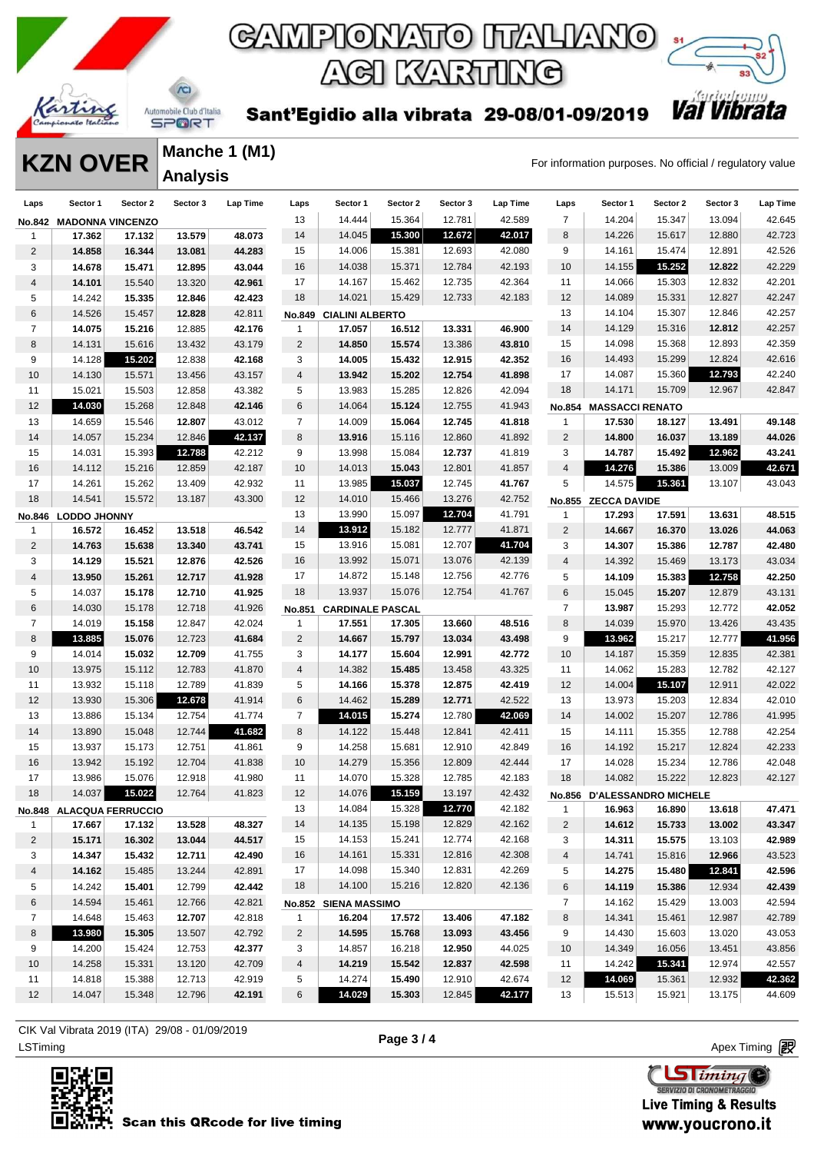



Sant'Egidio alla vibrata 29-08/01-09/2019

**KZN OVER** Manche 1 (M1)<br>For information purposes. No official / regulatory value **Manche 1 (M1) Analysis** 

| Laps           | Sector 1                | Sector 2                 | Sector 3 | Lap Time | Laps           | Sector 1                | Sector 2 | Sector 3 | Lap Time | Laps           | Sector 1                    | Sector 2 | Sector 3 | <b>Lap Time</b> |
|----------------|-------------------------|--------------------------|----------|----------|----------------|-------------------------|----------|----------|----------|----------------|-----------------------------|----------|----------|-----------------|
|                | No.842 MADONNA VINCENZO |                          |          |          | 13             | 14.444                  | 15.364   | 12.781   | 42.589   | $\overline{7}$ | 14.204                      | 15.347   | 13.094   | 42.645          |
| $\mathbf 1$    | 17.362                  | 17.132                   | 13.579   | 48.073   | 14             | 14.045                  | 15.300   | 12.672   | 42.017   | 8              | 14.226                      | 15.617   | 12.880   | 42.723          |
| 2              | 14.858                  | 16.344                   | 13.081   | 44.283   | 15             | 14.006                  | 15.381   | 12.693   | 42.080   | 9              | 14.161                      | 15.474   | 12.891   | 42.526          |
| 3              | 14.678                  | 15.471                   | 12.895   | 43.044   | 16             | 14.038                  | 15.371   | 12.784   | 42.193   | 10             | 14.155                      | 15.252   | 12.822   | 42.229          |
| 4              | 14.101                  | 15.540                   | 13.320   | 42.961   | 17             | 14.167                  | 15.462   | 12.735   | 42.364   | 11             | 14.066                      | 15.303   | 12.832   | 42.201          |
| 5              | 14.242                  | 15.335                   | 12.846   | 42.423   | 18             | 14.021                  | 15.429   | 12.733   | 42.183   | 12             | 14.089                      | 15.331   | 12.827   | 42.247          |
| 6              | 14.526                  | 15.457                   | 12.828   | 42.811   | <b>No.849</b>  | <b>CIALINI ALBERTO</b>  |          |          |          | 13             | 14.104                      | 15.307   | 12.846   | 42.257          |
| 7              | 14.075                  | 15.216                   | 12.885   | 42.176   | $\mathbf{1}$   | 17.057                  | 16.512   | 13.331   | 46.900   | 14             | 14.129                      | 15.316   | 12.812   | 42.257          |
| 8              | 14.131                  | 15.616                   | 13.432   | 43.179   | $\overline{c}$ | 14.850                  | 15.574   | 13.386   | 43.810   | 15             | 14.098                      | 15.368   | 12.893   | 42.359          |
| 9              | 14.128                  | 15.202                   | 12.838   | 42.168   | 3              | 14.005                  | 15.432   | 12.915   | 42.352   | 16             | 14.493                      | 15.299   | 12.824   | 42.616          |
| 10             | 14.130                  | 15.571                   | 13.456   | 43.157   | 4              | 13.942                  | 15.202   | 12.754   | 41.898   | 17             | 14.087                      | 15.360   | 12.793   | 42.240          |
| 11             | 15.021                  | 15.503                   | 12.858   | 43.382   | 5              | 13.983                  | 15.285   | 12.826   | 42.094   | 18             | 14.171                      | 15.709   | 12.967   | 42.847          |
| 12             | 14.030                  | 15.268                   | 12.848   | 42.146   | 6              | 14.064                  | 15.124   | 12.755   | 41.943   | No.854         | <b>MASSACCI RENATO</b>      |          |          |                 |
| 13             | 14.659                  | 15.546                   | 12.807   | 43.012   | $\overline{7}$ | 14.009                  | 15.064   | 12.745   | 41.818   | 1              | 17.530                      | 18.127   | 13.491   | 49.148          |
| 14             | 14.057                  | 15.234                   | 12.846   | 42.137   | 8              | 13.916                  | 15.116   | 12.860   | 41.892   | $\overline{2}$ | 14.800                      | 16.037   | 13.189   | 44.026          |
| 15             | 14.031                  | 15.393                   | 12.788   | 42.212   | 9              | 13.998                  | 15.084   | 12.737   | 41.819   | 3              | 14.787                      | 15.492   | 12.962   | 43.241          |
| 16             | 14.112                  | 15.216                   | 12.859   | 42.187   | 10             | 14.013                  | 15.043   | 12.801   | 41.857   | $\overline{4}$ | 14.276                      | 15.386   | 13.009   | 42.671          |
| 17             | 14.261                  | 15.262                   | 13.409   | 42.932   | 11             | 13.985                  | 15.037   | 12.745   | 41.767   | 5              | 14.575                      | 15.361   | 13.107   | 43.043          |
| 18             | 14.541                  | 15.572                   | 13.187   | 43.300   | 12             | 14.010                  | 15.466   | 13.276   | 42.752   |                | No.855 ZECCA DAVIDE         |          |          |                 |
| <b>No.846</b>  | <b>LODDO JHONNY</b>     |                          |          |          | 13             | 13.990                  | 15.097   | 12.704   | 41.791   | $\mathbf{1}$   | 17.293                      | 17.591   | 13.631   | 48.515          |
| 1              | 16.572                  | 16.452                   | 13.518   | 46.542   | 14             | 13.912                  | 15.182   | 12.777   | 41.871   | $\overline{2}$ | 14.667                      | 16.370   | 13.026   | 44.063          |
| $\overline{c}$ | 14.763                  | 15.638                   | 13.340   | 43.741   | 15             | 13.916                  | 15.081   | 12.707   | 41.704   | 3              | 14.307                      | 15.386   | 12.787   | 42.480          |
| 3              | 14.129                  | 15.521                   | 12.876   | 42.526   | 16             | 13.992                  | 15.071   | 13.076   | 42.139   | 4              | 14.392                      | 15.469   | 13.173   | 43.034          |
| 4              | 13.950                  | 15.261                   | 12.717   | 41.928   | 17             | 14.872                  | 15.148   | 12.756   | 42.776   | 5              | 14.109                      | 15.383   | 12.758   | 42.250          |
| 5              | 14.037                  | 15.178                   | 12.710   | 41.925   | 18             | 13.937                  | 15.076   | 12.754   | 41.767   | $\,6$          | 15.045                      | 15.207   | 12.879   | 43.131          |
| 6              | 14.030                  | 15.178                   | 12.718   | 41.926   | <b>No.851</b>  | <b>CARDINALE PASCAL</b> |          |          |          | $\overline{7}$ | 13.987                      | 15.293   | 12.772   | 42.052          |
| $\overline{7}$ | 14.019                  | 15.158                   | 12.847   | 42.024   | $\mathbf{1}$   | 17.551                  | 17.305   | 13.660   | 48.516   | 8              | 14.039                      | 15.970   | 13.426   | 43.435          |
| 8              | 13.885                  | 15.076                   | 12.723   | 41.684   | $\overline{2}$ | 14.667                  | 15.797   | 13.034   | 43.498   | 9              | 13.962                      | 15.217   | 12.777   | 41.956          |
| 9              | 14.014                  | 15.032                   | 12.709   | 41.755   | 3              | 14.177                  | 15.604   | 12.991   | 42.772   | 10             | 14.187                      | 15.359   | 12.835   | 42.381          |
| 10             | 13.975                  | 15.112                   | 12.783   | 41.870   | 4              | 14.382                  | 15.485   | 13.458   | 43.325   | 11             | 14.062                      | 15.283   | 12.782   | 42.127          |
| 11             | 13.932                  | 15.118                   | 12.789   | 41.839   | 5              | 14.166                  | 15.378   | 12.875   | 42.419   | 12             | 14.004                      | 15.107   | 12.911   | 42.022          |
| 12             | 13.930                  | 15.306                   | 12.678   | 41.914   | 6              | 14.462                  | 15.289   | 12.771   | 42.522   | 13             | 13.973                      | 15.203   | 12.834   | 42.010          |
| 13             | 13.886                  | 15.134                   | 12.754   | 41.774   | $\overline{7}$ | 14.015                  | 15.274   | 12.780   | 42.069   | 14             | 14.002                      | 15.207   | 12.786   | 41.995          |
| 14             | 13.890                  | 15.048                   | 12.744   | 41.682   | 8              | 14.122                  | 15.448   | 12.841   | 42.411   | 15             | 14.111                      | 15.355   | 12.788   | 42.254          |
| 15             | 13.937                  | 15.173                   | 12.751   | 41.861   | 9              | 14.258                  | 15.681   | 12.910   | 42.849   | 16             | 14.192                      | 15.217   | 12.824   | 42.233          |
| 16             | 13.942                  | 15.192                   | 12.704   | 41.838   | 10             | 14.279                  | 15.356   | 12.809   | 42.444   | 17             | 14.028                      | 15.234   | 12.786   | 42.048          |
| 17             | 13.986                  | 15.076                   | 12.918   | 41.980   | 11             | 14.070                  | 15.328   | 12.785   | 42.183   | 18             | 14.082                      | 15.222   | 12.823   | 42.127          |
| 18             | 14.037                  | 15.022                   | 12.764   | 41.823   | 12             | 14.076                  | 15.159   | 13.197   | 42.432   |                | No.856 D'ALESSANDRO MICHELE |          |          |                 |
|                |                         | No.848 ALACQUA FERRUCCIO |          |          | 13             | 14.084                  | 15.328   | 12.770   | 42.182   | 1              | 16.963                      | 16.890   | 13.618   | 47.471          |
| $\mathbf{1}$   | 17.667                  | 17.132                   | 13.528   | 48.327   | 14             | 14.135                  | 15.198   | 12.829   | 42.162   | $\overline{2}$ | 14.612                      | 15.733   | 13.002   | 43.347          |
| $\overline{2}$ | 15.171                  | 16.302                   | 13.044   | 44.517   | 15             | 14.153                  | 15.241   | 12.774   | 42.168   | 3              | 14.311                      | 15.575   | 13.103   | 42.989          |
| 3              | 14.347                  | 15.432                   | 12.711   | 42.490   | 16             | 14.161                  | 15.331   | 12.816   | 42.308   | 4              | 14.741                      | 15.816   | 12.966   | 43.523          |
| 4              | 14.162                  | 15.485                   | 13.244   | 42.891   | 17             | 14.098                  | 15.340   | 12.831   | 42.269   | 5              | 14.275                      | 15.480   | 12.841   | 42.596          |
| 5              | 14.242                  | 15.401                   | 12.799   | 42.442   | 18             | 14.100                  | 15.216   | 12.820   | 42.136   | 6              | 14.119                      | 15.386   | 12.934   | 42.439          |
| 6              | 14.594                  | 15.461                   | 12.766   | 42.821   |                | No.852 SIENA MASSIMO    |          |          |          | $\overline{7}$ | 14.162                      | 15.429   | 13.003   | 42.594          |
| $\overline{7}$ | 14.648                  | 15.463                   | 12.707   | 42.818   | $\mathbf{1}$   | 16.204                  | 17.572   | 13.406   | 47.182   | 8              | 14.341                      | 15.461   | 12.987   | 42.789          |
| 8              | 13.980                  | 15.305                   | 13.507   | 42.792   | 2              | 14.595                  | 15.768   | 13.093   | 43.456   | 9              | 14.430                      | 15.603   | 13.020   | 43.053          |
| 9              | 14.200                  | 15.424                   | 12.753   | 42.377   | 3              | 14.857                  | 16.218   | 12.950   | 44.025   | 10             | 14.349                      | 16.056   | 13.451   | 43.856          |
| 10             | 14.258                  | 15.331                   | 13.120   | 42.709   | 4              | 14.219                  | 15.542   | 12.837   | 42.598   | 11             | 14.242                      | 15.341   | 12.974   | 42.557          |
| 11             | 14.818                  | 15.388                   | 12.713   | 42.919   | 5              | 14.274                  | 15.490   | 12.910   | 42.674   | 12             | 14.069                      | 15.361   | 12.932   | 42.362          |
| 12             | 14.047                  | 15.348                   | 12.796   | 42.191   | 6              | 14.029                  | 15.303   | 12.845   | 42.177   | 13             | 15.513                      | 15.921   | 13.175   | 44.609          |
|                |                         |                          |          |          |                |                         |          |          |          |                |                             |          |          |                 |

LSTiming Apex Timing Apex Timing Apex Timing Apex Timing Apex Timing Apex Timing Apex Timing CIK Val Vibrata 2019 (ITA) 29/08 - 01/09/2019



**Page 3 / 4**

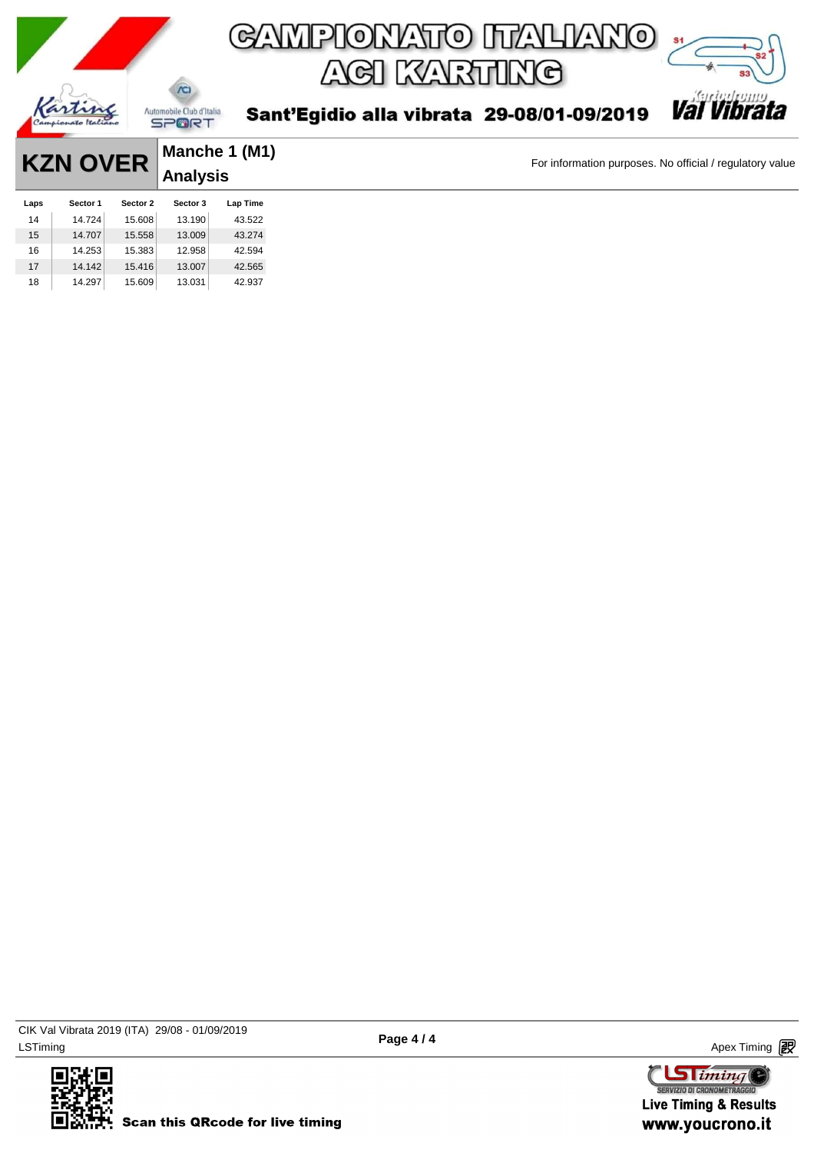

| <b>KZN OVER</b> |          | Manche 1 (M1) |              |          |
|-----------------|----------|---------------|--------------|----------|
|                 |          |               | $ $ Analysis |          |
| Laps            | Sector 1 | Sector 2      | Sector 3     | Lap Time |
| 14              | 14.724   | 15.608        | 13.190       | 43.522   |
| 15              | 14.707   | 15.558        | 13.009       | 43.274   |
| 16              | 14.253   | 15.383        | 12.958       | 42.594   |
| 17              | 14.142   | 15.416        | 13.007       | 42.565   |
| 18              | 14.297   | 15.609        | 13.031       | 42.937   |



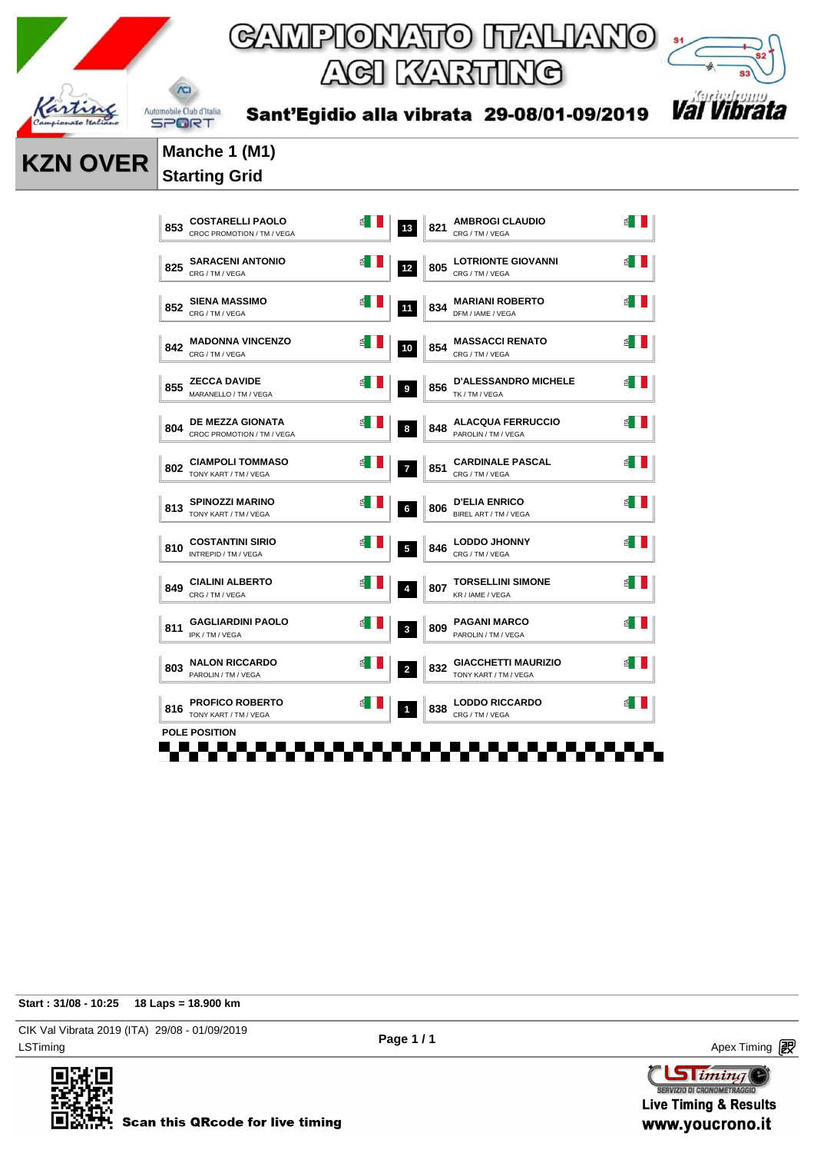



 $\chi$ 

Sant'Egidio alla vibrata 29-08/01-09/2019

### **KZN OVER Manche 1 (M1) Starting Grid**

| 853 | <b>COSTARELLI PAOLO</b><br>CROC PROMOTION / TM / VEGA |   | 13             | 821 | <b>AMBROGI CLAUDIO</b><br>CRG / TM / VEGA           |     |
|-----|-------------------------------------------------------|---|----------------|-----|-----------------------------------------------------|-----|
| 825 | <b>SARACENI ANTONIO</b><br>CRG / TM / VEGA            | ₫ | 12             | 805 | <b>LOTRIONTE GIOVANNI</b><br>CRG / TM / VEGA        | 1 ≧ |
| 852 | <b>SIENA MASSIMO</b><br>CRG / TM / VEGA               |   | 11             | 834 | <b>MARIANI ROBERTO</b><br>DFM / IAME / VEGA         |     |
| 842 | <b>MADONNA VINCENZO</b><br>CRG / TM / VEGA            |   | 10             | 854 | <b>MASSACCI RENATO</b><br>CRG / TM / VEGA           | 舀   |
| 855 | <b>ZECCA DAVIDE</b><br>MARANELLO / TM / VEGA          |   | 9              | 856 | <b>D'ALESSANDRO MICHELE</b><br>TK / TM / VEGA       |     |
| 804 | <b>DE MEZZA GIONATA</b><br>CROC PROMOTION / TM / VEGA |   | 8              | 848 | <b>ALACQUA FERRUCCIO</b><br>PAROLIN / TM / VEGA     |     |
| 802 | <b>CIAMPOLI TOMMASO</b><br>TONY KART / TM / VEGA      |   | $\overline{7}$ | 851 | <b>CARDINALE PASCAL</b><br>CRG / TM / VEGA          |     |
| 813 | <b>SPINOZZI MARINO</b><br>TONY KART / TM / VEGA       |   | 6              | 806 | <b>D'ELIA ENRICO</b><br>BIREL ART / TM / VEGA       |     |
| 810 | <b>COSTANTINI SIRIO</b><br>INTREPID / TM / VEGA       |   | $\overline{5}$ | 846 | <b>LODDO JHONNY</b><br>CRG / TM / VEGA              |     |
| 849 | <b>CIALINI ALBERTO</b><br>CRG / TM / VEGA             |   | $\overline{4}$ | 807 | <b>TORSELLINI SIMONE</b><br>KR / IAME / VEGA        |     |
| 811 | <b>GAGLIARDINI PAOLO</b><br>IPK / TM / VEGA           |   | $\mathbf{3}$   | 809 | <b>PAGANI MARCO</b><br>PAROLIN / TM / VEGA          |     |
| 803 | <b>NALON RICCARDO</b><br>PAROLIN / TM / VEGA          |   | $\overline{2}$ | 832 | <b>GIACCHETTI MAURIZIO</b><br>TONY KART / TM / VEGA |     |
| 816 | <b>PROFICO ROBERTO</b><br>TONY KART / TM / VEGA       |   | $\mathbf 1$    | 838 | <b>LODDO RICCARDO</b><br>CRG / TM / VEGA            |     |
|     | <b>POLE POSITION</b>                                  |   |                |     |                                                     |     |

### **Start : 31/08 - 10:25 18 Laps = 18.900 km**

LSTiming Apex Timing Apex Timing Apex Timing Apex Timing Apex Timing Apex Timing Apex Timing CIK Val Vibrata 2019 (ITA) 29/08 - 01/09/2019



**Sliming** SERVIZIO DI CRONOMETRAGGI **Live Timing & Results** www.youcrono.it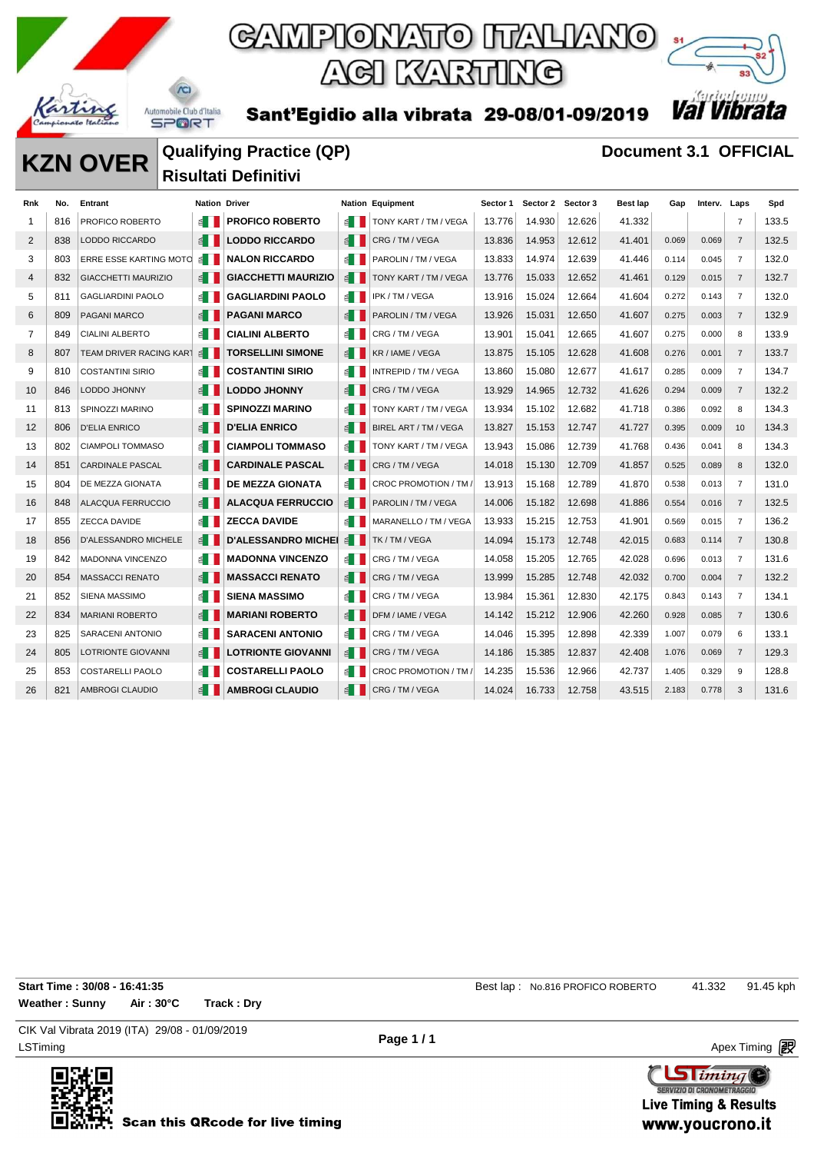

 $\chi$ 

## GAMPIONATO ITALIANO ACI KARTING

Sant'Egidio alla vibrata 29-08/01-09/2019



### **KZN OVER Qualifying Practice (QP) Document 3.1 OFFICIAL Risultati Definitivi**

| Rnk            | No. | Entrant                        | <b>Nation Driver</b>  |                                               |                       | <b>Nation Equipment</b>      | Sector 1 | Sector 2 Sector 3 |        | Best lap | Gap   | Interv. Laps |                | Spd   |
|----------------|-----|--------------------------------|-----------------------|-----------------------------------------------|-----------------------|------------------------------|----------|-------------------|--------|----------|-------|--------------|----------------|-------|
| 1              | 816 | PROFICO ROBERTO                |                       | <b>PROFICO ROBERTO</b>                        |                       | E     TONY KART / TM / VEGA  | 13.776   | 14.930            | 12.626 | 41.332   |       |              | $\overline{7}$ | 133.5 |
| 2              | 838 | LODDO RICCARDO                 |                       | <b>E</b>   LODDO RICCARDO                     |                       | ₫ CRG/TM/VEGA                | 13.836   | 14.953            | 12.612 | 41.401   | 0.069 | 0.069        | $\overline{7}$ | 132.5 |
| 3              | 803 | ERRE ESSE KARTING MOTO         | li ≧                  | <b>NALON RICCARDO</b>                         | ≦ III                 | PAROLIN / TM / VEGA          | 13.833   | 14.974            | 12.639 | 41.446   | 0.114 | 0.045        | $\overline{7}$ | 132.0 |
| 4              | 832 | <b>GIACCHETTI MAURIZIO</b>     | $\leq$ $\blacksquare$ | <b>GIACCHETTI MAURIZIO</b>                    | $\leq$ $\blacksquare$ | TONY KART / TM / VEGA        | 13.776   | 15.033            | 12.652 | 41.461   | 0.129 | 0.015        | $\overline{7}$ | 132.7 |
| 5              | 811 | <b>GAGLIARDINI PAOLO</b>       | ≝ ∐                   | <b>GAGLIARDINI PAOLO</b>                      | ≦ III                 | IPK / TM / VEGA              | 13.916   | 15.024            | 12.664 | 41.604   | 0.272 | 0.143        | $\overline{7}$ | 132.0 |
| 6              | 809 | PAGANI MARCO                   | ≦ II                  | <b>PAGANI MARCO</b>                           | $\leq$ $\blacksquare$ | PAROLIN / TM / VEGA          | 13.926   | 15.031            | 12.650 | 41.607   | 0.275 | 0.003        | $\overline{7}$ | 132.9 |
| $\overline{7}$ | 849 | <b>CIALINI ALBERTO</b>         | ≝∎                    | <b>CIALINI ALBERTO</b>                        | $\leq$ $\blacksquare$ | CRG / TM / VEGA              | 13.901   | 15.041            | 12.665 | 41.607   | 0.275 | 0.000        | 8              | 133.9 |
| 8              | 807 | <b>TEAM DRIVER RACING KART</b> | $\leq$                | <b>TORSELLINI SIMONE</b>                      | $\leq$ $\blacksquare$ | KR / IAME / VEGA             | 13.875   | 15.105            | 12.628 | 41.608   | 0.276 | 0.001        | $\overline{7}$ | 133.7 |
| 9              | 810 | <b>COSTANTINI SIRIO</b>        |                       | <b>COSTANTINI SIRIO</b>                       | ≦ II                  | INTREPID / TM / VEGA         | 13.860   | 15.080            | 12.677 | 41.617   | 0.285 | 0.009        | 7              | 134.7 |
| 10             | 846 | LODDO JHONNY                   |                       | <b>LODDO JHONNY</b>                           | $\leq$ $\blacksquare$ | CRG / TM / VEGA              | 13.929   | 14.965            | 12.732 | 41.626   | 0.294 | 0.009        | $\overline{7}$ | 132.2 |
| 11             | 813 | SPINOZZI MARINO                | ≦ II                  | <b>SPINOZZI MARINO</b>                        | ≦ II                  | <b>TONY KART / TM / VEGA</b> | 13.934   | 15.102            | 12.682 | 41.718   | 0.386 | 0.092        | 8              | 134.3 |
| 12             | 806 | <b>D'ELIA ENRICO</b>           |                       | <b>D'ELIA ENRICO</b>                          | $\leq$ $\blacksquare$ | BIREL ART / TM / VEGA        | 13.827   | 15.153            | 12.747 | 41.727   | 0.395 | 0.009        | 10             | 134.3 |
| 13             | 802 | <b>CIAMPOLI TOMMASO</b>        | ≝ ∐                   | <b>CIAMPOLI TOMMASO</b>                       | ≦ II                  | TONY KART / TM / VEGA        | 13.943   | 15.086            | 12.739 | 41.768   | 0.436 | 0.041        | 8              | 134.3 |
| 14             | 851 | <b>CARDINALE PASCAL</b>        |                       | <b>CARDINALE PASCAL</b>                       | $\leq$ $\blacksquare$ | CRG / TM / VEGA              | 14.018   | 15.130            | 12.709 | 41.857   | 0.525 | 0.089        | 8              | 132.0 |
| 15             | 804 | DE MEZZA GIONATA               | ≦ II                  | <b>DE MEZZA GIONATA</b>                       |                       | E CROC PROMOTION / TM /      | 13.913   | 15.168            | 12.789 | 41.870   | 0.538 | 0.013        | $\overline{7}$ | 131.0 |
| 16             | 848 | <b>ALACQUA FERRUCCIO</b>       |                       | <b>ALACQUA FERRUCCIO</b>                      | $\leq$ $\blacksquare$ | PAROLIN / TM / VEGA          | 14.006   | 15.182            | 12.698 | 41.886   | 0.554 | 0.016        | $\overline{7}$ | 132.5 |
| 17             | 855 | <b>ZECCA DAVIDE</b>            | ≦ II                  | <b>ZECCA DAVIDE</b>                           | ≦ II                  | MARANELLO / TM / VEGA        | 13.933   | 15.215            | 12.753 | 41.901   | 0.569 | 0.015        | $\overline{7}$ | 136.2 |
| 18             | 856 | D'ALESSANDRO MICHELE           |                       | <b>D'ALESSANDRO MICHEL 4   TK / TM / VEGA</b> |                       |                              | 14.094   | 15.173            | 12.748 | 42.015   | 0.683 | 0.114        | $\overline{7}$ | 130.8 |
| 19             | 842 | MADONNA VINCENZO               |                       | <b>MADONNA VINCENZO</b>                       |                       | B CRG/TM/VEGA                | 14.058   | 15.205            | 12.765 | 42.028   | 0.696 | 0.013        | $\overline{7}$ | 131.6 |
| 20             | 854 | <b>MASSACCI RENATO</b>         |                       | <b>MASSACCI RENATO</b>                        | $\leq$ $\blacksquare$ | CRG / TM / VEGA              | 13.999   | 15.285            | 12.748 | 42.032   | 0.700 | 0.004        | $\overline{7}$ | 132.2 |
| 21             | 852 | <b>SIENA MASSIMO</b>           | ≦ II                  | <b>SIENA MASSIMO</b>                          | $\leq$ $\blacksquare$ | CRG / TM / VEGA              | 13.984   | 15.361            | 12.830 | 42.175   | 0.843 | 0.143        | $\overline{7}$ | 134.1 |
| 22             | 834 | <b>MARIANI ROBERTO</b>         |                       | <b>MARIANI ROBERTO</b>                        | $\leq$ $\blacksquare$ | DFM / IAME / VEGA            | 14.142   | 15.212            | 12.906 | 42.260   | 0.928 | 0.085        | $\overline{7}$ | 130.6 |
| 23             | 825 | <b>SARACENI ANTONIO</b>        |                       | <b>SARACENI ANTONIO</b>                       |                       | B CRG/TM/VEGA                | 14.046   | 15.395            | 12.898 | 42.339   | 1.007 | 0.079        | 6              | 133.1 |
| 24             | 805 | LOTRIONTE GIOVANNI             |                       | <b>LOTRIONTE GIOVANNI</b>                     | $\leq$ $\blacksquare$ | CRG / TM / VEGA              | 14.186   | 15.385            | 12.837 | 42.408   | 1.076 | 0.069        | $\overline{7}$ | 129.3 |
| 25             | 853 | <b>COSTARELLI PAOLO</b>        |                       | <b>COSTARELLI PAOLO</b>                       | $\leq$ $\blacksquare$ | CROC PROMOTION / TM /        | 14.235   | 15.536            | 12.966 | 42.737   | 1.405 | 0.329        | 9              | 128.8 |
| 26             | 821 | AMBROGI CLAUDIO                |                       | <b>AMBROGI CLAUDIO</b>                        |                       | CRG / TM / VEGA              | 14.024   | 16.733            | 12.758 | 43.515   | 2.183 | 0.778        | 3              | 131.6 |

**Weather : Sunny Air : 30°C Track : Dry**

**Start Time : 30/08 - 16:41:35** Best lap : No.816 PROFICO ROBERTO 41.332 91.45 kph

LSTiming Apex Timing Apex Timing Apex Timing Apex Timing Apex Timing Apex Timing Apex Timing CIK Val Vibrata 2019 (ITA) 29/08 - 01/09/2019

**Page 1 / 1**

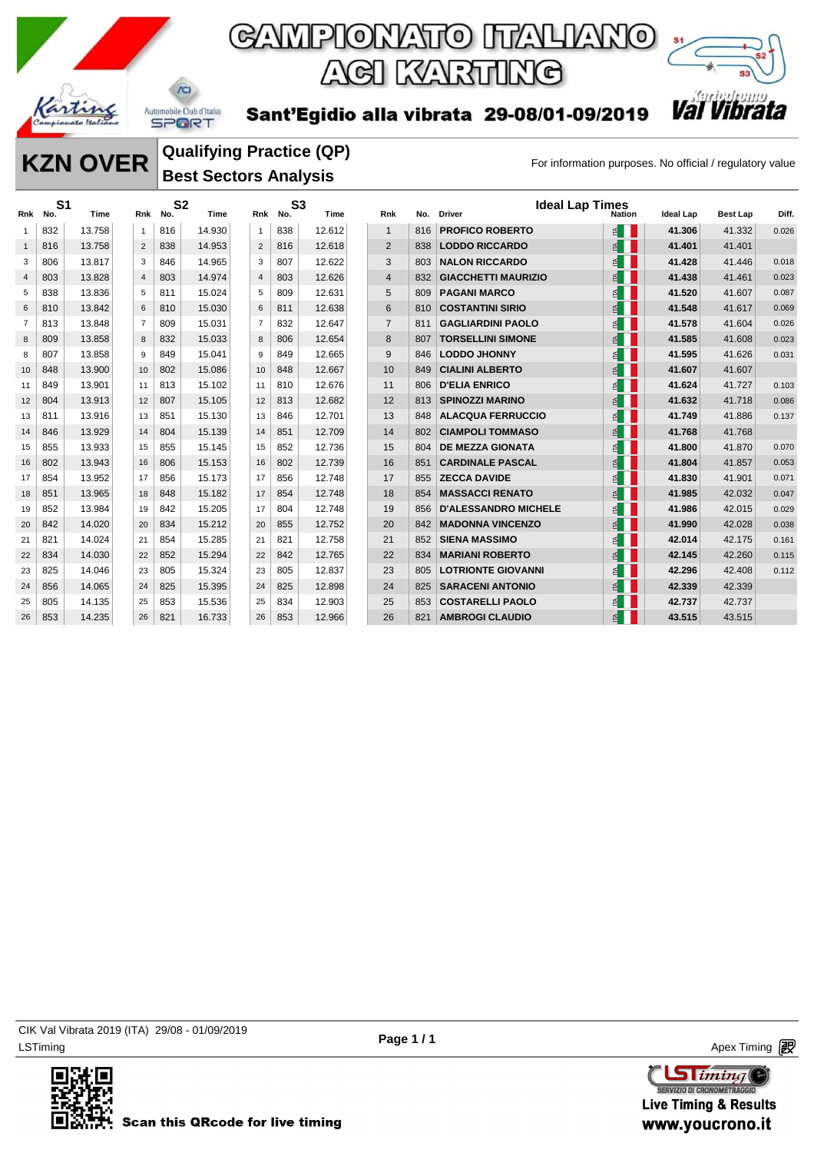

Sant'Egidio alla vibrata 29-08/01-09/2019



**SPORT** 

### **KZN OVER** Qualitying Practice (QP) For information purposes. No official / regulatory value **Qualifying Practice (QP) Best Sectors Analysis**

| Rnk            | S <sub>1</sub><br>No. | Time   | Rnk            | S <sub>2</sub><br>No. | Time   | Rnk            | S <sub>3</sub><br>No. | Time   | Rnk            | No. | <b>Ideal Lap Times</b><br><b>Driver</b> | <b>Nation</b>         | Ideal Lap | Best Lap | Diff. |
|----------------|-----------------------|--------|----------------|-----------------------|--------|----------------|-----------------------|--------|----------------|-----|-----------------------------------------|-----------------------|-----------|----------|-------|
| $\mathbf{1}$   | 832                   | 13.758 | 1              | 816                   | 14.930 | $\overline{1}$ | 838                   | 12.612 | $\mathbf{1}$   | 816 | <b>PROFICO ROBERTO</b>                  | E                     | 41.306    | 41.332   | 0.026 |
| $\mathbf{1}$   | 816                   | 13.758 | 2              | 838                   | 14.953 | 2              | 816                   | 12.618 | 2              | 838 | <b>LODDO RICCARDO</b>                   | $\leq$                | 41.401    | 41.401   |       |
| 3              | 806                   | 13.817 | 3              | 846                   | 14.965 | 3              | 807                   | 12.622 | 3              | 803 | <b>NALON RICCARDO</b>                   | $\leq$                | 41.428    | 41.446   | 0.018 |
| $\overline{4}$ | 803                   | 13.828 | $\overline{4}$ | 803                   | 14.974 | $\overline{4}$ | 803                   | 12.626 | $\overline{4}$ | 832 | <b>GIACCHETTI MAURIZIO</b>              | E                     | 41.438    | 41.461   | 0.023 |
| 5              | 838                   | 13.836 | 5              | 811                   | 15.024 | 5              | 809                   | 12.631 | 5              | 809 | <b>PAGANI MARCO</b>                     | ≝∎                    | 41.520    | 41.607   | 0.087 |
| 6              | 810                   | 13.842 | 6              | 810                   | 15.030 | 6              | 811                   | 12.638 | 6              | 810 | <b>COSTANTINI SIRIO</b>                 | E                     | 41.548    | 41.617   | 0.069 |
| $\overline{7}$ | 813                   | 13.848 | 7              | 809                   | 15.031 | $\overline{7}$ | 832                   | 12.647 | $\overline{7}$ | 811 | <b>GAGLIARDINI PAOLO</b>                | $\leq$                | 41.578    | 41.604   | 0.026 |
| 8              | 809                   | 13.858 | 8              | 832                   | 15.033 | 8              | 806                   | 12.654 | 8              | 807 | <b>TORSELLINI SIMONE</b>                | $\leq$                | 41.585    | 41.608   | 0.023 |
| 8              | 807                   | 13.858 | 9              | 849                   | 15.041 | 9              | 849                   | 12.665 | 9              | 846 | <b>LODDO JHONNY</b>                     | $\leq$                | 41.595    | 41.626   | 0.031 |
| 10             | 848                   | 13.900 | 10             | 802                   | 15.086 | 10             | 848                   | 12.667 | 10             | 849 | <b>CIALINI ALBERTO</b>                  | E                     | 41.607    | 41.607   |       |
| 11             | 849                   | 13.901 | 11             | 813                   | 15.102 | 11             | 810                   | 12.676 | 11             | 806 | <b>D'ELIA ENRICO</b>                    | ₫                     | 41.624    | 41.727   | 0.103 |
| 12             | 804                   | 13.913 | 12             | 807                   | 15.105 | 12             | 813                   | 12.682 | 12             | 813 | <b>SPINOZZI MARINO</b>                  | $\leq$                | 41.632    | 41.718   | 0.086 |
| 13             | 811                   | 13.916 | 13             | 851                   | 15.130 | 13             | 846                   | 12.701 | 13             | 848 | <b>ALACQUA FERRUCCIO</b>                | E                     | 41.749    | 41.886   | 0.137 |
| 14             | 846                   | 13.929 | 14             | 804                   | 15.139 | 14             | 851                   | 12.709 | 14             | 802 | <b>CIAMPOLI TOMMASO</b>                 | ₫                     | 41.768    | 41.768   |       |
| 15             | 855                   | 13.933 | 15             | 855                   | 15.145 | 15             | 852                   | 12.736 | 15             | 804 | <b>DE MEZZA GIONATA</b>                 | ≝∎                    | 41.800    | 41.870   | 0.070 |
| 16             | 802                   | 13.943 | 16             | 806                   | 15.153 | 16             | 802                   | 12.739 | 16             | 851 | <b>CARDINALE PASCAL</b>                 | $\leq$ $\blacksquare$ | 41.804    | 41.857   | 0.053 |
| 17             | 854                   | 13.952 | 17             | 856                   | 15.173 | 17             | 856                   | 12.748 | 17             | 855 | <b>ZECCA DAVIDE</b>                     | ₹                     | 41.830    | 41.901   | 0.071 |
| 18             | 851                   | 13.965 | 18             | 848                   | 15.182 | 17             | 854                   | 12.748 | 18             | 854 | <b>MASSACCI RENATO</b>                  | $\leq$ $\blacksquare$ | 41.985    | 42.032   | 0.047 |
| 19             | 852                   | 13.984 | 19             | 842                   | 15.205 | 17             | 804                   | 12.748 | 19             | 856 | <b>D'ALESSANDRO MICHELE</b>             | ≝∎                    | 41.986    | 42.015   | 0.029 |
| 20             | 842                   | 14.020 | 20             | 834                   | 15.212 | 20             | 855                   | 12.752 | 20             | 842 | <b>MADONNA VINCENZO</b>                 | ₫                     | 41.990    | 42.028   | 0.038 |
| 21             | 821                   | 14.024 | 21             | 854                   | 15.285 | 21             | 821                   | 12.758 | 21             | 852 | <b>SIENA MASSIMO</b>                    | ≝∎                    | 42.014    | 42.175   | 0.161 |
| 22             | 834                   | 14.030 | 22             | 852                   | 15.294 | 22             | 842                   | 12.765 | 22             | 834 | <b>MARIANI ROBERTO</b>                  | E                     | 42.145    | 42.260   | 0.115 |
| 23             | 825                   | 14.046 | 23             | 805                   | 15.324 | 23             | 805                   | 12.837 | 23             | 805 | <b>LOTRIONTE GIOVANNI</b>               | ₫                     | 42.296    | 42.408   | 0.112 |
| 24             | 856                   | 14.065 | 24             | 825                   | 15.395 | 24             | 825                   | 12.898 | 24             | 825 | <b>SARACENI ANTONIO</b>                 | E                     | 42.339    | 42.339   |       |
| 25             | 805                   | 14.135 | 25             | 853                   | 15.536 | 25             | 834                   | 12.903 | 25             | 853 | <b>COSTARELLI PAOLO</b>                 | ₫                     | 42.737    | 42.737   |       |
| 26             | 853                   | 14.235 | 26             | 821                   | 16.733 | 26             | 853                   | 12.966 | 26             | 821 | <b>AMBROGI CLAUDIO</b>                  |                       | 43.515    | 43.515   |       |



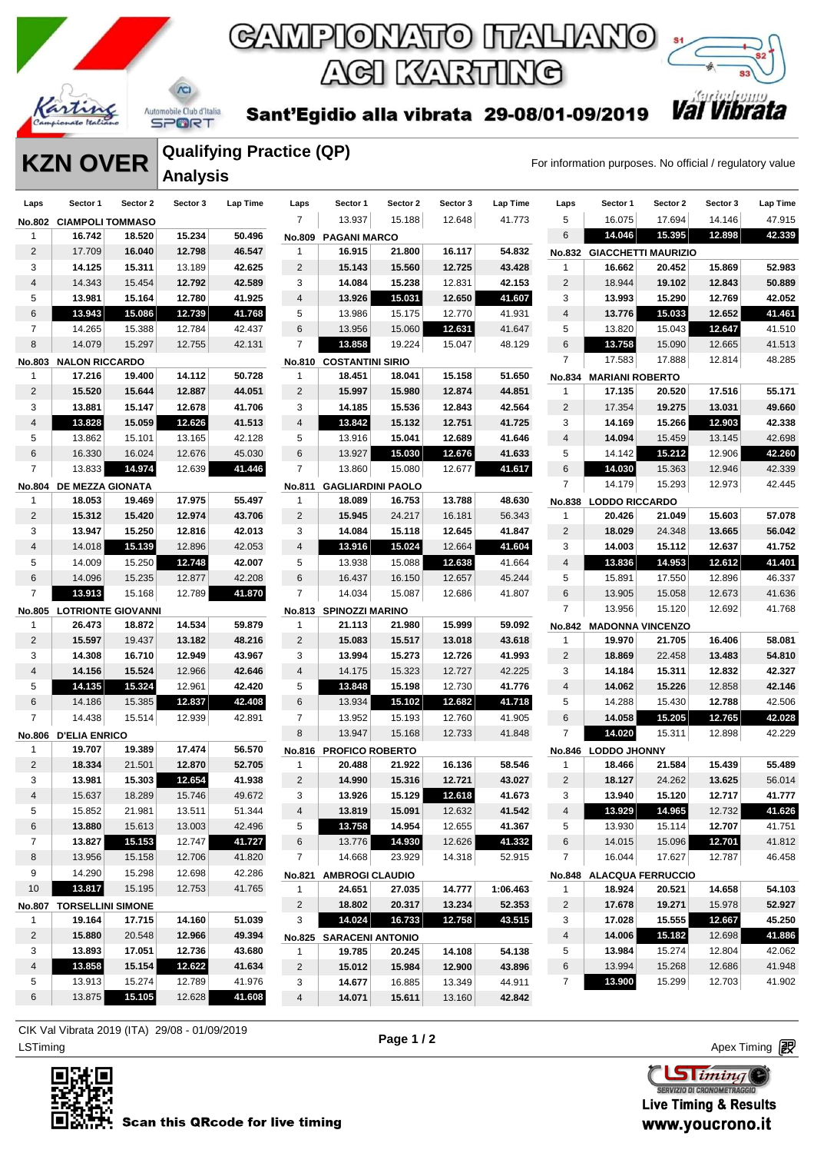



Sant'Egidio alla vibrata 29-08/01-09/2019

### **KZN OVER Analysis**

**Qualifying Practice (QP)**

| Laps           | Sector 1                 | Sector 2                  | Sector 3 | Lap Time | Laps           | Sector 1                       | Sector 2 | Sector 3 | Lap Time | Laps           | Sector 1                   | Sector 2 | Sector 3 | <b>Lap Time</b> |
|----------------|--------------------------|---------------------------|----------|----------|----------------|--------------------------------|----------|----------|----------|----------------|----------------------------|----------|----------|-----------------|
|                | No.802 CIAMPOLI TOMMASO  |                           |          |          | $\overline{7}$ | 13.937                         | 15.188   | 12.648   | 41.773   | 5              | 16.075                     | 17.694   | 14.146   | 47.915          |
| 1              | 16.742                   | 18.520                    | 15.234   | 50.496   |                | <b>No.809 PAGANI MARCO</b>     |          |          |          | 6              | 14.046                     | 15.395   | 12.898   | 42.339          |
| $\overline{c}$ | 17.709                   | 16.040                    | 12.798   | 46.547   | 1              | 16.915                         | 21.800   | 16.117   | 54.832   |                | No.832 GIACCHETTI MAURIZIO |          |          |                 |
| 3              | 14.125                   | 15.311                    | 13.189   | 42.625   | $\overline{2}$ | 15.143                         | 15.560   | 12.725   | 43.428   | 1              | 16.662                     | 20.452   | 15.869   | 52.983          |
| $\overline{4}$ | 14.343                   | 15.454                    | 12.792   | 42.589   | 3              | 14.084                         | 15.238   | 12.831   | 42.153   | $\mathbf 2$    | 18.944                     | 19.102   | 12.843   | 50.889          |
| 5              | 13.981                   | 15.164                    | 12.780   | 41.925   | 4              | 13.926                         | 15.031   | 12.650   | 41.607   | 3              | 13.993                     | 15.290   | 12.769   | 42.052          |
| 6              | 13.943                   | 15.086                    | 12.739   | 41.768   | 5              | 13.986                         | 15.175   | 12.770   | 41.931   | 4              | 13.776                     | 15.033   | 12.652   | 41.461          |
| $\overline{7}$ | 14.265                   | 15.388                    | 12.784   | 42.437   | 6              | 13.956                         | 15.060   | 12.631   | 41.647   | 5              | 13.820                     | 15.043   | 12.647   | 41.510          |
| 8              | 14.079                   | 15.297                    | 12.755   | 42.131   | $\overline{7}$ | 13.858                         | 19.224   | 15.047   | 48.129   | 6              | 13.758                     | 15.090   | 12.665   | 41.513          |
|                | No.803 NALON RICCARDO    |                           |          |          | <b>No.810</b>  | <b>COSTANTINI SIRIO</b>        |          |          |          | $\overline{7}$ | 17.583                     | 17.888   | 12.814   | 48.285          |
| 1              | 17.216                   | 19.400                    | 14.112   | 50.728   | $\mathbf{1}$   | 18.451                         | 18.041   | 15.158   | 51.650   |                | No.834 MARIANI ROBERTO     |          |          |                 |
| $\overline{2}$ | 15.520                   | 15.644                    | 12.887   | 44.051   | $\overline{2}$ | 15.997                         | 15.980   | 12.874   | 44.851   | $\mathbf{1}$   | 17.135                     | 20.520   | 17.516   | 55.171          |
| 3              | 13.881                   | 15.147                    | 12.678   | 41.706   | 3              | 14.185                         | 15.536   | 12.843   | 42.564   | $\mathbf 2$    | 17.354                     | 19.275   | 13.031   | 49.660          |
| 4              | 13.828                   | 15.059                    | 12.626   | 41.513   | 4              | 13.842                         | 15.132   | 12.751   | 41.725   | 3              | 14.169                     | 15.266   | 12.903   | 42.338          |
| 5              | 13.862                   | 15.101                    | 13.165   | 42.128   | 5              | 13.916                         | 15.041   | 12.689   | 41.646   | 4              | 14.094                     | 15.459   | 13.145   | 42.698          |
| 6              | 16.330                   | 16.024                    | 12.676   | 45.030   | 6              | 13.927                         | 15.030   | 12.676   | 41.633   | 5              | 14.142                     | 15.212   | 12.906   | 42.260          |
| $\overline{7}$ | 13.833                   | 14.974                    | 12.639   | 41.446   | $\overline{7}$ | 13.860                         | 15.080   | 12.677   | 41.617   | 6              | 14.030                     | 15.363   | 12.946   | 42.339          |
|                | No.804 DE MEZZA GIONATA  |                           |          |          | <b>No.811</b>  | <b>GAGLIARDINI PAOLO</b>       |          |          |          | 7              | 14.179                     | 15.293   | 12.973   | 42.445          |
| 1              | 18.053                   | 19.469                    | 17.975   | 55.497   | $\mathbf{1}$   | 18.089                         | 16.753   | 13.788   | 48.630   | <b>No.838</b>  | <b>LODDO RICCARDO</b>      |          |          |                 |
| 2              | 15.312                   | 15.420                    | 12.974   | 43.706   | $\overline{c}$ | 15.945                         | 24.217   | 16.181   | 56.343   | $\mathbf{1}$   | 20.426                     | 21.049   | 15.603   | 57.078          |
| 3              | 13.947                   | 15.250                    | 12.816   | 42.013   | 3              | 14.084                         | 15.118   | 12.645   | 41.847   | $\mathbf 2$    | 18.029                     | 24.348   | 13.665   | 56.042          |
| 4              | 14.018                   | 15.139                    | 12.896   | 42.053   | 4              | 13.916                         | 15.024   | 12.664   | 41.604   | 3              | 14.003                     | 15.112   | 12.637   | 41.752          |
| 5              | 14.009                   | 15.250                    | 12.748   | 42.007   | 5              | 13.938                         | 15.088   | 12.638   | 41.664   | 4              | 13.836                     | 14.953   | 12.612   | 41.401          |
| 6              | 14.096                   | 15.235                    | 12.877   | 42.208   | 6              | 16.437                         | 16.150   | 12.657   | 45.244   | 5              | 15.891                     | 17.550   | 12.896   | 46.337          |
| $\overline{7}$ | 13.913                   | 15.168                    | 12.789   | 41.870   | $\overline{7}$ | 14.034                         | 15.087   | 12.686   | 41.807   | 6              | 13.905                     | 15.058   | 12.673   | 41.636          |
| <b>No.805</b>  |                          | <b>LOTRIONTE GIOVANNI</b> |          |          |                | No.813 SPINOZZI MARINO         |          |          |          | $\overline{7}$ | 13.956                     | 15.120   | 12.692   | 41.768          |
| 1              | 26.473                   | 18.872                    | 14.534   | 59.879   | $\mathbf{1}$   | 21.113                         | 21.980   | 15.999   | 59.092   | <b>No.842</b>  | <b>MADONNA VINCENZO</b>    |          |          |                 |
| $\overline{2}$ | 15.597                   | 19.437                    | 13.182   | 48.216   | $\overline{2}$ | 15.083                         | 15.517   | 13.018   | 43.618   | 1              | 19.970                     | 21.705   | 16.406   | 58.081          |
| 3              | 14.308                   | 16.710                    | 12.949   | 43.967   | 3              | 13.994                         | 15.273   | 12.726   | 41.993   | 2              | 18.869                     | 22.458   | 13.483   | 54.810          |
| 4              | 14.156                   | 15.524                    | 12.966   | 42.646   | 4              | 14.175                         | 15.323   | 12.727   | 42.225   | 3              | 14.184                     | 15.311   | 12.832   | 42.327          |
| 5              | 14.135                   | 15.324                    | 12.961   | 42.420   | 5              | 13.848                         | 15.198   | 12.730   | 41.776   | 4              | 14.062                     | 15.226   | 12.858   | 42.146          |
| 6              | 14.186                   | 15.385                    | 12.837   | 42.408   | 6              | 13.934                         | 15.102   | 12.682   | 41.718   | 5              | 14.288                     | 15.430   | 12.788   | 42.506          |
| $\overline{7}$ | 14.438                   | 15.514                    | 12.939   | 42.891   | $\overline{7}$ | 13.952                         | 15.193   | 12.760   | 41.905   | 6              | 14.058                     | 15.205   | 12.765   | 42.028          |
|                | No.806 D'ELIA ENRICO     |                           |          |          | 8              | 13.947                         | 15.168   | 12.733   | 41.848   | $\overline{7}$ | 14.020                     | 15.311   | 12.898   | 42.229          |
| 1              | 19.707                   | 19.389                    | 17.474   | 56.570   |                | No.816 PROFICO ROBERTO         |          |          |          | <b>No.846</b>  | <b>LODDO JHONNY</b>        |          |          |                 |
| 2              | 18.334                   | 21.501                    | 12.870   | 52.705   | $\mathbf{1}$   | 20.488                         | 21.922   | 16.136   | 58.546   | 1              | 18.466                     | 21.584   | 15.439   | 55.489          |
| 3              | 13.981                   | 15.303                    | 12.654   | 41.938   | $\overline{2}$ | 14.990                         | 15.316   | 12.721   | 43.027   | $\overline{2}$ | 18.127                     | 24.262   | 13.625   | 56.014          |
| $\overline{4}$ | 15.637                   | 18.289                    | 15.746   | 49.672   | 3              | 13.926                         | 15.129   | 12.618   | 41.673   | 3              | 13.940                     | 15.120   | 12.717   | 41.777          |
| 5              | 15.852                   | 21.981                    | 13.511   | 51.344   | $\overline{4}$ | 13.819                         | 15.091   | 12.632   | 41.542   | 4              | 13.929                     | 14.965   | 12.732   | 41.626          |
| 6              | 13.880                   | 15.613                    | 13.003   | 42.496   | 5              | 13.758                         | 14.954   | 12.655   | 41.367   | 5              | 13.930                     | 15.114   | 12.707   | 41.751          |
| $\overline{7}$ | 13.827                   | 15.153                    | 12.747   | 41.727   | 6              | 13.776                         | 14.930   | 12.626   | 41.332   | 6              | 14.015                     | 15.096   | 12.701   | 41.812          |
| 8              | 13.956                   | 15.158                    | 12.706   | 41.820   | 7              | 14.668                         | 23.929   | 14.318   | 52.915   | $\overline{7}$ | 16.044                     | 17.627   | 12.787   | 46.458          |
| 9              | 14.290                   | 15.298                    | 12.698   | 42.286   |                | No.821 AMBROGI CLAUDIO         |          |          |          |                | No.848 ALACQUA FERRUCCIO   |          |          |                 |
| $10$           | 13.817                   | 15.195                    | 12.753   | 41.765   | $\mathbf{1}$   | 24.651                         | 27.035   | 14.777   | 1:06.463 | 1              | 18.924                     | 20.521   | 14.658   | 54.103          |
| <b>No.807</b>  | <b>TORSELLINI SIMONE</b> |                           |          |          | $\overline{2}$ | 18.802                         | 20.317   | 13.234   | 52.353   | 2              | 17.678                     | 19.271   | 15.978   | 52.927          |
| $\mathbf{1}$   | 19.164                   | 17.715                    | 14.160   | 51.039   | 3              | 14.024                         | 16.733   | 12.758   | 43.515   | 3              | 17.028                     | 15.555   | 12.667   | 45.250          |
| $\overline{2}$ | 15.880                   | 20.548                    | 12.966   | 49.394   |                | <b>No.825 SARACENI ANTONIO</b> |          |          |          | 4              | 14.006                     | 15.182   | 12.698   | 41.886          |
| 3              | 13.893                   | 17.051                    | 12.736   | 43.680   | $\mathbf{1}$   | 19.785                         | 20.245   | 14.108   | 54.138   | 5              | 13.984                     | 15.274   | 12.804   | 42.062          |
| 4              | 13.858                   | 15.154                    | 12.622   | 41.634   | $\overline{2}$ | 15.012                         | 15.984   | 12.900   | 43.896   | 6              | 13.994                     | 15.268   | 12.686   | 41.948          |
| 5              | 13.913                   | 15.274                    | 12.789   | 41.976   | 3              | 14.677                         | 16.885   | 13.349   | 44.911   | 7              | 13.900                     | 15.299   | 12.703   | 41.902          |
| 6              | 13.875                   | 15.105                    | 12.628   | 41.608   | 4              | 14.071                         | 15.611   | 13.160   | 42.842   |                |                            |          |          |                 |

ex Timing and the Company of the Company of the Company of the Company of the Company of the Apex Timing Apex Timing CIK Val Vibrata 2019 (ITA) 29/08 - 01/09/2019



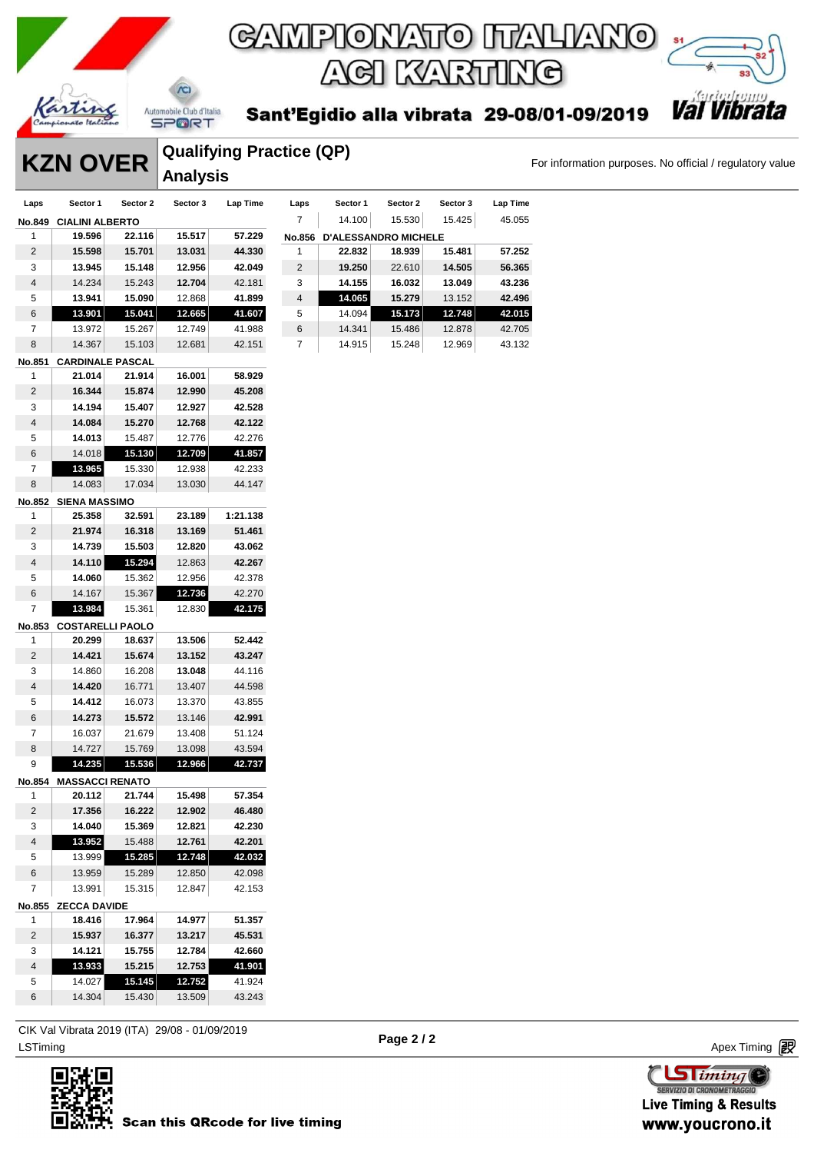

**SPORT** 

 $\chi$ 

Sant'Egidio alla vibrata 29-08/01-09/2019

**Val Vib** 

### **KZN OVER** Qualitying Practice (QP) For information purposes. No official / regulatory value **Qualifying Practice (QP) Analysis**

| Laps           | Sector 1                | Sector 2 | Sector 3 | Lap Time | Laps           | Sector 1 | Sector 2                    | Sector 3 | Lap Time |
|----------------|-------------------------|----------|----------|----------|----------------|----------|-----------------------------|----------|----------|
| <b>No.849</b>  | <b>CIALINI ALBERTO</b>  |          |          |          | 7              | 14.100   | 15.530                      | 15.425   | 45.055   |
| 1              | 19.596                  | 22.116   | 15.517   | 57.229   | <b>No.856</b>  |          | <b>D'ALESSANDRO MICHELE</b> |          |          |
| 2              | 15.598                  | 15.701   | 13.031   | 44.330   |                | 22.832   | 18.939                      | 15.481   | 57.252   |
| 3              | 13.945                  | 15.148   | 12.956   | 42.049   | 2              | 19.250   | 22.610                      | 14.505   | 56.365   |
| $\overline{4}$ | 14.234                  | 15.243   | 12.704   | 42.181   | 3              | 14.155   | 16.032                      | 13.049   | 43.236   |
| 5              | 13.941                  | 15.090   | 12.868   | 41.899   | $\overline{4}$ | 14.065   | 15.279                      | 13.152   | 42.496   |
| 6              | 13,901                  | 15.041   | 12.665   | 41.607   | 5              | 14.094   | 15.173                      | 12.748   | 42.015   |
| 7              | 13.972                  | 15.267   | 12.749   | 41.988   | 6              | 14.341   | 15.486                      | 12.878   | 42.705   |
| 8              | 14.367                  | 15.103   | 12.681   | 42.151   | 7              | 14.915   | 15.248                      | 12.969   | 43.132   |
| No.851         | <b>CARDINALE PASCAL</b> |          |          |          |                |          |                             |          |          |
|                |                         |          |          |          |                |          |                             |          |          |

| <b>No.851</b>  | <b>CARDINALE PASCAL</b> |        |        |          |
|----------------|-------------------------|--------|--------|----------|
| 1              | 21.014                  | 21.914 | 16.001 | 58.929   |
| 2              | 16.344                  | 15.874 | 12.990 | 45.208   |
| 3              | 14.194                  | 15.407 | 12.927 | 42.528   |
| 4              | 14.084                  | 15.270 | 12.768 | 42.122   |
| 5              | 14.013                  | 15.487 | 12.776 | 42.276   |
| 6              | 14.018                  | 15.130 | 12.709 | 41.857   |
| 7              | 13.965                  | 15.330 | 12.938 | 42.233   |
| 8              | 14.083                  | 17.034 | 13.030 | 44.147   |
| No.852         | <b>SIENA MASSIMO</b>    |        |        |          |
| 1              | 25.358                  | 32.591 | 23.189 | 1:21.138 |
| $\overline{2}$ | 21.974                  | 16.318 | 13.169 | 51.461   |
| 3              | 14.739                  | 15.503 | 12.820 | 43.062   |
| 4              | 14.110                  | 15.294 | 12.863 | 42.267   |
| 5              | 14.060                  | 15.362 | 12.956 | 42.378   |
| 6              | 14.167                  | 15.367 | 12.736 | 42.270   |
| 7              | 13.984                  | 15.361 | 12.830 | 42.175   |
| No.853         | <b>COSTARELLI PAOLO</b> |        |        |          |
| 1              | 20.299                  | 18.637 | 13.506 | 52.442   |
| 2              | 14.421                  | 15.674 | 13.152 | 43.247   |
| 3              | 14.860                  | 16.208 | 13.048 | 44.116   |
| 4              | 14.420                  | 16.771 | 13.407 | 44.598   |
| 5              | 14.412                  | 16.073 | 13.370 | 43.855   |
| 6              | 14.273                  | 15.572 | 13.146 | 42.991   |
| 7              | 16.037                  | 21.679 | 13.408 | 51.124   |
| 8              | 14.727                  | 15.769 | 13.098 | 43.594   |
| 9              | 14.235                  | 15.536 | 12.966 | 42.737   |
| No.854         | <b>MASSACCI RENATO</b>  |        |        |          |
| 1              | 20.112                  | 21.744 | 15.498 | 57.354   |
| $\overline{2}$ | 17.356                  | 16.222 | 12.902 | 46.480   |
| 3              | 14.040                  | 15.369 | 12.821 | 42.230   |
| 4              | 13.952                  | 15.488 | 12.761 | 42.201   |
| 5              | 13.999                  | 15.285 | 12.748 | 42.032   |
| 6              | 13.959                  | 15.289 | 12.850 | 42.098   |
| 7              | 13.991                  | 15.315 | 12.847 | 42.153   |
| No.855         | <b>ZECCA DAVIDE</b>     |        |        |          |
| 1              | 18.416                  | 17.964 | 14.977 | 51.357   |
| 2              | 15.937                  | 16.377 | 13.217 | 45.531   |
| 3              | 14.121                  | 15.755 | 12.784 | 42.660   |
| 4              | 13.933                  | 15.215 | 12.753 | 41.901   |
| 5              | 14.027                  | 15.145 | 12.752 | 41.924   |

ex Timing and the Company of the Company of the Company of the Company of the Company of the Apex Timing (1990) and the Company of the Company of the Company of the Company of the Company of the Company of the Company of t CIK Val Vibrata 2019 (ITA) 29/08 - 01/09/2019

14.304 15.430 13.509 43.243



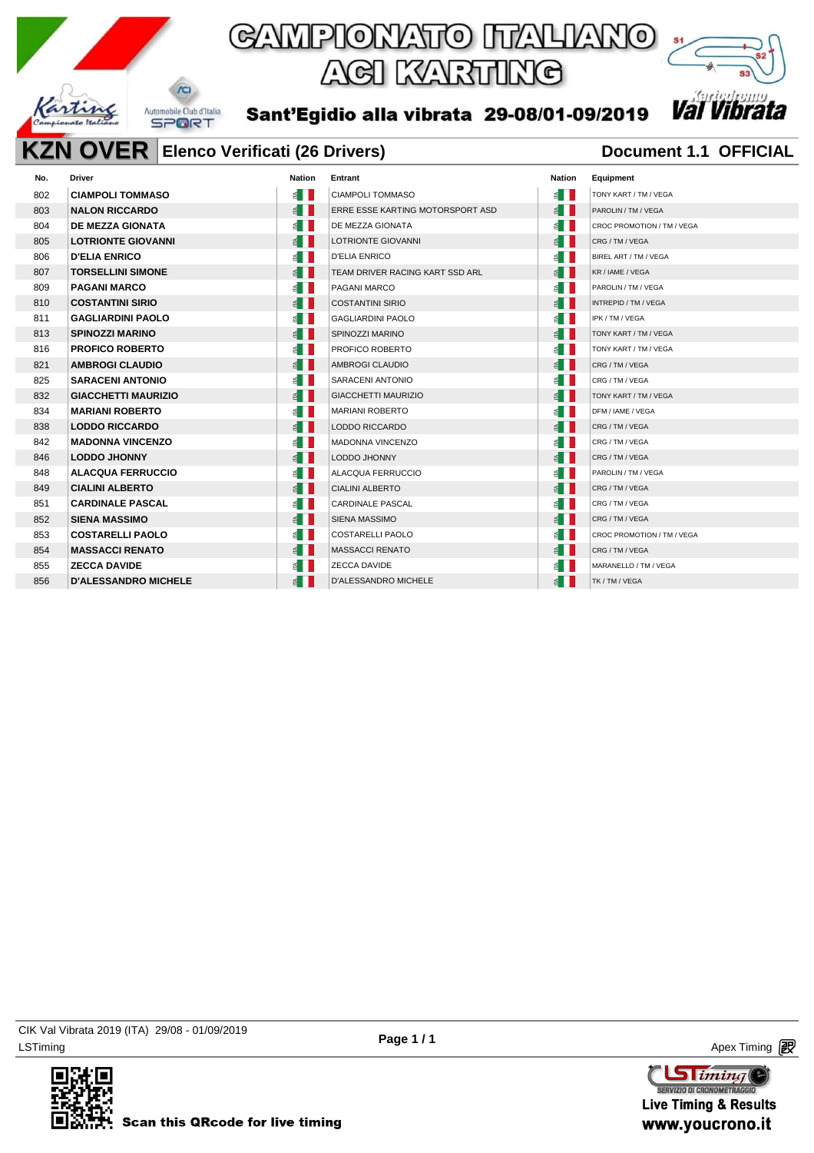

### **KZN OVER** Elenco Verificati (26 Drivers) **Document 1.1 OFFICIAL**

| No. | <b>Driver</b>               | <b>Nation</b>         | Entrant                          | <b>Nation</b>         | Equipment                  |
|-----|-----------------------------|-----------------------|----------------------------------|-----------------------|----------------------------|
| 802 | <b>CIAMPOLI TOMMASO</b>     | $\leq$ $\blacksquare$ | <b>CIAMPOLI TOMMASO</b>          | ⋹▌▌                   | TONY KART / TM / VEGA      |
| 803 | <b>NALON RICCARDO</b>       | $\leq$ $\blacksquare$ | ERRE ESSE KARTING MOTORSPORT ASD | $\leq$ $  $           | PAROLIN / TM / VEGA        |
| 804 | <b>DE MEZZA GIONATA</b>     | $\leq$ $\blacksquare$ | DE MEZZA GIONATA                 | ⋹▏║                   | CROC PROMOTION / TM / VEGA |
| 805 | <b>LOTRIONTE GIOVANNI</b>   | $\leq$ $\blacksquare$ | LOTRIONTE GIOVANNI               | $\leq$ $  $           | CRG / TM / VEGA            |
| 806 | <b>D'ELIA ENRICO</b>        | ≦ II                  | <b>D'ELIA ENRICO</b>             | ≝ ∐                   | BIREL ART / TM / VEGA      |
| 807 | <b>TORSELLINI SIMONE</b>    | $\leq$ $\blacksquare$ | TEAM DRIVER RACING KART SSD ARL  | $\leq$ $  $           | KR / IAME / VEGA           |
| 809 | <b>PAGANI MARCO</b>         | $\leq$ $\blacksquare$ | PAGANI MARCO                     | é II                  | PAROLIN / TM / VEGA        |
| 810 | <b>COSTANTINI SIRIO</b>     | $\leq$ $\blacksquare$ | <b>COSTANTINI SIRIO</b>          | $\leq$ $\blacksquare$ | INTREPID / TM / VEGA       |
| 811 | <b>GAGLIARDINI PAOLO</b>    | ⋹∎∎                   | <b>GAGLIARDINI PAOLO</b>         | € II                  | IPK / TM / VEGA            |
| 813 | <b>SPINOZZI MARINO</b>      | $\leq$ $\blacksquare$ | SPINOZZI MARINO                  | $\leq$                | TONY KART / TM / VEGA      |
| 816 | <b>PROFICO ROBERTO</b>      | ⋹▏▏                   | PROFICO ROBERTO                  | é II                  | TONY KART / TM / VEGA      |
| 821 | <b>AMBROGI CLAUDIO</b>      | $\leq$ $\blacksquare$ | AMBROGI CLAUDIO                  | E II                  | CRG / TM / VEGA            |
| 825 | <b>SARACENI ANTONIO</b>     | ⋹▏▏                   | SARACENI ANTONIO                 | ⋹▏▏                   | CRG / TM / VEGA            |
| 832 | <b>GIACCHETTI MAURIZIO</b>  | $\leq$ $\blacksquare$ | <b>GIACCHETTI MAURIZIO</b>       | $\leq$ $  $           | TONY KART / TM / VEGA      |
| 834 | <b>MARIANI ROBERTO</b>      | $\leq$ $\blacksquare$ | <b>MARIANI ROBERTO</b>           | $\leq$ $\blacksquare$ | DFM / IAME / VEGA          |
| 838 | <b>LODDO RICCARDO</b>       | ≦ ∐                   | <b>LODDO RICCARDO</b>            | E II                  | CRG / TM / VEGA            |
| 842 | <b>MADONNA VINCENZO</b>     | ⋹┃┃                   | <b>MADONNA VINCENZO</b>          | $\leq$ $\blacksquare$ | CRG / TM / VEGA            |
| 846 | <b>LODDO JHONNY</b>         | $\leq$ $\blacksquare$ | LODDO JHONNY                     | ⋹ा                    | CRG/TM/VEGA                |
| 848 | <b>ALACQUA FERRUCCIO</b>    | E I I                 | ALACQUA FERRUCCIO                | ≦ II                  | PAROLIN / TM / VEGA        |
| 849 | <b>CIALINI ALBERTO</b>      | $\leq$ $\blacksquare$ | <b>CIALINI ALBERTO</b>           | $\leq$ $\blacksquare$ | CRG / TM / VEGA            |
| 851 | <b>CARDINALE PASCAL</b>     | ⋹▏▏                   | CARDINALE PASCAL                 | ⋹▏▎                   | CRG / TM / VEGA            |
| 852 | <b>SIENA MASSIMO</b>        | $\leq$ $\blacksquare$ | SIENA MASSIMO                    | $\leq$ $\blacksquare$ | CRG / TM / VEGA            |
| 853 | <b>COSTARELLI PAOLO</b>     | ⋹∥∥                   | <b>COSTARELLI PAOLO</b>          | € II                  | CROC PROMOTION / TM / VEGA |
| 854 | <b>MASSACCI RENATO</b>      | $\leq$ $\blacksquare$ | <b>MASSACCI RENATO</b>           | E II                  | CRG / TM / VEGA            |
| 855 | <b>ZECCA DAVIDE</b>         | ⋹┃┃                   | ZECCA DAVIDE                     | $\leq$ $\blacksquare$ | MARANELLO / TM / VEGA      |
| 856 | <b>D'ALESSANDRO MICHELE</b> | ≦ II                  | D'ALESSANDRO MICHELE             | é II                  | TK / TM / VEGA             |
|     |                             |                       |                                  |                       |                            |

LSTiming Apex Timing Apex Timing Apex Timing Apex Timing Apex Timing Apex Timing Apex Timing CIK Val Vibrata 2019 (ITA) 29/08 - 01/09/2019